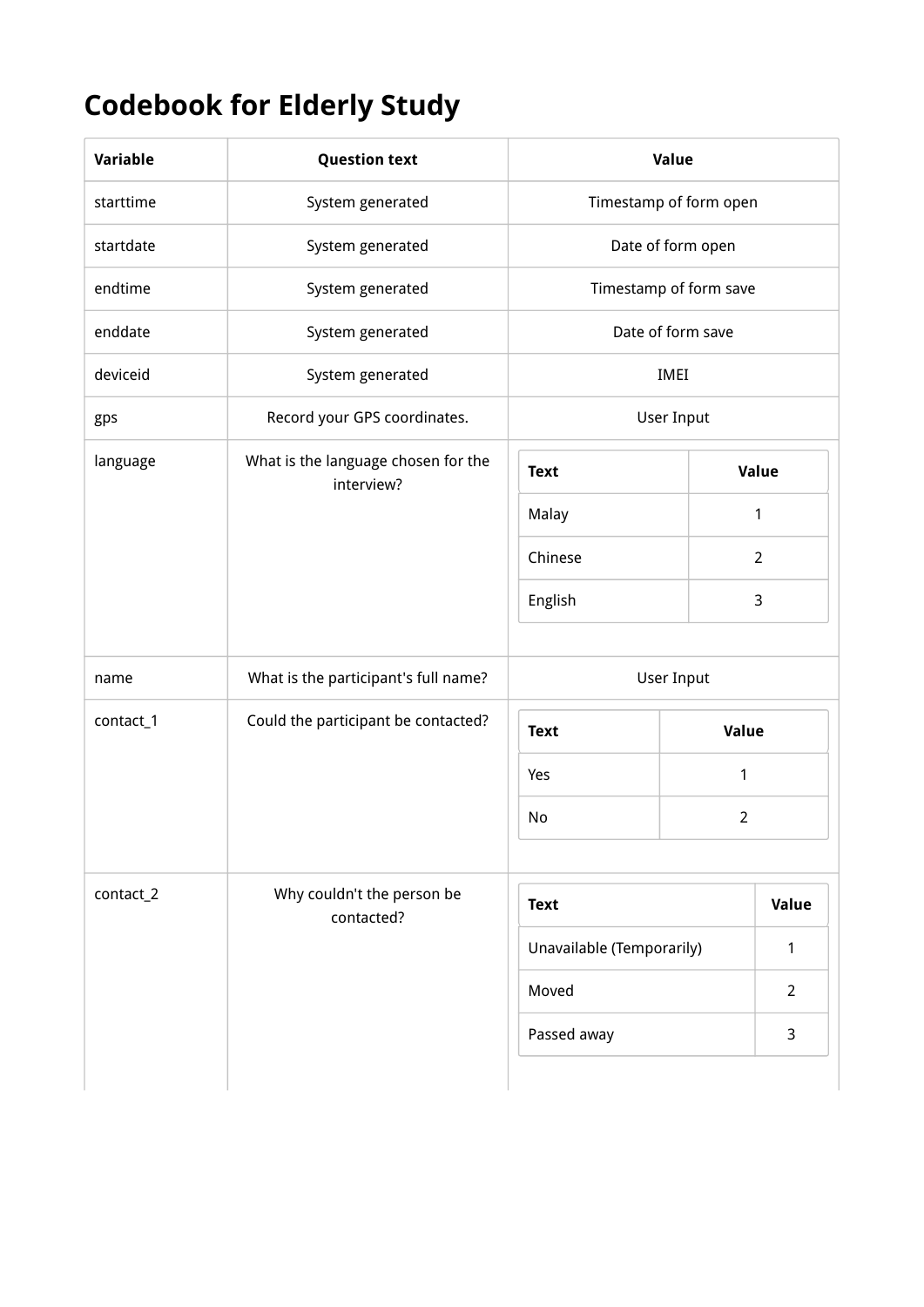## Codebook for Elderly Study

| Variable  | <b>Question text</b>                              |                           | Value                  |                |
|-----------|---------------------------------------------------|---------------------------|------------------------|----------------|
| starttime | System generated                                  |                           | Timestamp of form open |                |
| startdate | System generated                                  |                           | Date of form open      |                |
| endtime   | System generated                                  |                           | Timestamp of form save |                |
| enddate   | System generated                                  |                           | Date of form save      |                |
| deviceid  | System generated                                  |                           | IMEI                   |                |
| gps       | Record your GPS coordinates.                      |                           | <b>User Input</b>      |                |
| language  | What is the language chosen for the<br>interview? | <b>Text</b>               |                        | Value          |
|           |                                                   | Malay                     |                        | 1              |
|           |                                                   | Chinese                   |                        | $\overline{2}$ |
|           |                                                   | English                   |                        | 3              |
|           |                                                   |                           |                        |                |
| name      | What is the participant's full name?              |                           | <b>User Input</b>      |                |
| contact_1 | Could the participant be contacted?               | <b>Text</b>               | Value                  |                |
|           |                                                   | Yes                       | $\mathbf{1}$           |                |
|           |                                                   | No                        | $\overline{2}$         |                |
|           |                                                   |                           |                        |                |
| contact_2 | Why couldn't the person be<br>contacted?          | <b>Text</b>               |                        | Value          |
|           |                                                   | Unavailable (Temporarily) |                        | 1              |
|           |                                                   | Moved                     |                        | $\overline{2}$ |
|           |                                                   | Passed away               |                        | 3              |
|           |                                                   |                           |                        |                |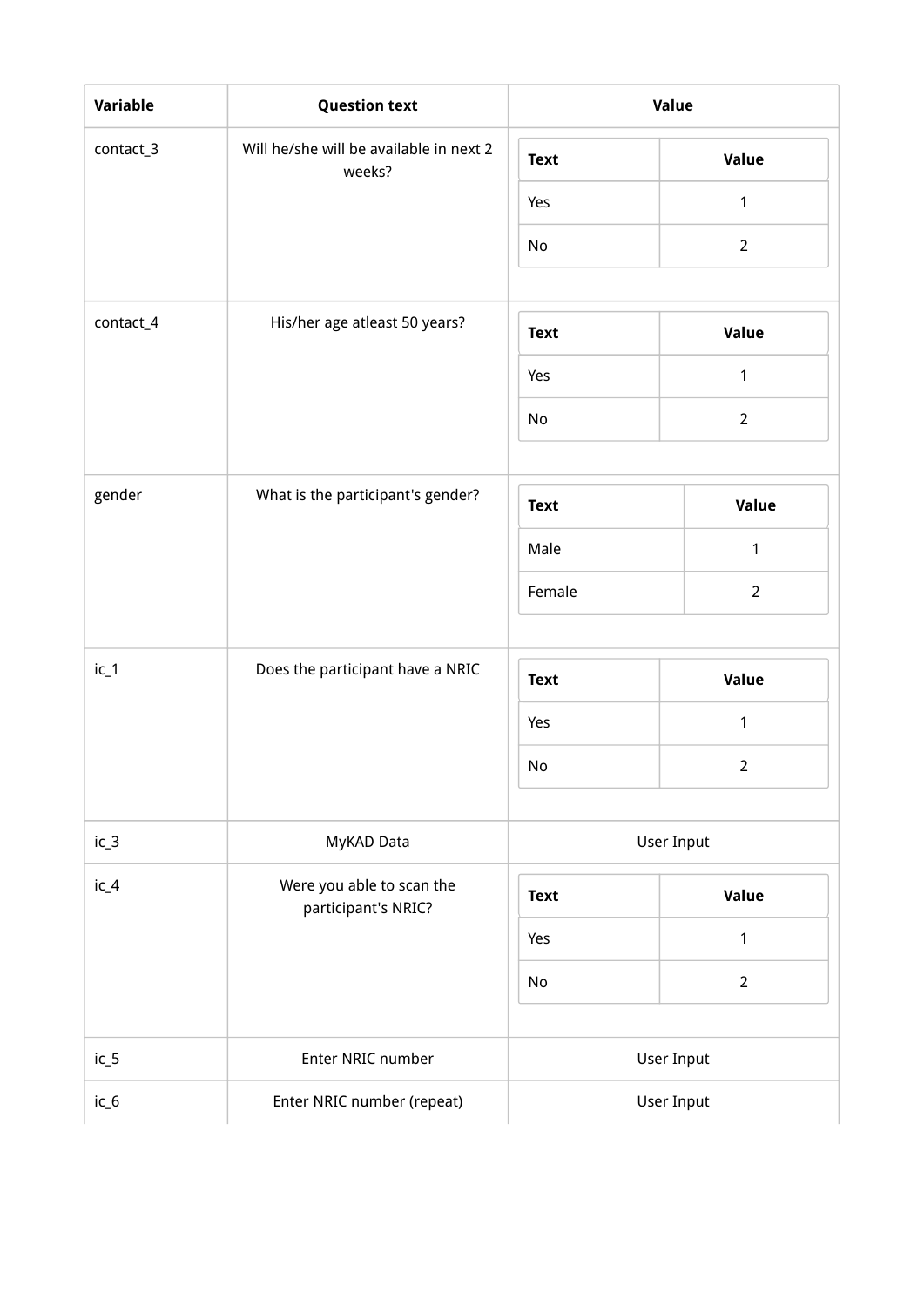| <b>Variable</b> | <b>Question text</b>                              |             | Value          |
|-----------------|---------------------------------------------------|-------------|----------------|
| contact_3       | Will he/she will be available in next 2<br>weeks? | <b>Text</b> | Value          |
|                 |                                                   | Yes         | $\mathbf{1}$   |
|                 |                                                   | No          | $\overline{2}$ |
|                 |                                                   |             |                |
| contact_4       | His/her age atleast 50 years?                     | <b>Text</b> | Value          |
|                 |                                                   | Yes         | $\mathbf{1}$   |
|                 |                                                   | No          | $\overline{2}$ |
| gender          | What is the participant's gender?                 |             |                |
|                 |                                                   | <b>Text</b> | Value          |
|                 |                                                   | Male        | $\mathbf{1}$   |
|                 |                                                   | Female      | $\overline{2}$ |
| $ic_1$          | Does the participant have a NRIC                  | <b>Text</b> | Value          |
|                 |                                                   | Yes         | $\mathbf{1}$   |
|                 |                                                   | No          | $\overline{2}$ |
| $ic_3$          | MyKAD Data                                        | User Input  |                |
| $iC_4$          | Were you able to scan the<br>participant's NRIC?  | <b>Text</b> | Value          |
|                 |                                                   | Yes         | $\mathbf{1}$   |
|                 |                                                   | No          | $\overline{2}$ |
| $ic_5$          | Enter NRIC number                                 |             | User Input     |
| $iC_6$          | Enter NRIC number (repeat)                        |             | User Input     |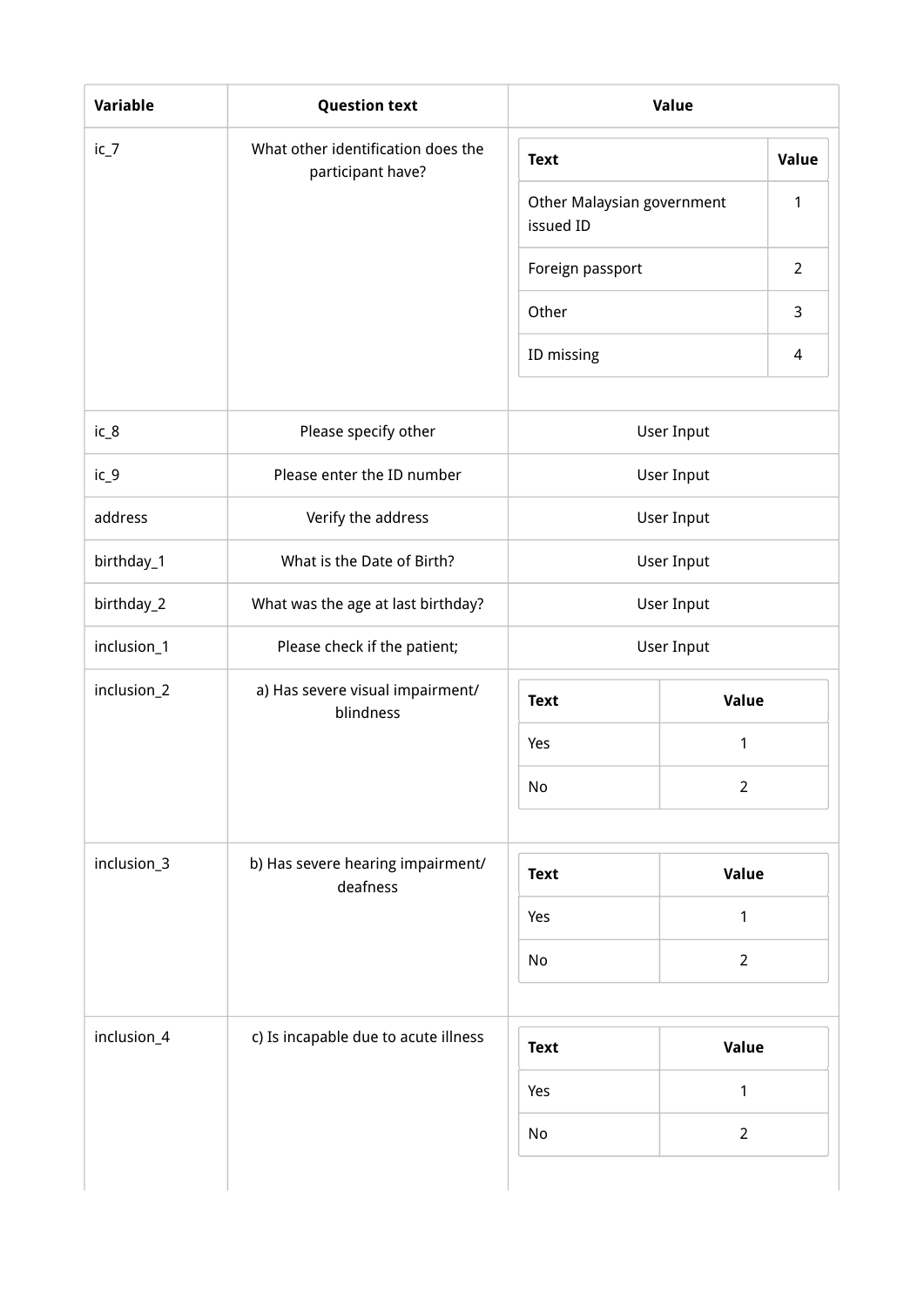| $ic_7$      | What other identification does the            |                                         |                | Value          |
|-------------|-----------------------------------------------|-----------------------------------------|----------------|----------------|
|             | participant have?                             | <b>Text</b>                             |                |                |
|             |                                               | Other Malaysian government<br>issued ID |                | $\mathbf{1}$   |
|             |                                               | Foreign passport                        |                | $\overline{2}$ |
|             |                                               | Other                                   |                | 3              |
|             |                                               | ID missing                              |                | 4              |
| $iC_8$      | Please specify other                          |                                         | User Input     |                |
| $ic_9$      | Please enter the ID number                    |                                         | User Input     |                |
| address     | Verify the address                            |                                         | User Input     |                |
| birthday_1  | What is the Date of Birth?                    | User Input                              |                |                |
| birthday_2  | What was the age at last birthday?            | User Input                              |                |                |
| inclusion_1 | Please check if the patient;                  | User Input                              |                |                |
| inclusion_2 | a) Has severe visual impairment/<br>blindness | <b>Text</b>                             | Value          |                |
|             |                                               | Yes                                     | 1              |                |
|             |                                               | No                                      | $\overline{2}$ |                |
|             |                                               |                                         |                |                |
| inclusion_3 | b) Has severe hearing impairment/<br>deafness | <b>Text</b>                             | Value          |                |
|             |                                               | 1<br>Yes                                |                |                |
|             |                                               | $\overline{2}$<br>No                    |                |                |
|             |                                               |                                         |                |                |
| inclusion_4 | c) Is incapable due to acute illness          | <b>Text</b>                             | <b>Value</b>   |                |
|             |                                               | Yes                                     | 1              |                |
|             |                                               | No                                      | $\overline{2}$ |                |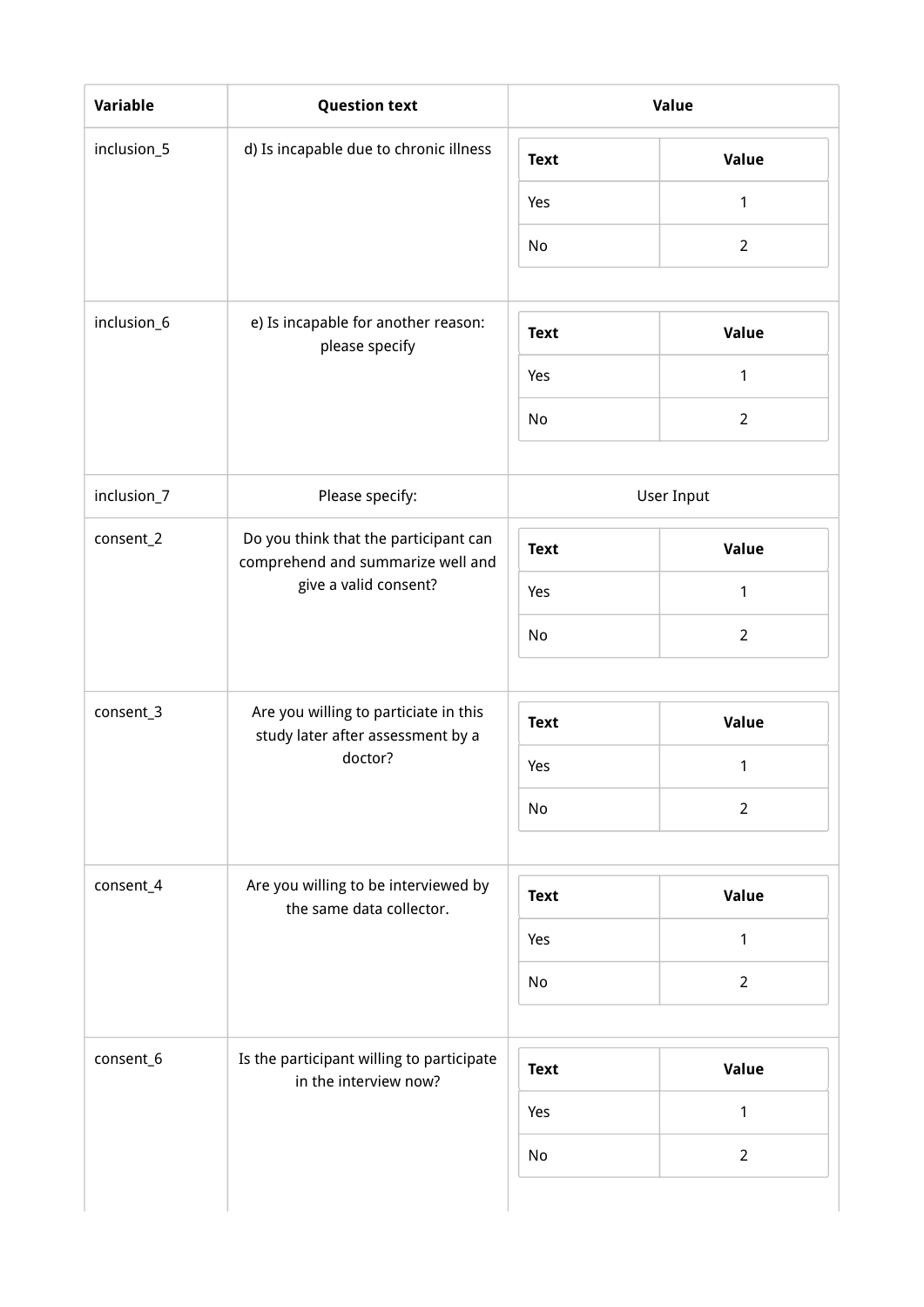| <b>Variable</b> | <b>Question text</b>                                                                                |             | Value             |
|-----------------|-----------------------------------------------------------------------------------------------------|-------------|-------------------|
| inclusion_5     | d) Is incapable due to chronic illness                                                              | <b>Text</b> | Value             |
|                 |                                                                                                     | Yes         | 1                 |
|                 |                                                                                                     | No          | $\overline{2}$    |
|                 |                                                                                                     |             |                   |
| inclusion_6     | e) Is incapable for another reason:<br>please specify                                               | <b>Text</b> | Value             |
|                 |                                                                                                     | Yes         | $\mathbf{1}$      |
|                 |                                                                                                     | No          | $\overline{2}$    |
| inclusion_7     | Please specify:                                                                                     |             | <b>User Input</b> |
| consent_2       | Do you think that the participant can<br>comprehend and summarize well and<br>give a valid consent? | <b>Text</b> | Value             |
|                 |                                                                                                     | Yes         | 1                 |
|                 |                                                                                                     | No          | $\overline{2}$    |
|                 |                                                                                                     |             |                   |
| consent_3       | Are you willing to particiate in this<br>study later after assessment by a                          | <b>Text</b> | Value             |
|                 | doctor?                                                                                             | Yes         | 1                 |
|                 |                                                                                                     | No          | $\overline{2}$    |
|                 |                                                                                                     |             |                   |
| consent_4       | Are you willing to be interviewed by<br>the same data collector.                                    | <b>Text</b> | Value             |
|                 |                                                                                                     | Yes         | 1                 |
|                 |                                                                                                     | No          | $\overline{2}$    |
|                 |                                                                                                     |             |                   |
| consent_6       | Is the participant willing to participate<br>in the interview now?                                  | <b>Text</b> | Value             |
|                 |                                                                                                     | Yes         | $\mathbf{1}$      |
|                 |                                                                                                     | No          | $\overline{2}$    |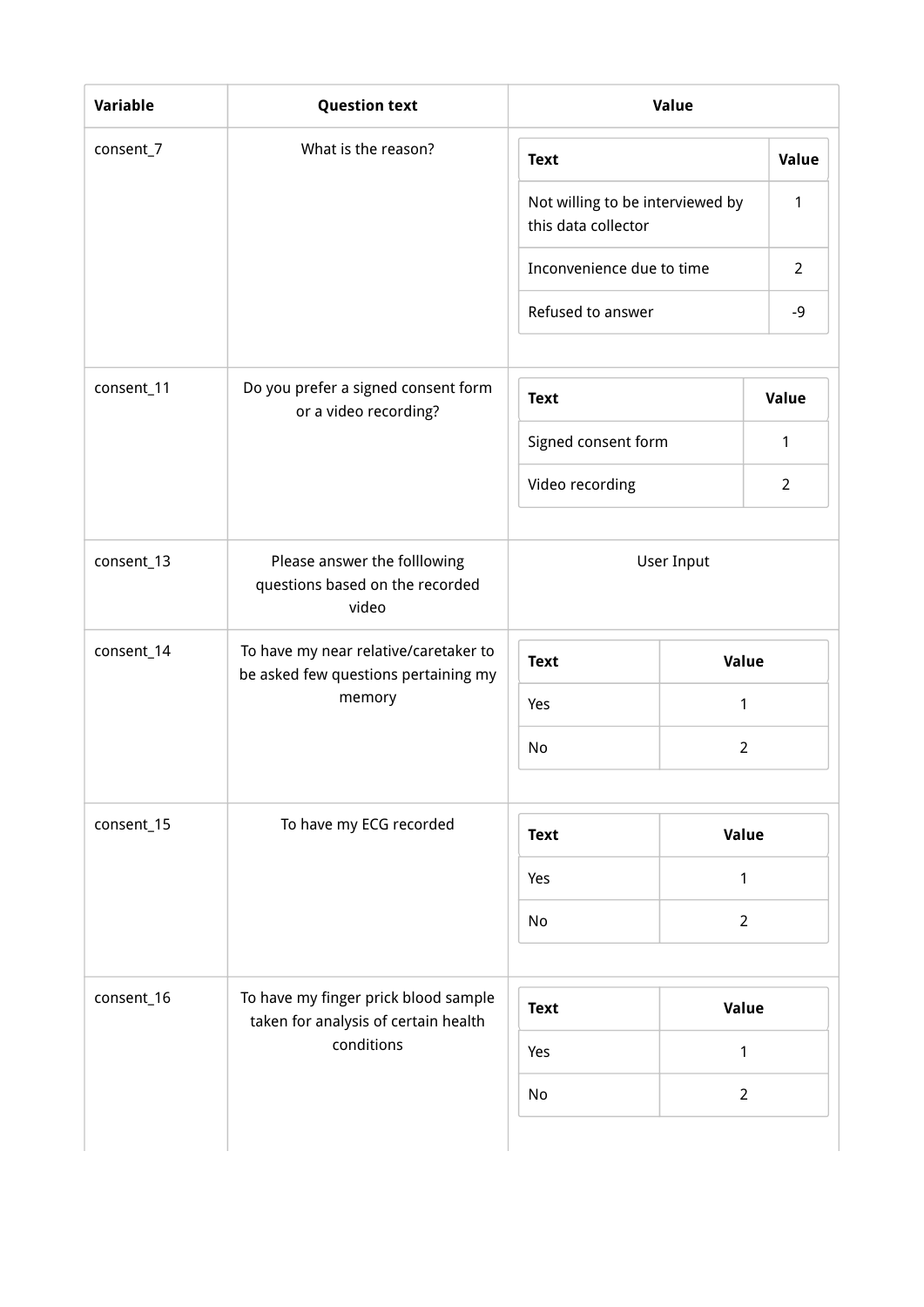| <b>Variable</b> | <b>Question text</b>                                                          |                                                         | Value             |                |
|-----------------|-------------------------------------------------------------------------------|---------------------------------------------------------|-------------------|----------------|
| consent_7       | What is the reason?                                                           | <b>Text</b>                                             |                   | Value          |
|                 |                                                                               | Not willing to be interviewed by<br>this data collector |                   | 1              |
|                 |                                                                               | Inconvenience due to time                               |                   | $\overline{2}$ |
|                 |                                                                               | Refused to answer                                       |                   | $-9$           |
| consent_11      | Do you prefer a signed consent form<br>or a video recording?                  | <b>Text</b>                                             |                   | Value          |
|                 |                                                                               | Signed consent form                                     |                   | 1              |
|                 |                                                                               | Video recording                                         |                   | $\overline{2}$ |
| consent_13      | Please answer the folllowing<br>questions based on the recorded<br>video      |                                                         | <b>User Input</b> |                |
| consent_14      | To have my near relative/caretaker to<br>be asked few questions pertaining my | <b>Text</b>                                             | Value             |                |
|                 | memory                                                                        | Yes                                                     | 1                 |                |
|                 |                                                                               | No                                                      | $\overline{2}$    |                |
| consent_15      | To have my ECG recorded                                                       |                                                         |                   |                |
|                 |                                                                               | <b>Text</b>                                             | Value             |                |
|                 |                                                                               | Yes                                                     | $\mathbf{1}$      |                |
|                 |                                                                               | No                                                      | $\overline{2}$    |                |
| consent_16      | To have my finger prick blood sample<br>taken for analysis of certain health  | <b>Text</b>                                             | Value             |                |
|                 | conditions                                                                    | Yes                                                     | $\mathbf{1}$      |                |
|                 |                                                                               | No                                                      | $\overline{2}$    |                |
|                 |                                                                               |                                                         |                   |                |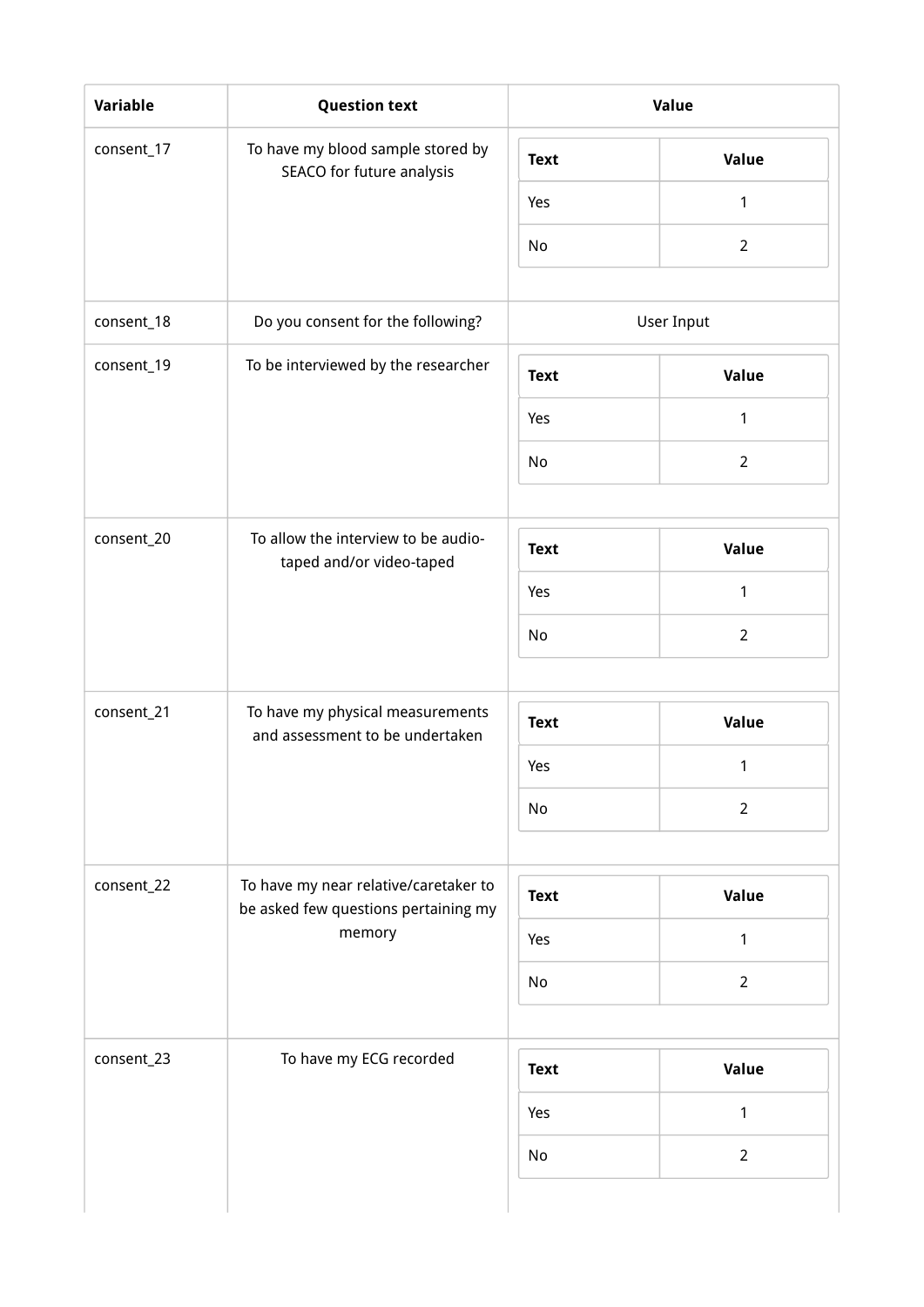| Variable   | <b>Question text</b>                                                          |             | Value          |
|------------|-------------------------------------------------------------------------------|-------------|----------------|
| consent_17 | To have my blood sample stored by<br>SEACO for future analysis                | <b>Text</b> | Value          |
|            |                                                                               | Yes         | $\mathbf{1}$   |
|            |                                                                               | No          | $\overline{2}$ |
| consent_18 | Do you consent for the following?                                             |             | User Input     |
| consent_19 | To be interviewed by the researcher                                           | <b>Text</b> | Value          |
|            |                                                                               | Yes         | 1              |
|            |                                                                               | No          | $\overline{2}$ |
|            |                                                                               |             |                |
| consent_20 | To allow the interview to be audio-<br>taped and/or video-taped               | <b>Text</b> | Value          |
|            |                                                                               | Yes         | 1              |
|            |                                                                               | No          | $\overline{2}$ |
|            |                                                                               |             |                |
| consent_21 | To have my physical measurements<br>and assessment to be undertaken           | <b>Text</b> | Value          |
|            |                                                                               | Yes         | $\mathbf{1}$   |
|            |                                                                               | No          | $\overline{2}$ |
|            |                                                                               |             |                |
| consent_22 | To have my near relative/caretaker to<br>be asked few questions pertaining my | <b>Text</b> | Value          |
|            | memory                                                                        | Yes         | $\mathbf{1}$   |
|            |                                                                               | No          | $\overline{2}$ |
|            |                                                                               |             |                |
| consent_23 | To have my ECG recorded                                                       | <b>Text</b> | Value          |
|            |                                                                               | Yes         | 1              |
|            |                                                                               | No          | $\overline{2}$ |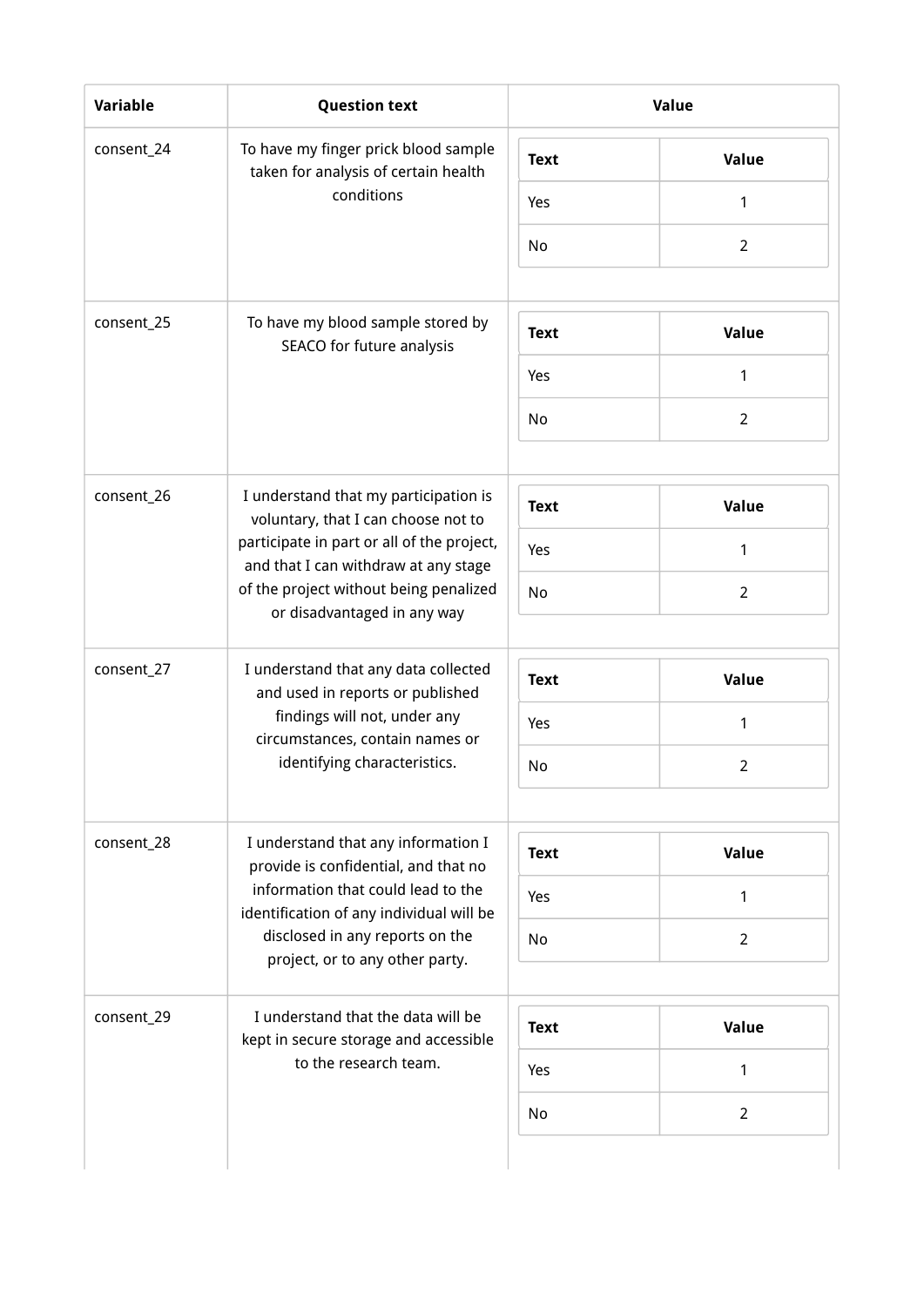| <b>Variable</b> | <b>Question text</b>                                                                                                                                                                               |             | Value          |
|-----------------|----------------------------------------------------------------------------------------------------------------------------------------------------------------------------------------------------|-------------|----------------|
| consent_24      | To have my finger prick blood sample<br>taken for analysis of certain health                                                                                                                       | <b>Text</b> | Value          |
|                 | conditions                                                                                                                                                                                         | Yes         | 1              |
|                 |                                                                                                                                                                                                    | No          | $\overline{2}$ |
| consent_25      | To have my blood sample stored by                                                                                                                                                                  | <b>Text</b> | Value          |
|                 | SEACO for future analysis                                                                                                                                                                          | Yes         | 1              |
|                 |                                                                                                                                                                                                    | No          | $\overline{2}$ |
| consent_26      | I understand that my participation is                                                                                                                                                              | <b>Text</b> | Value          |
|                 | voluntary, that I can choose not to<br>participate in part or all of the project,<br>and that I can withdraw at any stage<br>of the project without being penalized<br>or disadvantaged in any way | Yes         | 1              |
|                 |                                                                                                                                                                                                    | No          | $\overline{2}$ |
| consent_27      | I understand that any data collected<br>and used in reports or published                                                                                                                           | <b>Text</b> | Value          |
|                 | findings will not, under any                                                                                                                                                                       | Yes         | 1              |
|                 | circumstances, contain names or<br>identifying characteristics.                                                                                                                                    | No          | $\overline{2}$ |
| consent_28      | I understand that any information I                                                                                                                                                                | <b>Text</b> | Value          |
|                 | provide is confidential, and that no<br>information that could lead to the                                                                                                                         | Yes         | 1              |
|                 | identification of any individual will be<br>disclosed in any reports on the                                                                                                                        | No          | $\overline{2}$ |
|                 | project, or to any other party.                                                                                                                                                                    |             |                |
| consent_29      | I understand that the data will be<br>kept in secure storage and accessible                                                                                                                        | <b>Text</b> | Value          |
|                 | to the research team.                                                                                                                                                                              | Yes         | 1              |
|                 |                                                                                                                                                                                                    | No          | $\overline{2}$ |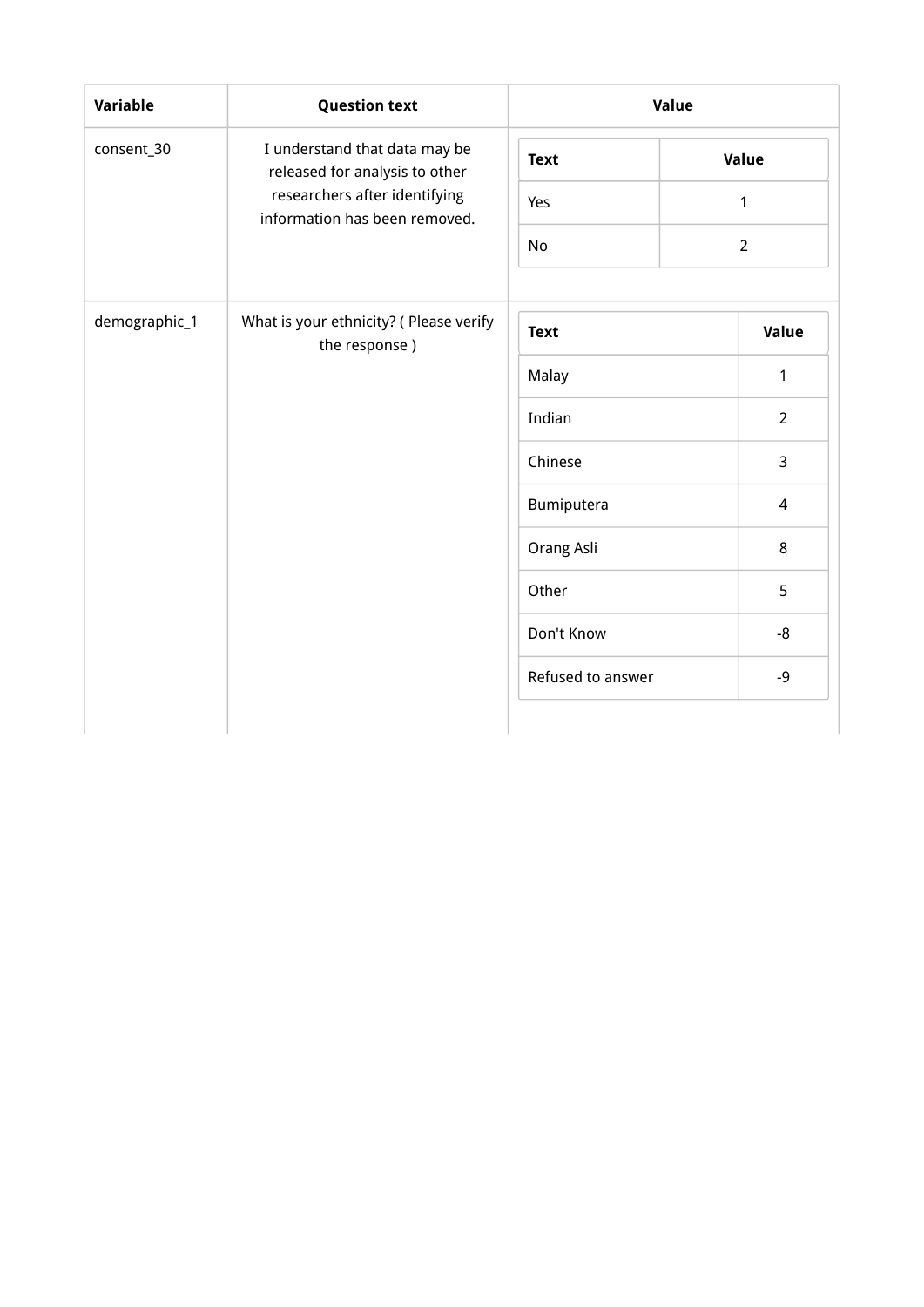| Variable      | <b>Question text</b>                                            | Value             |                |
|---------------|-----------------------------------------------------------------|-------------------|----------------|
| consent_30    | I understand that data may be<br>released for analysis to other | <b>Text</b>       | Value          |
|               | researchers after identifying<br>information has been removed.  | Yes               | $\mathbf{1}$   |
|               |                                                                 | <b>No</b>         | $\overline{2}$ |
|               |                                                                 |                   |                |
| demographic_1 | What is your ethnicity? ( Please verify<br>the response)        | <b>Text</b>       | Value          |
|               |                                                                 | Malay             | $\mathbf{1}$   |
|               |                                                                 | Indian            | $\overline{2}$ |
|               |                                                                 | Chinese           | 3              |
|               |                                                                 | Bumiputera        | $\overline{4}$ |
|               |                                                                 | Orang Asli        | 8              |
|               |                                                                 | Other             | 5              |
|               |                                                                 | Don't Know        | -8             |
|               |                                                                 | Refused to answer | $-9$           |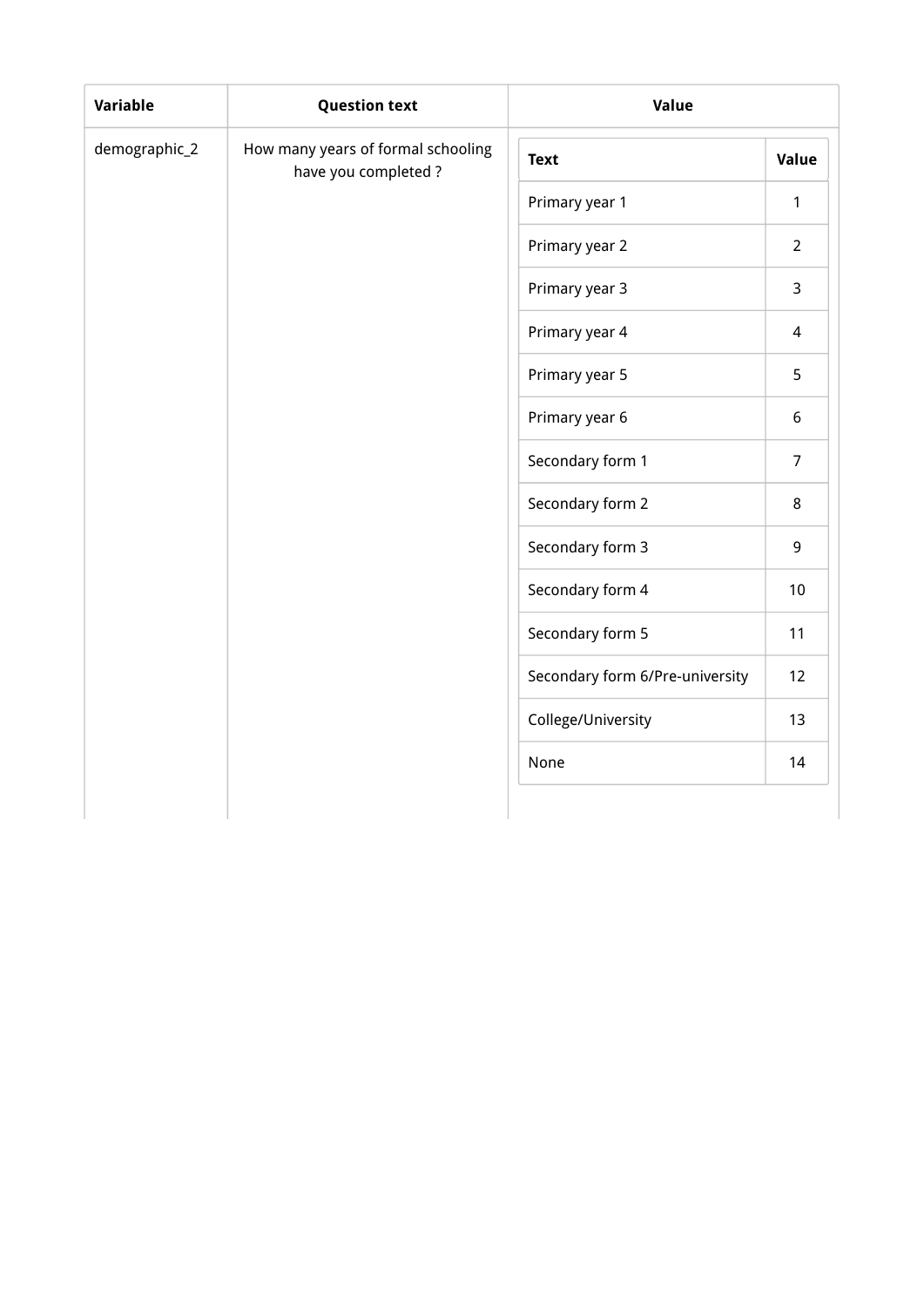| demographic_2 | How many years of formal schooling |                                 |                |
|---------------|------------------------------------|---------------------------------|----------------|
|               | have you completed?                | <b>Text</b>                     | Value          |
|               |                                    | Primary year 1                  | $\mathbf{1}$   |
|               |                                    | Primary year 2                  | $\overline{2}$ |
|               |                                    | Primary year 3                  | $\mathsf{3}$   |
|               |                                    | Primary year 4                  | $\overline{4}$ |
|               |                                    | Primary year 5                  | 5              |
|               |                                    | Primary year 6                  | 6              |
|               |                                    | Secondary form 1                | $\overline{7}$ |
|               |                                    | Secondary form 2                | $\bf 8$        |
|               |                                    | Secondary form 3                | 9              |
|               |                                    | Secondary form 4                | 10             |
|               |                                    | Secondary form 5                | 11             |
|               |                                    | Secondary form 6/Pre-university | 12             |
|               |                                    | College/University              | 13             |
|               |                                    | None                            | 14             |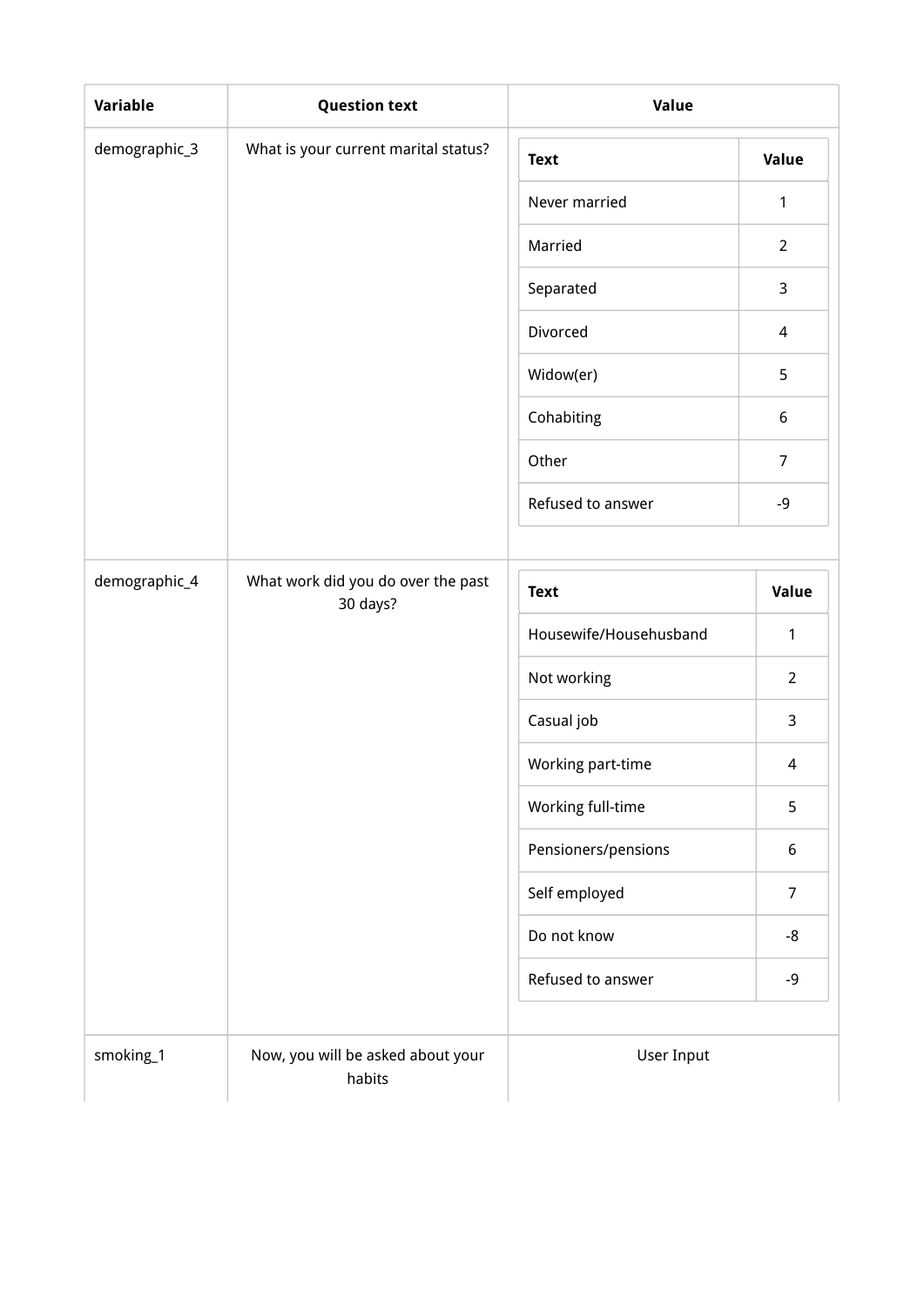| Variable      | <b>Question text</b>                           | Value                  |                          |  |
|---------------|------------------------------------------------|------------------------|--------------------------|--|
| demographic_3 | What is your current marital status?           | <b>Text</b>            | <b>Value</b>             |  |
|               |                                                | Never married          | 1                        |  |
|               |                                                | Married                | $\overline{2}$           |  |
|               |                                                | Separated              | 3                        |  |
|               |                                                | Divorced               | 4                        |  |
|               |                                                | Widow(er)              | 5                        |  |
|               |                                                | Cohabiting             | 6                        |  |
|               |                                                | Other                  | $\overline{7}$           |  |
|               |                                                | Refused to answer      | $-9$                     |  |
|               |                                                |                        |                          |  |
| demographic_4 | What work did you do over the past<br>30 days? | <b>Text</b>            | Value                    |  |
|               |                                                | Housewife/Househusband | 1                        |  |
|               |                                                | Not working            | $\overline{2}$           |  |
|               |                                                | Casual job             | 3                        |  |
|               |                                                | Working part-time      | $\overline{\mathcal{L}}$ |  |
|               |                                                | Working full-time      | 5                        |  |
|               |                                                | Pensioners/pensions    | 6                        |  |
|               |                                                | Self employed          | $\overline{7}$           |  |
|               |                                                | Do not know            | $-8$                     |  |
|               |                                                | Refused to answer      | $-9$                     |  |
| smoking_1     | Now, you will be asked about your              | User Input             |                          |  |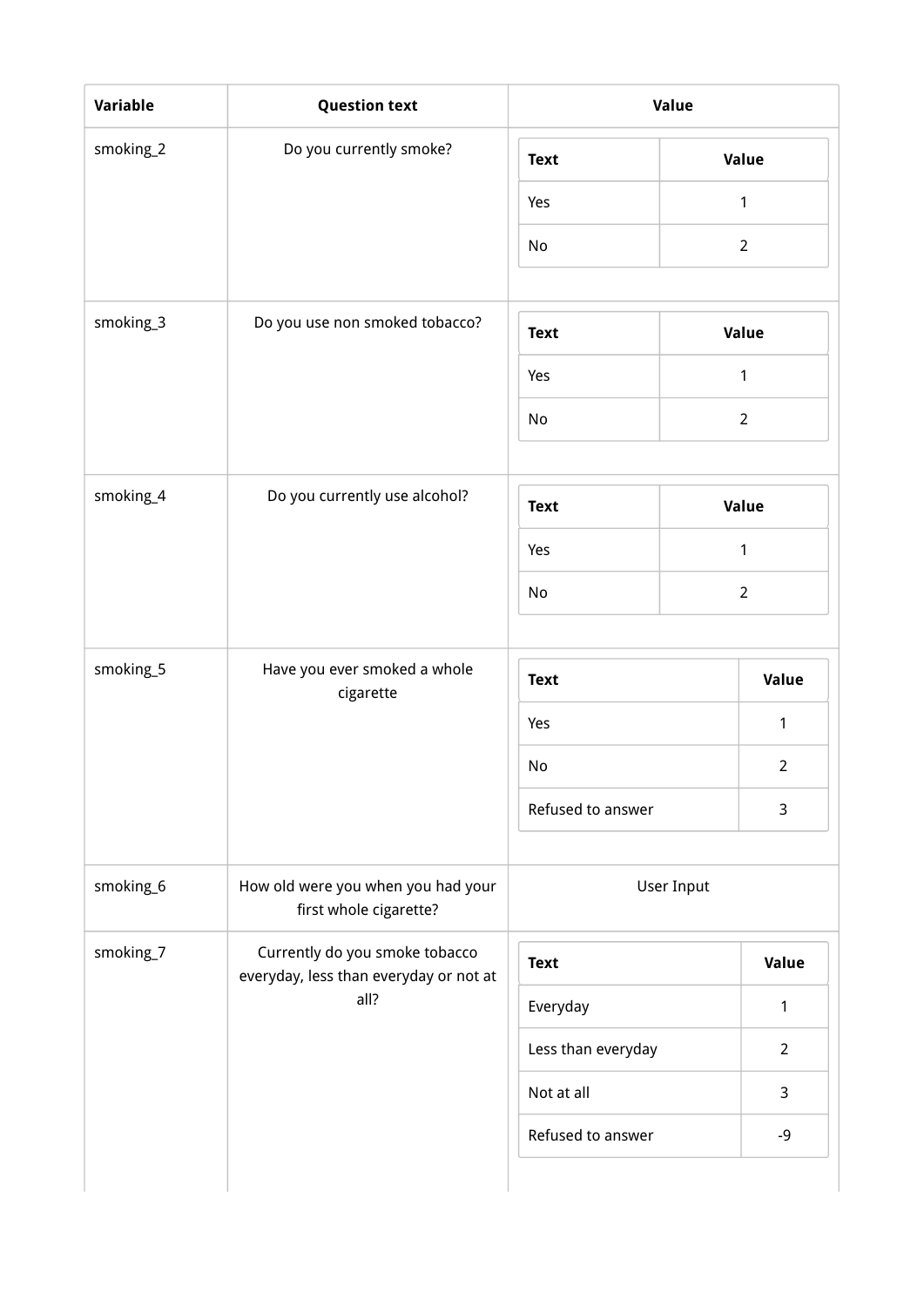|           | <b>Question text</b>                                                     |                    |                |  |
|-----------|--------------------------------------------------------------------------|--------------------|----------------|--|
| smoking_2 | Do you currently smoke?                                                  | <b>Text</b>        | Value          |  |
|           |                                                                          | Yes                | $\mathbf{1}$   |  |
|           |                                                                          | No                 | $2^{\circ}$    |  |
| smoking_3 | Do you use non smoked tobacco?                                           |                    |                |  |
|           |                                                                          | <b>Text</b>        | Value          |  |
|           |                                                                          | Yes                | 1              |  |
|           |                                                                          | No                 | $\overline{2}$ |  |
| smoking_4 | Do you currently use alcohol?                                            | <b>Text</b>        | Value          |  |
|           |                                                                          | Yes                | $\mathbf{1}$   |  |
|           |                                                                          | No                 | $\overline{2}$ |  |
|           |                                                                          |                    |                |  |
| smoking_5 | Have you ever smoked a whole<br>cigarette                                | <b>Text</b>        | Value          |  |
|           |                                                                          | Yes                | $\mathbf{1}$   |  |
|           |                                                                          | No                 | $\overline{2}$ |  |
|           |                                                                          | Refused to answer  | 3              |  |
| smoking_6 | How old were you when you had your<br>first whole cigarette?             | User Input         |                |  |
| smoking_7 | Currently do you smoke tobacco<br>everyday, less than everyday or not at | <b>Text</b>        | Value          |  |
|           | all?                                                                     | Everyday           | 1              |  |
|           |                                                                          | Less than everyday | $\overline{2}$ |  |
|           |                                                                          | Not at all         | $\mathsf{3}$   |  |
|           |                                                                          | Refused to answer  | $-9$           |  |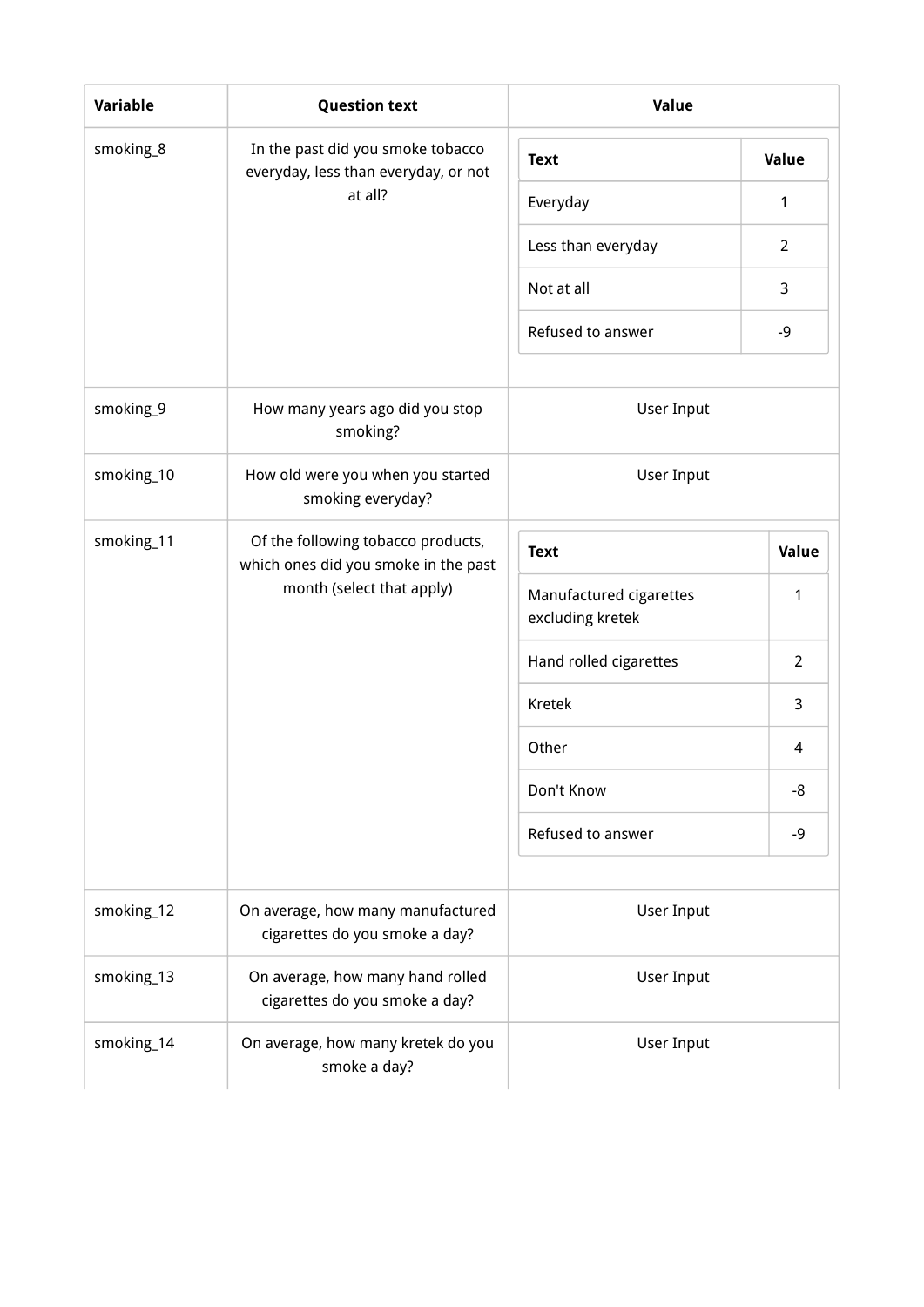| <b>Variable</b> | <b>Question text</b>                                                                                    | Value                                       |                |
|-----------------|---------------------------------------------------------------------------------------------------------|---------------------------------------------|----------------|
| smoking_8       | In the past did you smoke tobacco<br>everyday, less than everyday, or not                               | <b>Text</b>                                 | Value          |
|                 | at all?                                                                                                 | Everyday                                    | $\mathbf{1}$   |
|                 |                                                                                                         | Less than everyday                          | $\overline{2}$ |
|                 |                                                                                                         | Not at all                                  | 3              |
|                 |                                                                                                         | Refused to answer                           | $-9$           |
| smoking_9       | How many years ago did you stop<br>smoking?                                                             | User Input                                  |                |
| smoking_10      | How old were you when you started<br>smoking everyday?                                                  | User Input                                  |                |
| smoking_11      | Of the following tobacco products,<br>which ones did you smoke in the past<br>month (select that apply) | <b>Text</b>                                 | Value          |
|                 |                                                                                                         | Manufactured cigarettes<br>excluding kretek | 1              |
|                 |                                                                                                         | Hand rolled cigarettes                      | $\overline{2}$ |
|                 |                                                                                                         | Kretek                                      | 3              |
|                 |                                                                                                         | Other                                       | 4              |
|                 |                                                                                                         | Don't Know                                  | -8             |
|                 |                                                                                                         | Refused to answer                           | $-9$           |
| smoking_12      | On average, how many manufactured<br>cigarettes do you smoke a day?                                     | User Input                                  |                |
| smoking_13      | On average, how many hand rolled<br>cigarettes do you smoke a day?                                      | User Input                                  |                |
| smoking_14      | On average, how many kretek do you<br>smoke a day?                                                      | User Input                                  |                |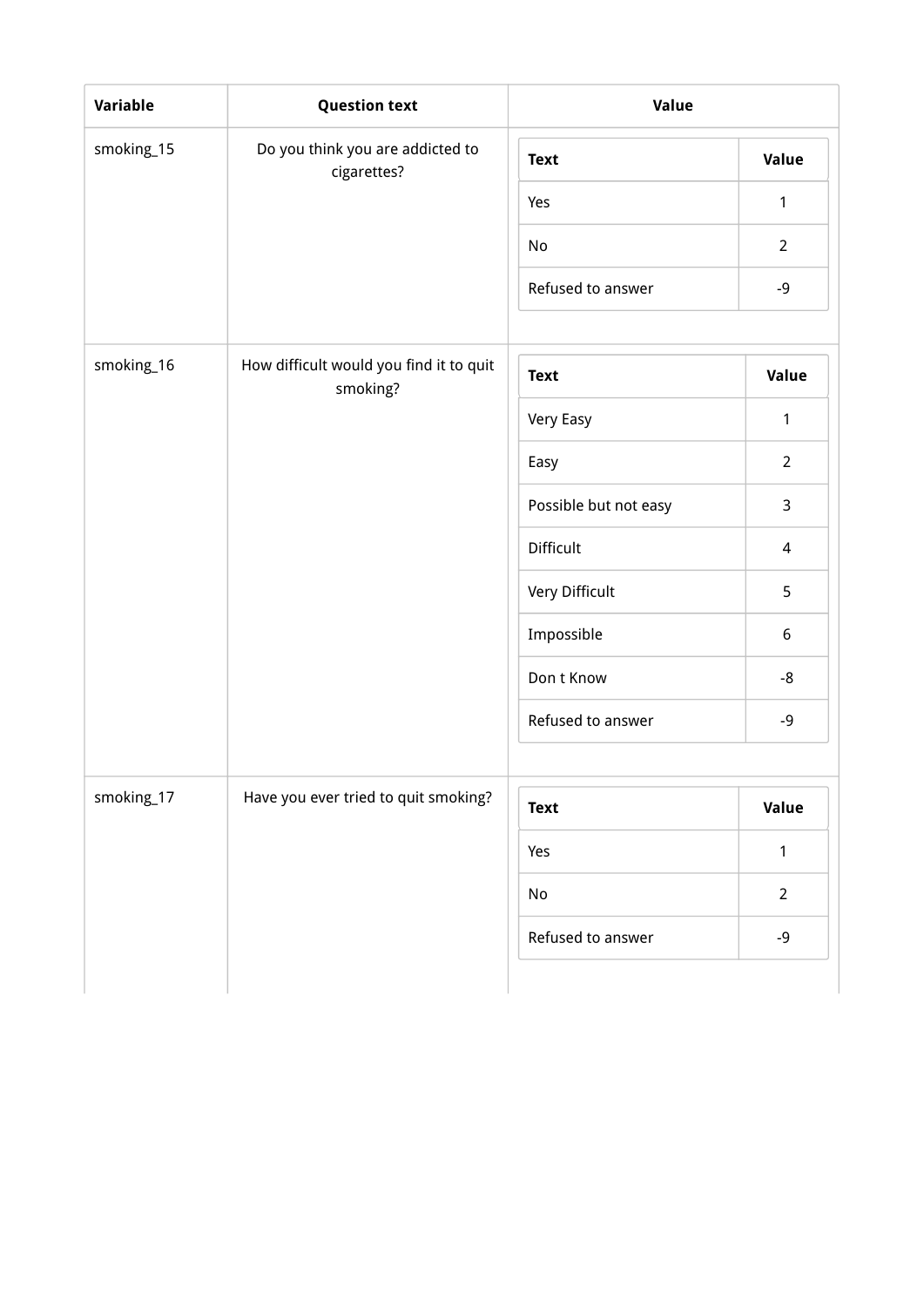| Variable   | <b>Question text</b>                                | Value                 |                |  |
|------------|-----------------------------------------------------|-----------------------|----------------|--|
| smoking_15 | Do you think you are addicted to<br>cigarettes?     | <b>Text</b>           | Value          |  |
|            |                                                     | Yes                   | $\mathbf{1}$   |  |
|            |                                                     | No                    | $\overline{2}$ |  |
|            |                                                     | Refused to answer     | $-9$           |  |
| smoking_16 | How difficult would you find it to quit<br>smoking? | <b>Text</b>           | Value          |  |
|            |                                                     | Very Easy             | $\mathbf{1}$   |  |
|            |                                                     | Easy                  | $\overline{2}$ |  |
|            |                                                     | Possible but not easy | 3              |  |
|            |                                                     | Difficult             | $\overline{4}$ |  |
|            |                                                     | Very Difficult        | 5              |  |
|            |                                                     | Impossible            | 6              |  |
|            |                                                     | Don t Know            | -8             |  |
|            |                                                     | Refused to answer     | -9             |  |
| smoking_17 | Have you ever tried to quit smoking?                | <b>Text</b>           | Value          |  |
|            |                                                     | Yes                   | $\mathbf{1}$   |  |
|            |                                                     | No                    | $\overline{2}$ |  |
|            |                                                     | Refused to answer     | $-9$           |  |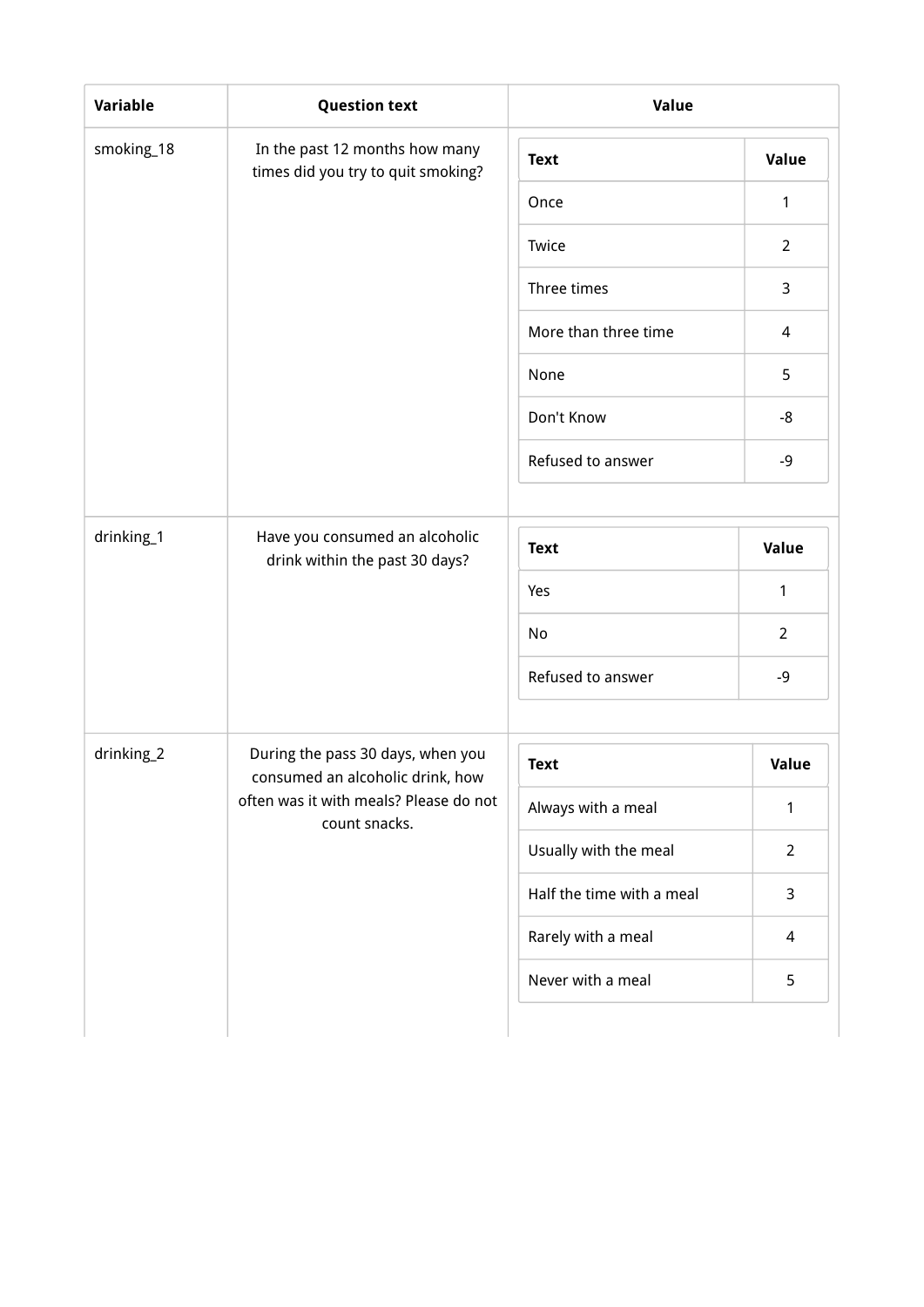| Variable   | <b>Question text</b>                                                  | Value                     |                |
|------------|-----------------------------------------------------------------------|---------------------------|----------------|
| smoking_18 | In the past 12 months how many<br>times did you try to quit smoking?  | <b>Text</b>               | Value          |
|            |                                                                       | Once                      | 1              |
|            |                                                                       | Twice                     | $\overline{2}$ |
|            |                                                                       | Three times               | 3              |
|            |                                                                       | More than three time      | 4              |
|            |                                                                       | None                      | 5              |
|            |                                                                       | Don't Know                | -8             |
|            |                                                                       | Refused to answer         | $-9$           |
| drinking_1 | Have you consumed an alcoholic<br>drink within the past 30 days?      | <b>Text</b>               | Value          |
|            |                                                                       | Yes                       | 1              |
|            |                                                                       | No                        | $\overline{2}$ |
|            |                                                                       | Refused to answer         | $-9$           |
| drinking_2 | During the pass 30 days, when you<br>consumed an alcoholic drink, how | <b>Text</b>               | Value          |
|            | often was it with meals? Please do not<br>count snacks.               | Always with a meal        | 1              |
|            |                                                                       | Usually with the meal     | $\overline{2}$ |
|            |                                                                       | Half the time with a meal | 3              |
|            |                                                                       | Rarely with a meal        | 4              |
|            |                                                                       | Never with a meal         | 5              |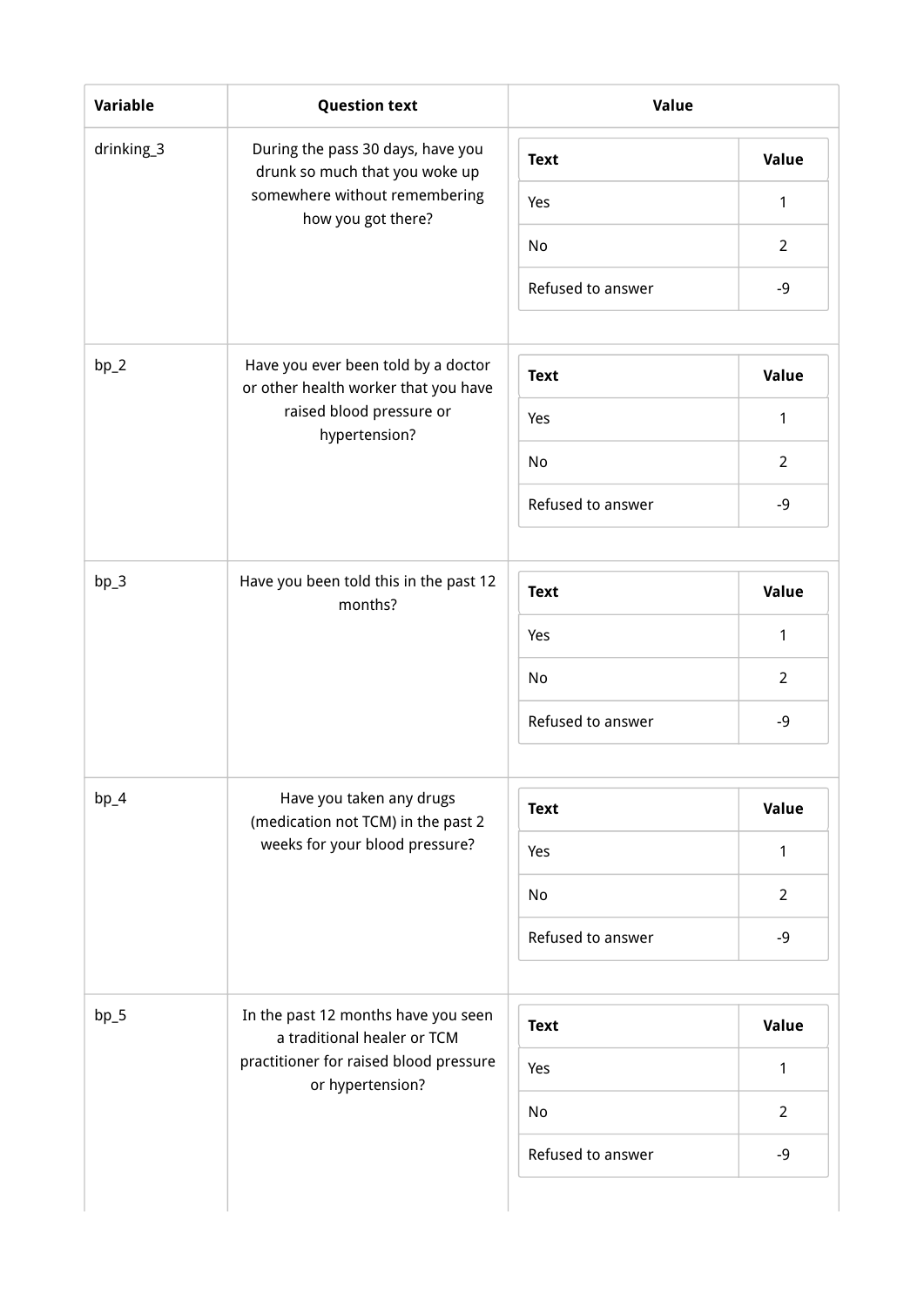| Variable   | <b>Question text</b>                                                  | Value             |                     |
|------------|-----------------------------------------------------------------------|-------------------|---------------------|
| drinking_3 | During the pass 30 days, have you<br>drunk so much that you woke up   | <b>Text</b>       | Value               |
|            | somewhere without remembering<br>how you got there?                   | Yes               | 1                   |
|            |                                                                       | No                | $\overline{2}$      |
|            |                                                                       | Refused to answer | $-9$                |
| $bp_2$     | Have you ever been told by a doctor                                   |                   |                     |
|            | or other health worker that you have<br>raised blood pressure or      | <b>Text</b>       | Value               |
|            | hypertension?                                                         | Yes               | $\mathbf{1}$        |
|            |                                                                       | No                | $\overline{2}$      |
|            |                                                                       | Refused to answer | $-9$                |
| $bp_3$     | Have you been told this in the past 12<br>months?                     | <b>Text</b>       | Value               |
|            |                                                                       | Yes               | 1                   |
|            |                                                                       | No                | $\overline{2}$      |
|            |                                                                       | Refused to answer | $-9$                |
| $bp_4$     | Have you taken any drugs                                              | <b>Text</b>       | Value               |
|            | (medication not TCM) in the past 2<br>weeks for your blood pressure?  | Yes               | 1                   |
|            |                                                                       | No                | $\overline{2}$      |
|            |                                                                       | Refused to answer | $-9$                |
| $bp_5$     | In the past 12 months have you seen                                   |                   |                     |
|            | a traditional healer or TCM<br>practitioner for raised blood pressure | <b>Text</b>       | Value               |
|            | or hypertension?                                                      | Yes<br>No         | 1<br>$\overline{2}$ |
|            |                                                                       | Refused to answer | $-9$                |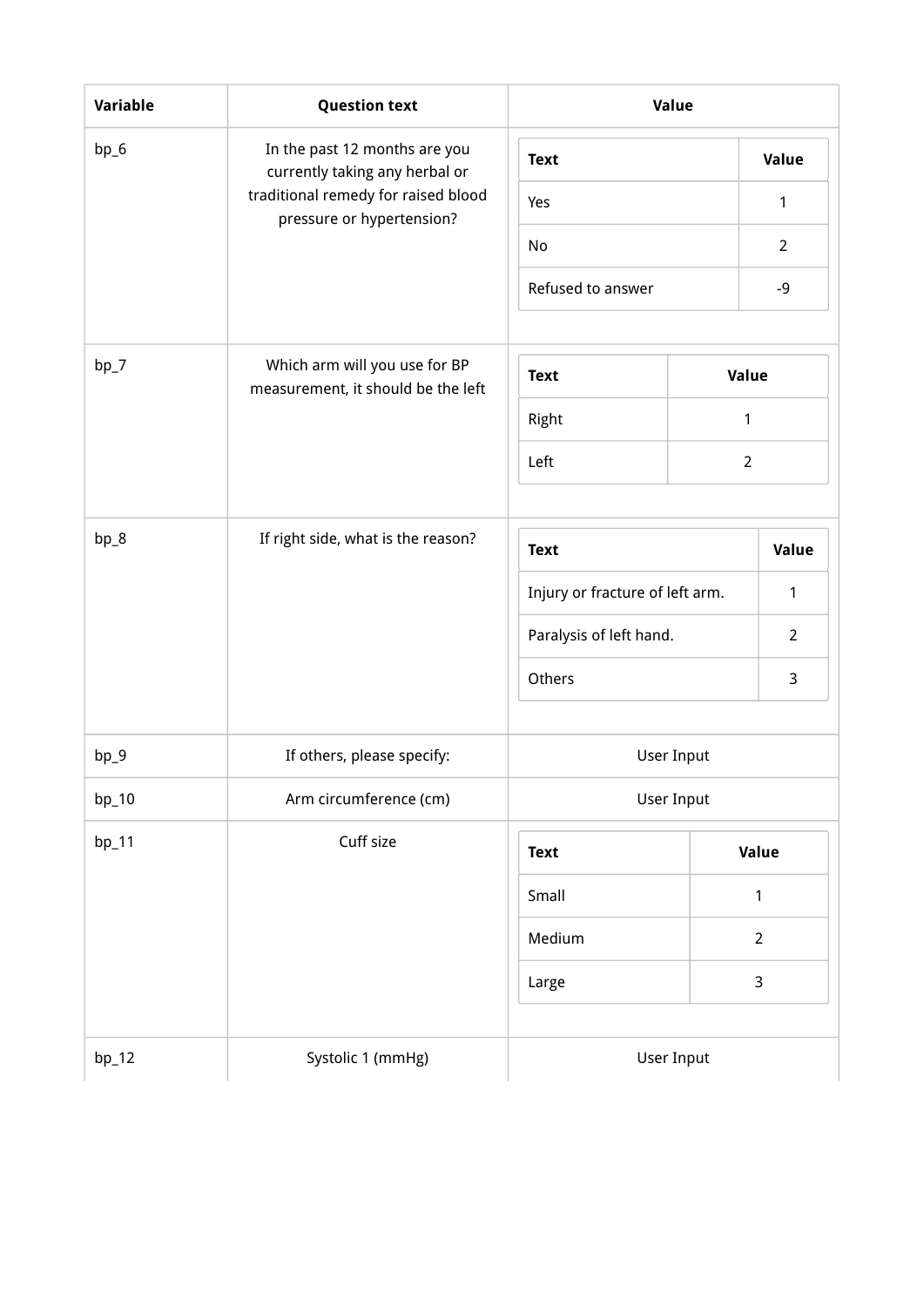| Variable | <b>Question text</b>                                                | Value                           |                |                |
|----------|---------------------------------------------------------------------|---------------------------------|----------------|----------------|
| bp_6     | In the past 12 months are you<br>currently taking any herbal or     | <b>Text</b>                     |                | Value          |
|          | traditional remedy for raised blood<br>pressure or hypertension?    | Yes                             |                | $\mathbf{1}$   |
|          |                                                                     | No                              |                | $\overline{2}$ |
|          |                                                                     | Refused to answer               |                | $-9$           |
| $bp_7$   | Which arm will you use for BP<br>measurement, it should be the left | <b>Text</b>                     | Value          |                |
|          |                                                                     | Right                           | 1              |                |
|          |                                                                     | Left                            | $\overline{2}$ |                |
| bp_8     | If right side, what is the reason?                                  | <b>Text</b>                     |                | Value          |
|          |                                                                     | Injury or fracture of left arm. |                | 1              |
|          |                                                                     | Paralysis of left hand.         |                | $\overline{2}$ |
|          |                                                                     | Others                          |                | 3              |
| $bp_9$   | If others, please specify:                                          | User Input                      |                |                |
| bp_10    | Arm circumference (cm)                                              | User Input                      |                |                |
| $bp_11$  | Cuff size                                                           | <b>Text</b>                     |                | Value          |
|          |                                                                     | Small                           |                | $\mathbf{1}$   |
|          |                                                                     | Medium                          |                | $\overline{2}$ |
|          |                                                                     | Large                           |                | 3              |
| $bp_12$  | Systolic 1 (mmHg)                                                   | User Input                      |                |                |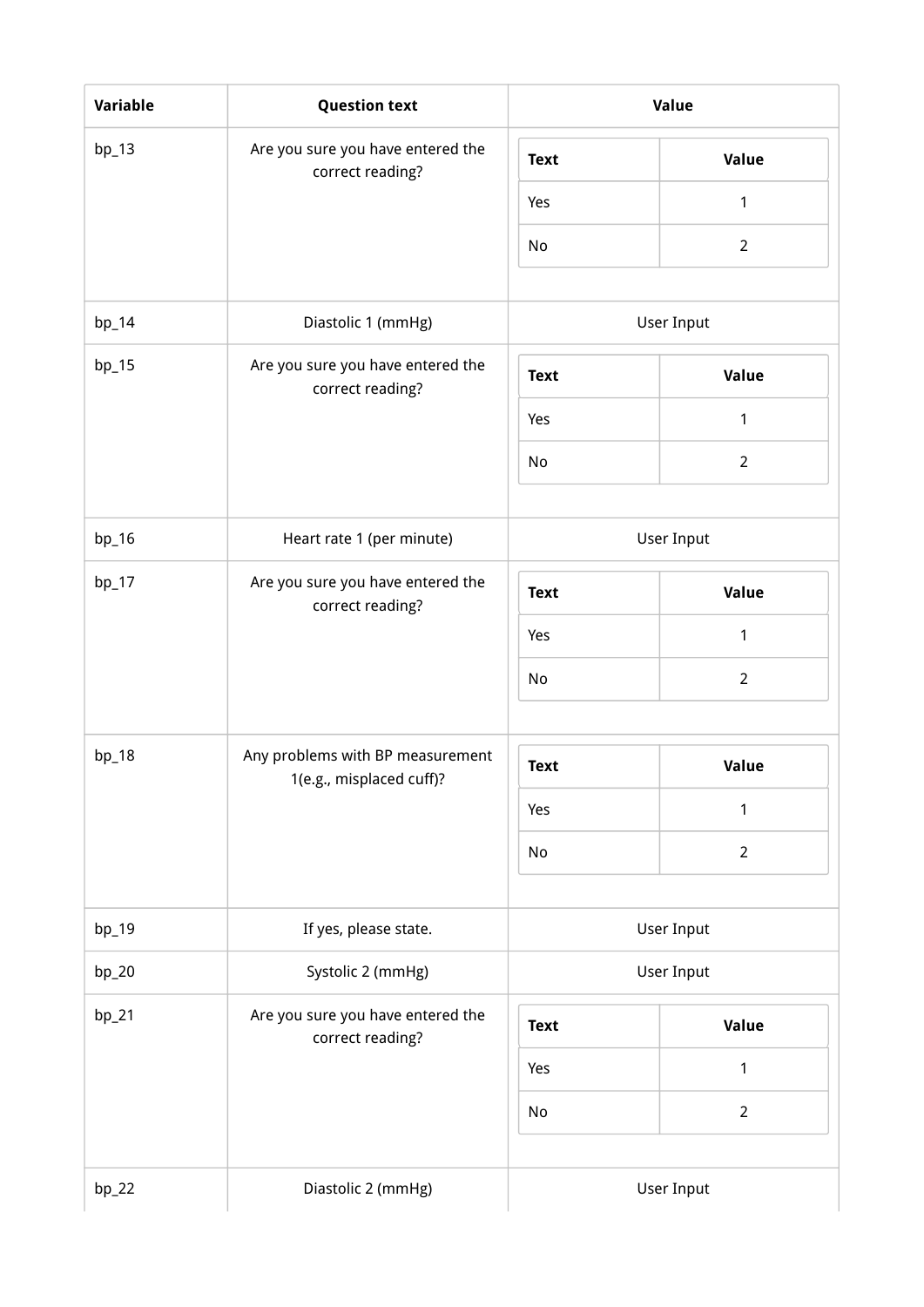| Variable | <b>Question text</b>                                  |             | Value          |
|----------|-------------------------------------------------------|-------------|----------------|
| $bp_13$  | Are you sure you have entered the<br>correct reading? | <b>Text</b> | Value          |
|          |                                                       | Yes         | 1              |
|          |                                                       | No          | $\overline{2}$ |
| $bp_14$  | Diastolic 1 (mmHg)                                    |             | User Input     |
|          |                                                       |             |                |
| $bp_15$  | Are you sure you have entered the<br>correct reading? | <b>Text</b> | Value          |
|          |                                                       | Yes         | 1              |
|          |                                                       | No          | $\overline{2}$ |
| $bp_16$  | Heart rate 1 (per minute)                             |             | User Input     |
| $bp_17$  | Are you sure you have entered the<br>correct reading? | <b>Text</b> | <b>Value</b>   |
|          |                                                       | Yes         | $\mathbf{1}$   |
|          |                                                       | No          | $\overline{2}$ |
| $bp_18$  | Any problems with BP measurement                      | <b>Text</b> | Value          |
|          | 1(e.g., misplaced cuff)?                              |             | 1              |
|          |                                                       | Yes         |                |
|          |                                                       | No          | $\overline{2}$ |
| $bp_19$  | If yes, please state.                                 |             | User Input     |
| $bp_20$  | Systolic 2 (mmHg)                                     | User Input  |                |
| $bp_21$  | Are you sure you have entered the<br>correct reading? | <b>Text</b> | Value          |
|          |                                                       | Yes         | $\mathbf{1}$   |
|          |                                                       | No          | $\overline{2}$ |
|          |                                                       |             |                |
| $bp_22$  | Diastolic 2 (mmHg)                                    |             | User Input     |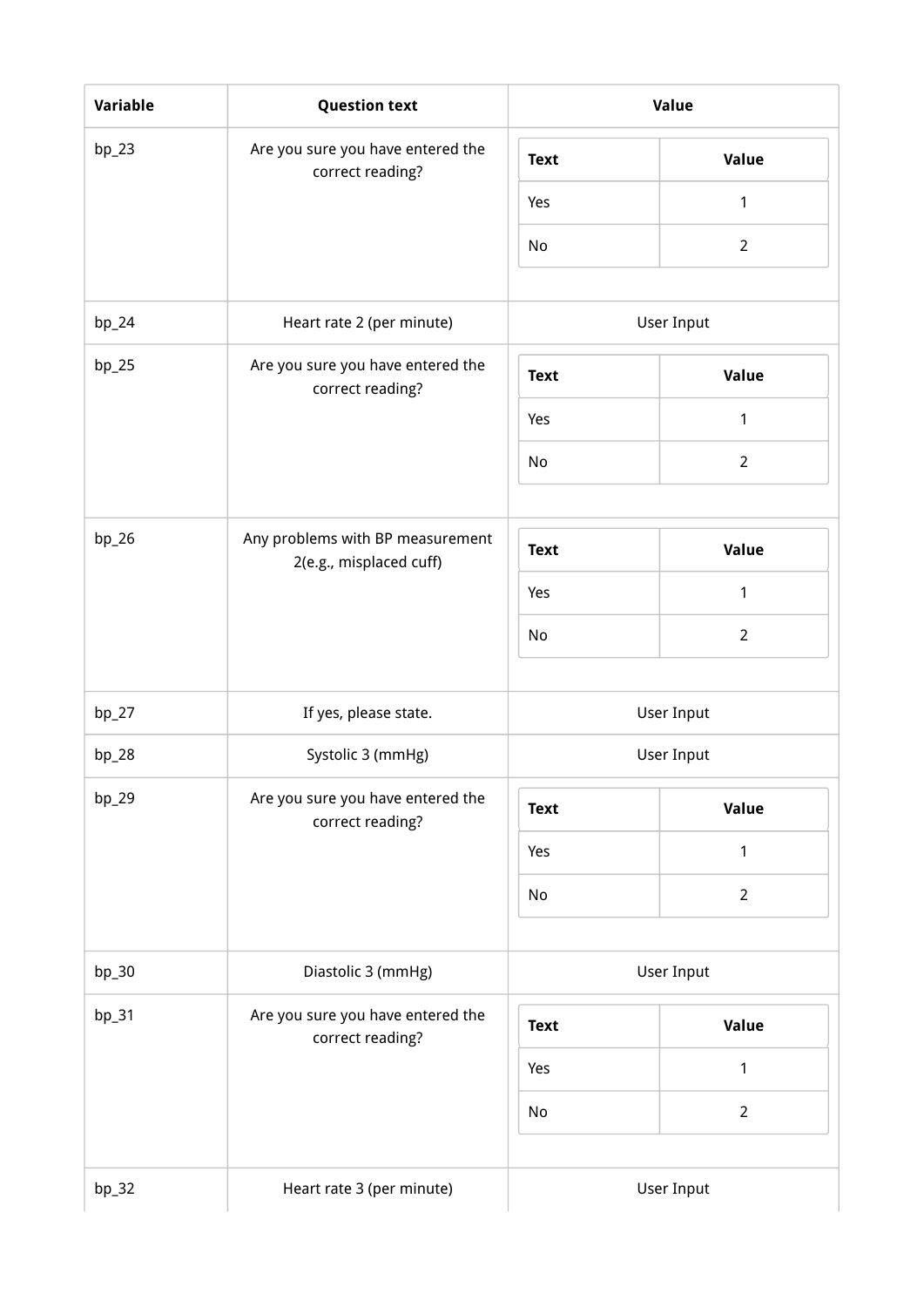| Variable | <b>Question text</b>                                        |             | Value          |
|----------|-------------------------------------------------------------|-------------|----------------|
| $bp_23$  | Are you sure you have entered the<br>correct reading?       | <b>Text</b> | Value          |
|          |                                                             | Yes         | 1              |
|          |                                                             | No          | $\overline{2}$ |
| $bp_24$  | Heart rate 2 (per minute)                                   |             | User Input     |
| $bp_25$  | Are you sure you have entered the<br>correct reading?       | <b>Text</b> | Value          |
|          |                                                             | Yes         | 1              |
|          |                                                             | No          | $\overline{2}$ |
|          |                                                             |             |                |
| $bp_26$  | Any problems with BP measurement<br>2(e.g., misplaced cuff) | <b>Text</b> | Value          |
|          |                                                             | Yes         | $\mathbf{1}$   |
|          |                                                             | No          | $\overline{2}$ |
| $bp_2$   | If yes, please state.                                       |             | User Input     |
| $bp_28$  | Systolic 3 (mmHg)                                           |             | User Input     |
| $bp_29$  | Are you sure you have entered the<br>correct reading?       | <b>Text</b> | Value          |
|          |                                                             | Yes         | 1              |
|          |                                                             | No          | $\overline{2}$ |
| $bp_30$  | Diastolic 3 (mmHg)                                          |             | User Input     |
| $bp_31$  | Are you sure you have entered the                           |             |                |
|          | correct reading?                                            | <b>Text</b> | Value          |
|          |                                                             | Yes         | 1              |
|          |                                                             | No          | $\overline{2}$ |
| $bp_32$  | Heart rate 3 (per minute)                                   |             | User Input     |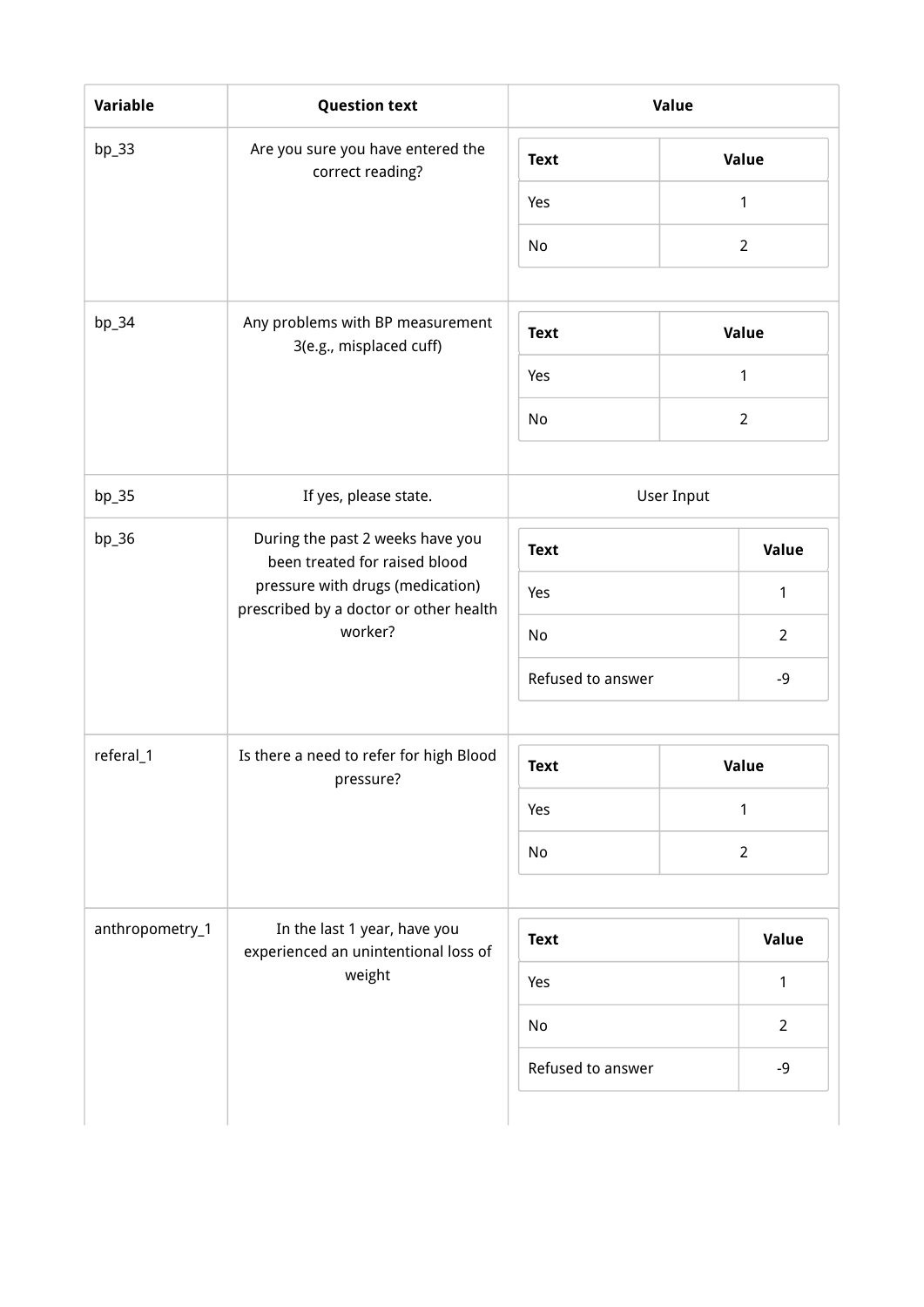| Variable        | <b>Question text</b>                                                                                                                                       | Value             |                   |                |  |  |
|-----------------|------------------------------------------------------------------------------------------------------------------------------------------------------------|-------------------|-------------------|----------------|--|--|
| $bp_33$         | Are you sure you have entered the<br>correct reading?                                                                                                      | <b>Text</b>       |                   | Value          |  |  |
|                 |                                                                                                                                                            | Yes               |                   | 1              |  |  |
|                 |                                                                                                                                                            | No                |                   | $\overline{2}$ |  |  |
| bp_34           | Any problems with BP measurement                                                                                                                           | <b>Text</b>       |                   | Value          |  |  |
|                 | 3(e.g., misplaced cuff)                                                                                                                                    | Yes               |                   | $\mathbf{1}$   |  |  |
|                 |                                                                                                                                                            | No                |                   | $\overline{2}$ |  |  |
| bp_35           | If yes, please state.                                                                                                                                      |                   | <b>User Input</b> |                |  |  |
| bp_36           | During the past 2 weeks have you<br>been treated for raised blood<br>pressure with drugs (medication)<br>prescribed by a doctor or other health<br>worker? | <b>Text</b>       |                   | Value          |  |  |
|                 |                                                                                                                                                            | Yes               |                   | 1              |  |  |
|                 |                                                                                                                                                            | No                |                   | $\overline{2}$ |  |  |
|                 |                                                                                                                                                            | Refused to answer |                   | $-9$           |  |  |
| referal_1       | Is there a need to refer for high Blood<br>pressure?                                                                                                       | <b>Text</b>       |                   | Value          |  |  |
|                 |                                                                                                                                                            | Yes               |                   | $\mathbf{1}$   |  |  |
|                 |                                                                                                                                                            | No                |                   | $\overline{2}$ |  |  |
| anthropometry_1 | In the last 1 year, have you<br>experienced an unintentional loss of<br>weight                                                                             | <b>Text</b>       |                   | Value          |  |  |
|                 |                                                                                                                                                            | Yes               |                   | 1              |  |  |
|                 |                                                                                                                                                            | No                |                   | $\overline{2}$ |  |  |
|                 |                                                                                                                                                            | Refused to answer |                   | $-9$           |  |  |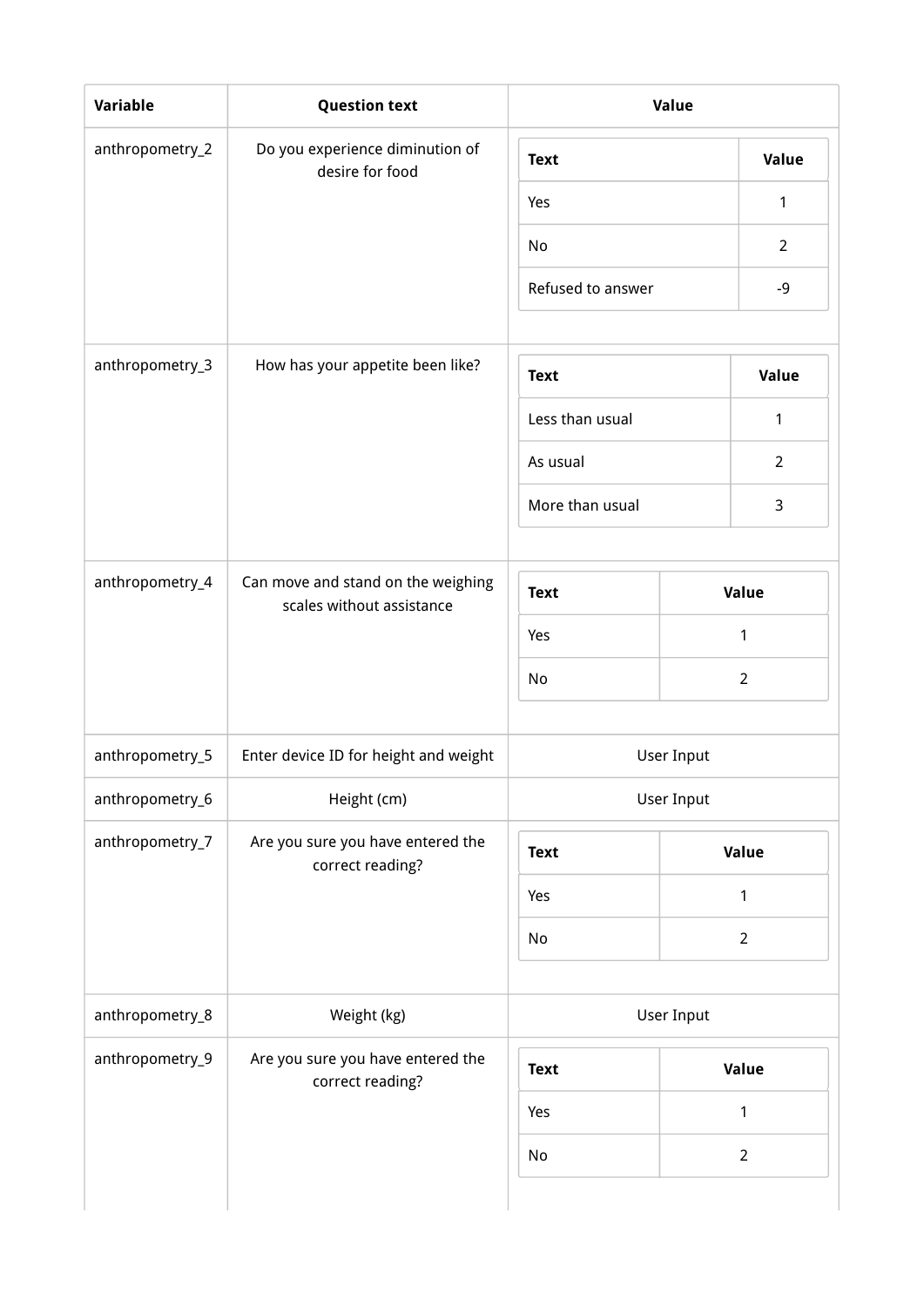| Variable        | <b>Question text</b>                                            | Value                          |                |
|-----------------|-----------------------------------------------------------------|--------------------------------|----------------|
| anthropometry_2 | Do you experience diminution of<br>desire for food              | <b>Text</b>                    | Value          |
|                 |                                                                 | Yes                            | 1              |
|                 |                                                                 | No                             | $\overline{2}$ |
|                 |                                                                 | Refused to answer              | $-9$           |
| anthropometry_3 | How has your appetite been like?                                |                                | <b>Value</b>   |
|                 |                                                                 | <b>Text</b><br>Less than usual |                |
|                 |                                                                 |                                | 1              |
|                 |                                                                 | As usual                       | $\overline{2}$ |
|                 |                                                                 | More than usual                | $\mathsf 3$    |
| anthropometry_4 | Can move and stand on the weighing<br>scales without assistance | <b>Text</b>                    | Value          |
|                 |                                                                 | Yes                            | 1              |
|                 |                                                                 | No                             | $\overline{2}$ |
| anthropometry_5 | Enter device ID for height and weight                           | User Input                     |                |
| anthropometry_6 | Height (cm)                                                     |                                | User Input     |
| anthropometry_7 | Are you sure you have entered the                               | <b>Text</b>                    | Value          |
|                 | correct reading?                                                | Yes                            | 1              |
|                 |                                                                 | No                             | $\overline{2}$ |
| anthropometry_8 | Weight (kg)                                                     |                                | User Input     |
|                 |                                                                 |                                |                |
| anthropometry_9 | Are you sure you have entered the<br>correct reading?           | <b>Text</b>                    | Value          |
|                 |                                                                 | Yes                            | 1              |
|                 |                                                                 | No                             | $\overline{2}$ |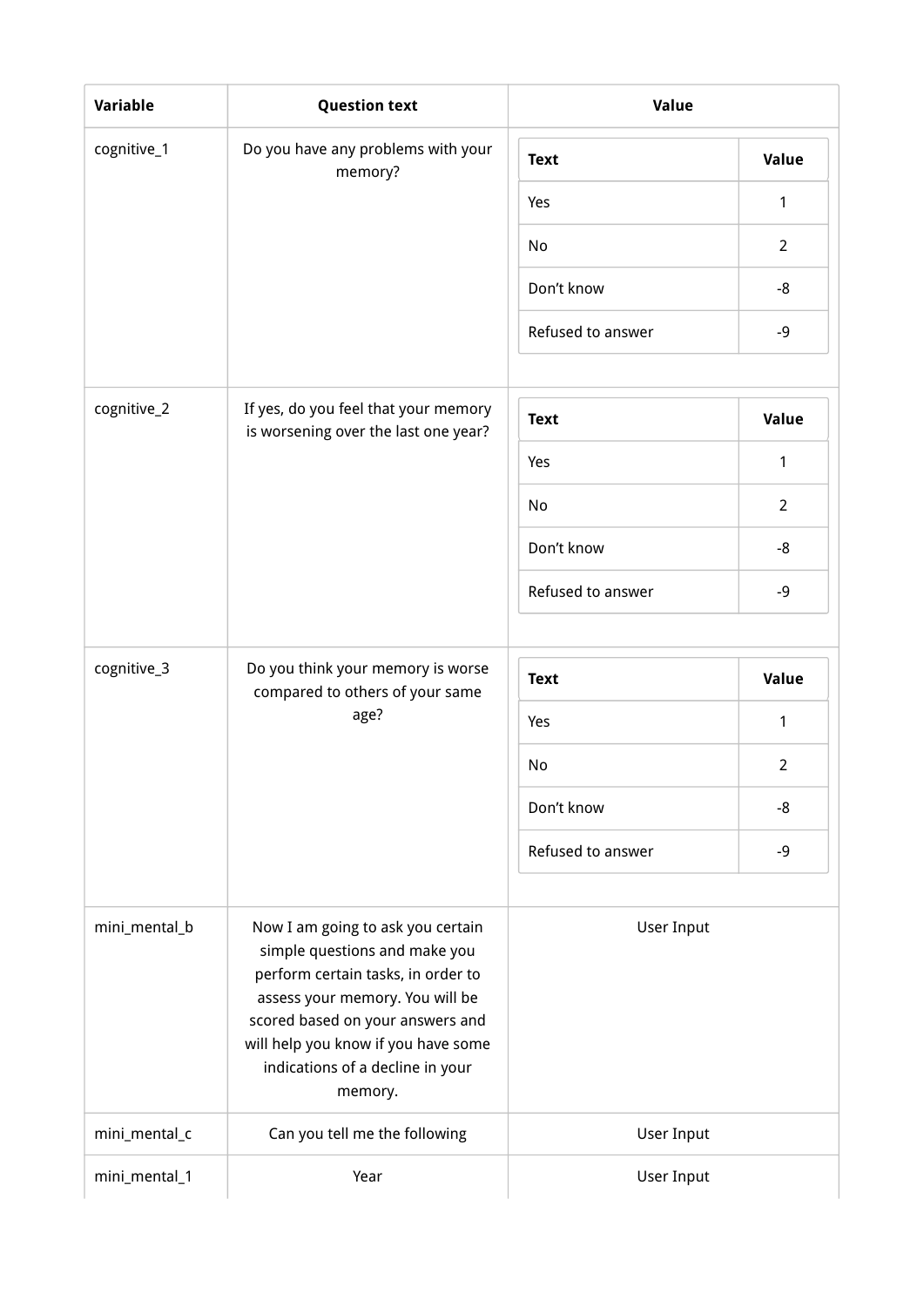| <b>Variable</b> | <b>Question text</b>                                                                                                                                                                                                                                                  | Value             |                |
|-----------------|-----------------------------------------------------------------------------------------------------------------------------------------------------------------------------------------------------------------------------------------------------------------------|-------------------|----------------|
| cognitive_1     | Do you have any problems with your<br>memory?                                                                                                                                                                                                                         | <b>Text</b>       | Value          |
|                 |                                                                                                                                                                                                                                                                       | Yes               | 1              |
|                 |                                                                                                                                                                                                                                                                       | No                | $\overline{2}$ |
|                 |                                                                                                                                                                                                                                                                       | Don't know        | -8             |
|                 |                                                                                                                                                                                                                                                                       | Refused to answer | $-9$           |
|                 |                                                                                                                                                                                                                                                                       |                   |                |
| cognitive_2     | If yes, do you feel that your memory<br>is worsening over the last one year?                                                                                                                                                                                          | <b>Text</b>       | Value          |
|                 |                                                                                                                                                                                                                                                                       | Yes               | 1              |
|                 |                                                                                                                                                                                                                                                                       | No                | $\overline{2}$ |
|                 |                                                                                                                                                                                                                                                                       | Don't know        | -8             |
|                 |                                                                                                                                                                                                                                                                       | Refused to answer | -9             |
|                 |                                                                                                                                                                                                                                                                       |                   |                |
| cognitive_3     | Do you think your memory is worse<br>compared to others of your same                                                                                                                                                                                                  | <b>Text</b>       | Value          |
|                 | age?                                                                                                                                                                                                                                                                  | Yes               | 1              |
|                 |                                                                                                                                                                                                                                                                       | No                | $\overline{2}$ |
|                 |                                                                                                                                                                                                                                                                       | Don't know        | -8             |
|                 |                                                                                                                                                                                                                                                                       | Refused to answer | $-9$           |
| mini_mental_b   | Now I am going to ask you certain<br>simple questions and make you<br>perform certain tasks, in order to<br>assess your memory. You will be<br>scored based on your answers and<br>will help you know if you have some<br>indications of a decline in your<br>memory. | <b>User Input</b> |                |
| mini_mental_c   | Can you tell me the following                                                                                                                                                                                                                                         | <b>User Input</b> |                |
| mini_mental_1   | Year                                                                                                                                                                                                                                                                  | <b>User Input</b> |                |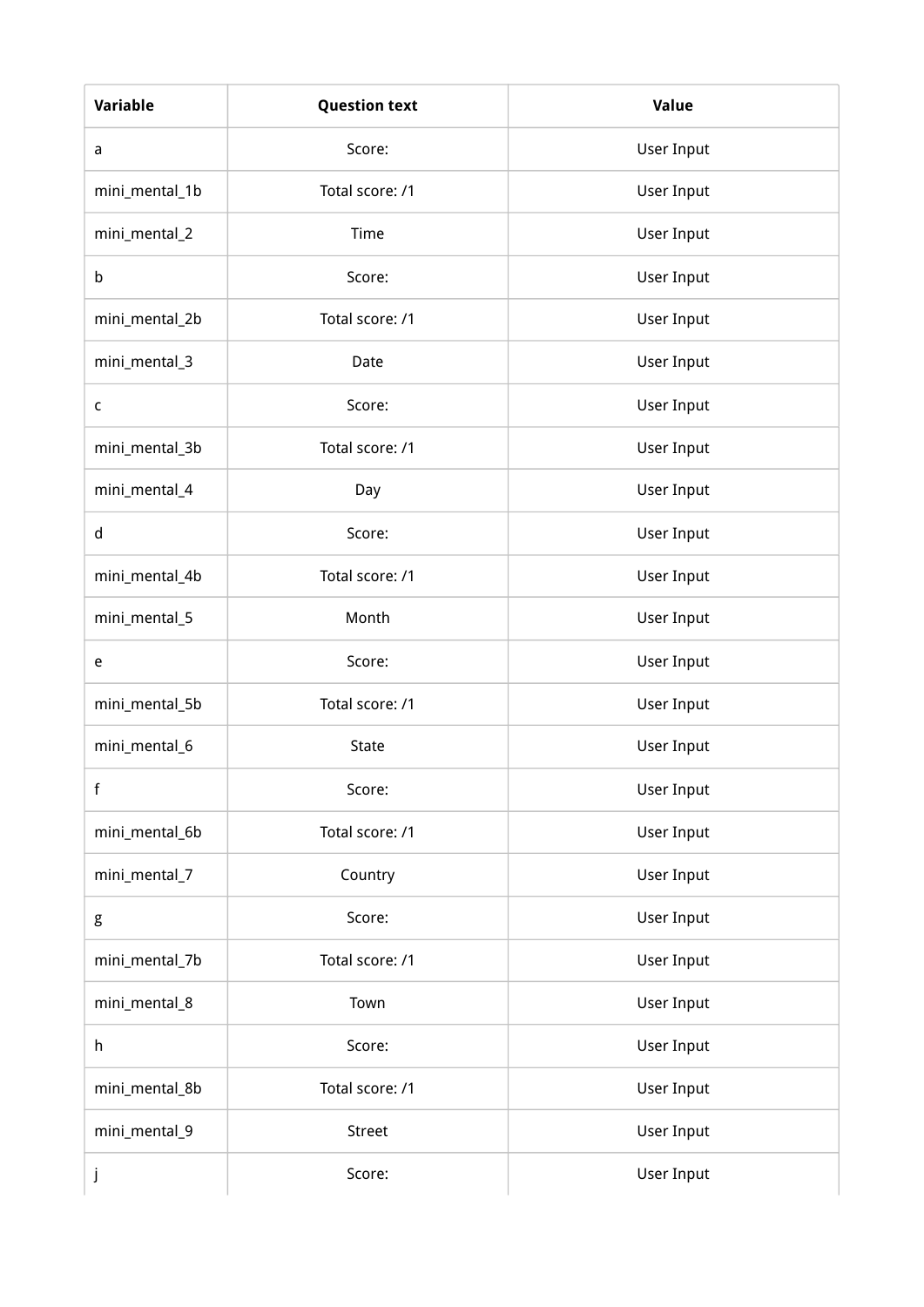| Variable       | <b>Question text</b> | <b>Value</b>      |  |
|----------------|----------------------|-------------------|--|
| a              | Score:               | User Input        |  |
| mini_mental_1b | Total score: /1      | User Input        |  |
| mini_mental_2  | Time                 | <b>User Input</b> |  |
| b              | Score:               | User Input        |  |
| mini_mental_2b | Total score: /1      | User Input        |  |
| mini_mental_3  | Date                 | User Input        |  |
| $\mathsf{C}$   | Score:               | User Input        |  |
| mini_mental_3b | Total score: /1      | User Input        |  |
| mini_mental_4  | Day                  | User Input        |  |
| $\sf d$        | Score:               | <b>User Input</b> |  |
| mini_mental_4b | Total score: /1      | User Input        |  |
| mini_mental_5  | Month                | <b>User Input</b> |  |
| e              | Score:               | User Input        |  |
| mini_mental_5b | Total score: /1      | User Input        |  |
| mini_mental_6  | State                | User Input        |  |
| f              | Score:               | <b>User Input</b> |  |
| mini_mental_6b | Total score: /1      | User Input        |  |
| mini_mental_7  | Country              | <b>User Input</b> |  |
| g              | Score:               | <b>User Input</b> |  |
| mini_mental_7b | Total score: /1      | User Input        |  |
| mini_mental_8  | Town                 | <b>User Input</b> |  |
| h              | Score:               | User Input        |  |
| mini_mental_8b | Total score: /1      | User Input        |  |
| mini_mental_9  | Street               | User Input        |  |
| j              | Score:               | User Input        |  |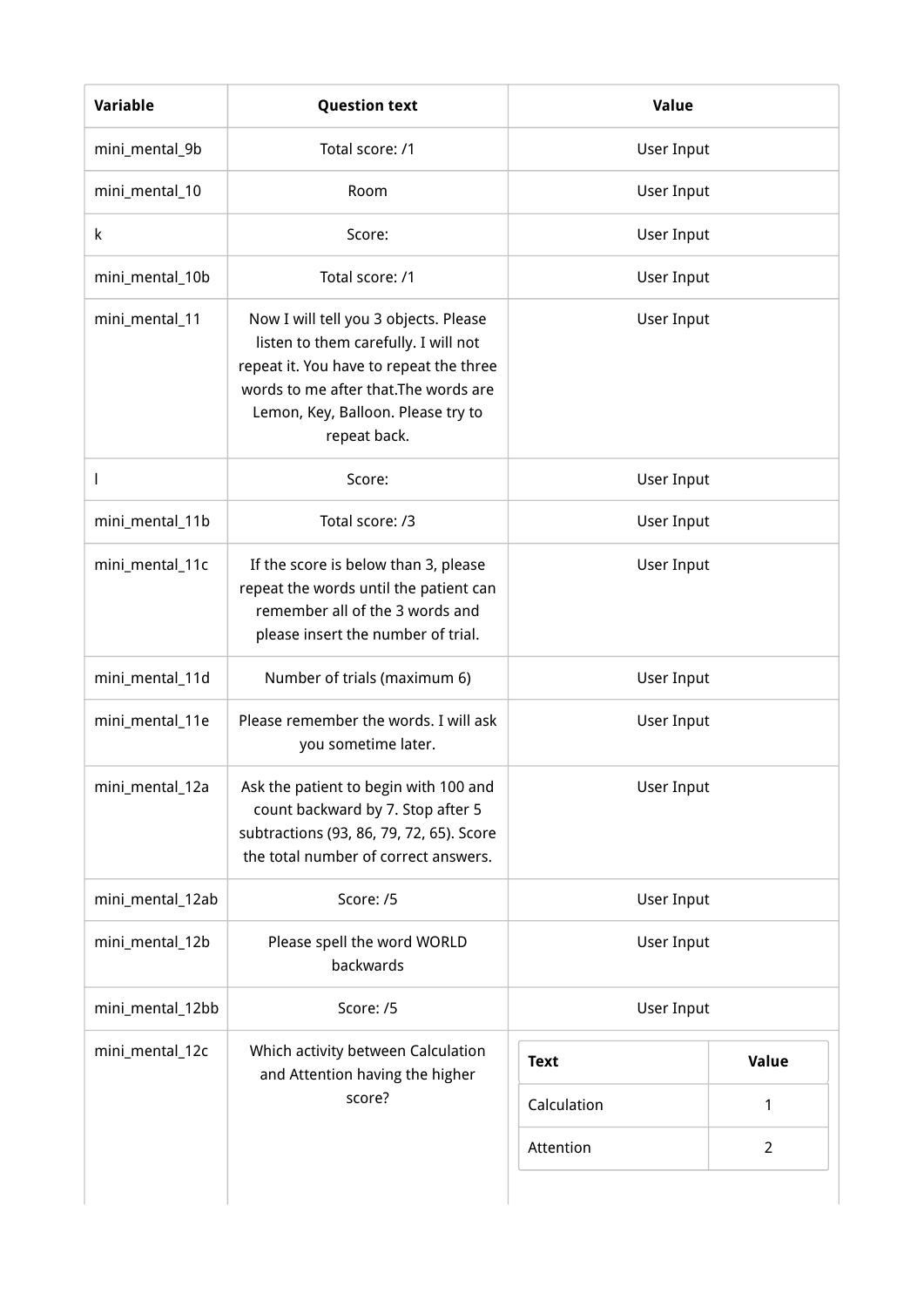| <b>Variable</b>  | <b>Question text</b>                                                                                                                                                                                                    | Value       |             |
|------------------|-------------------------------------------------------------------------------------------------------------------------------------------------------------------------------------------------------------------------|-------------|-------------|
| mini_mental_9b   | Total score: /1                                                                                                                                                                                                         | User Input  |             |
| mini_mental_10   | Room                                                                                                                                                                                                                    | User Input  |             |
| k                | Score:                                                                                                                                                                                                                  | User Input  |             |
| mini_mental_10b  | Total score: /1                                                                                                                                                                                                         | User Input  |             |
| mini_mental_11   | Now I will tell you 3 objects. Please<br>listen to them carefully. I will not<br>repeat it. You have to repeat the three<br>words to me after that. The words are<br>Lemon, Key, Balloon. Please try to<br>repeat back. | User Input  |             |
| I                | Score:                                                                                                                                                                                                                  | User Input  |             |
| mini_mental_11b  | Total score: /3                                                                                                                                                                                                         | User Input  |             |
| mini_mental_11c  | If the score is below than 3, please<br>repeat the words until the patient can<br>remember all of the 3 words and<br>please insert the number of trial.                                                                 | User Input  |             |
| mini_mental_11d  | Number of trials (maximum 6)                                                                                                                                                                                            | User Input  |             |
| mini_mental_11e  | Please remember the words. I will ask<br>you sometime later.                                                                                                                                                            | User Input  |             |
| mini_mental_12a  | Ask the patient to begin with 100 and<br>count backward by 7. Stop after 5<br>subtractions (93, 86, 79, 72, 65). Score<br>the total number of correct answers.                                                          | User Input  |             |
| mini_mental_12ab | Score: /5                                                                                                                                                                                                               | User Input  |             |
| mini_mental_12b  | Please spell the word WORLD<br>backwards                                                                                                                                                                                | User Input  |             |
| mini_mental_12bb | Score: /5                                                                                                                                                                                                               | User Input  |             |
| mini_mental_12c  | Which activity between Calculation<br>and Attention having the higher                                                                                                                                                   | <b>Text</b> | Value       |
|                  | score?                                                                                                                                                                                                                  | Calculation | 1           |
|                  |                                                                                                                                                                                                                         | Attention   | $2^{\circ}$ |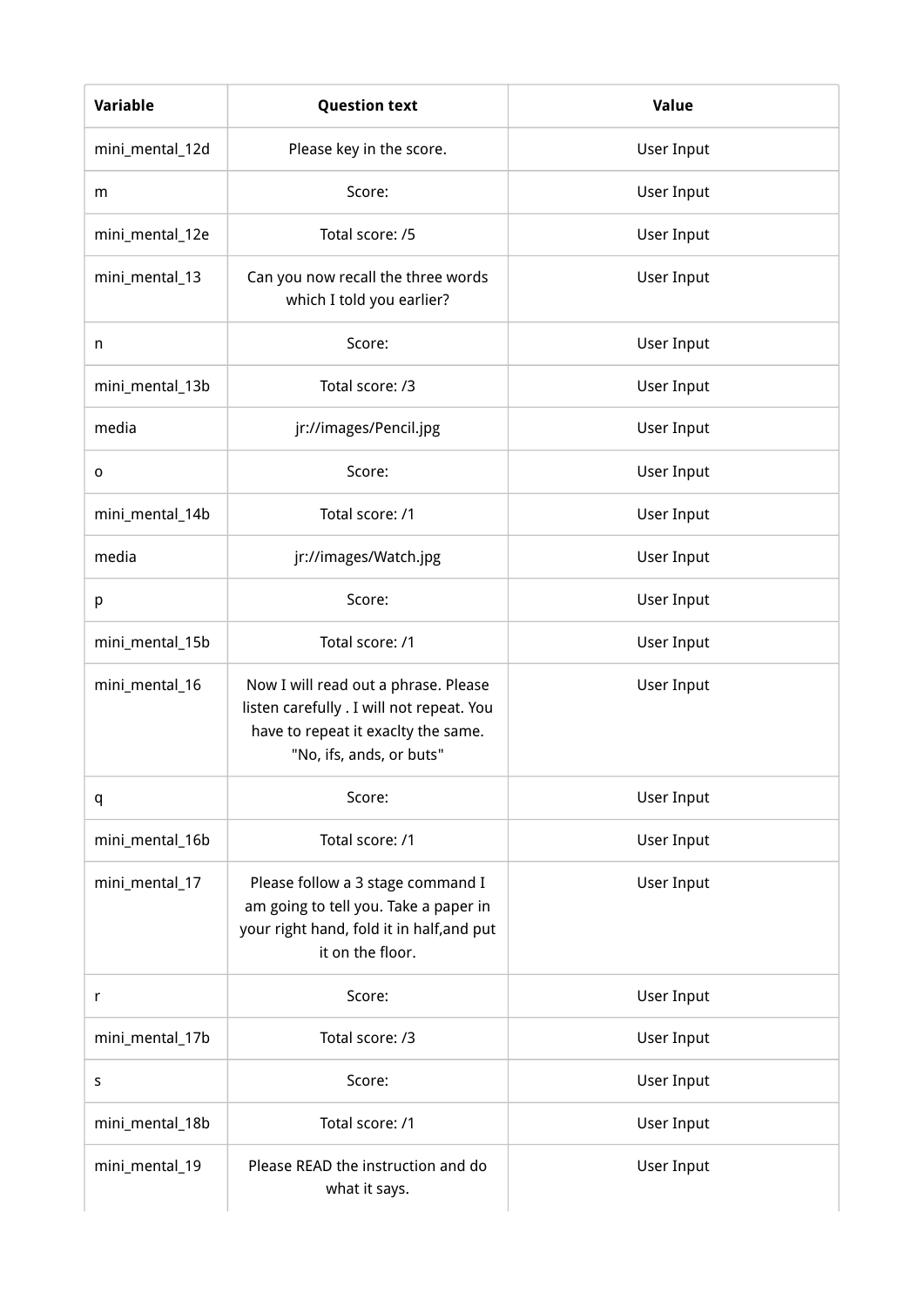| Variable        | <b>Question text</b>                                                                                                                                 | Value      |  |
|-----------------|------------------------------------------------------------------------------------------------------------------------------------------------------|------------|--|
| mini_mental_12d | Please key in the score.                                                                                                                             | User Input |  |
| m               | Score:                                                                                                                                               | User Input |  |
| mini_mental_12e | Total score: /5                                                                                                                                      | User Input |  |
| mini_mental_13  | Can you now recall the three words<br>which I told you earlier?                                                                                      | User Input |  |
| n               | Score:                                                                                                                                               | User Input |  |
| mini_mental_13b | Total score: /3                                                                                                                                      | User Input |  |
| media           | jr://images/Pencil.jpg                                                                                                                               | User Input |  |
| $\mathbf 0$     | Score:                                                                                                                                               | User Input |  |
| mini_mental_14b | Total score: /1                                                                                                                                      | User Input |  |
| media           | jr://images/Watch.jpg                                                                                                                                | User Input |  |
| р               | Score:                                                                                                                                               | User Input |  |
| mini_mental_15b | Total score: /1                                                                                                                                      | User Input |  |
| mini_mental_16  | Now I will read out a phrase. Please<br>listen carefully . I will not repeat. You<br>have to repeat it exaclty the same.<br>"No, ifs, ands, or buts" | User Input |  |
| q               | Score:                                                                                                                                               | User Input |  |
| mini_mental_16b | Total score: /1                                                                                                                                      | User Input |  |
| mini_mental_17  | Please follow a 3 stage command I<br>am going to tell you. Take a paper in<br>your right hand, fold it in half, and put<br>it on the floor.          | User Input |  |
| r               | Score:                                                                                                                                               | User Input |  |
| mini_mental_17b | Total score: /3                                                                                                                                      | User Input |  |
| S               | Score:                                                                                                                                               | User Input |  |
| mini_mental_18b | Total score: /1                                                                                                                                      | User Input |  |
| mini_mental_19  | Please READ the instruction and do<br>what it says.                                                                                                  | User Input |  |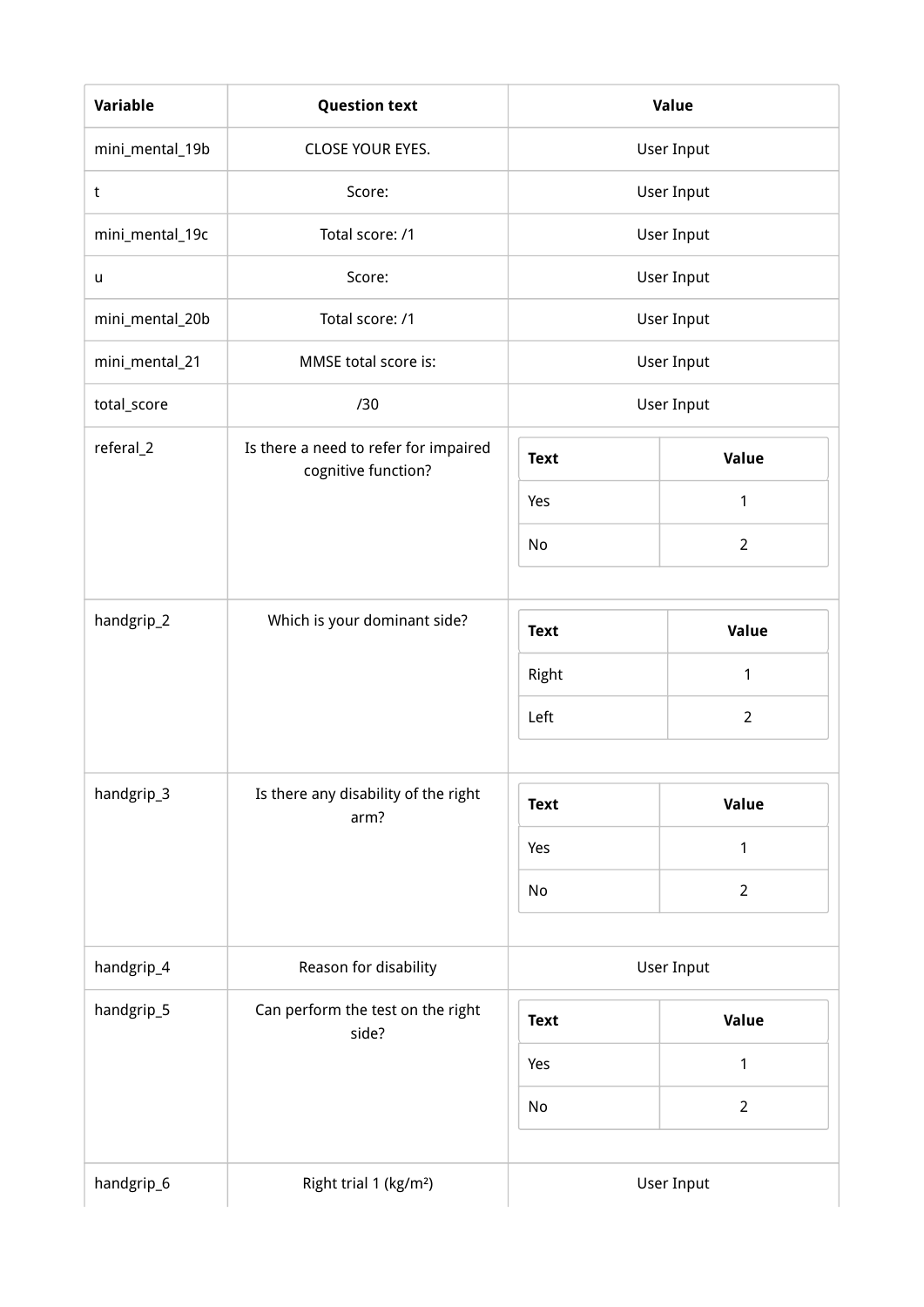| Variable        | <b>Question text</b>                                         |             | <b>Value</b>      |
|-----------------|--------------------------------------------------------------|-------------|-------------------|
| mini_mental_19b | CLOSE YOUR EYES.                                             |             | <b>User Input</b> |
| $\sf t$         | Score:                                                       |             | <b>User Input</b> |
| mini_mental_19c | Total score: /1                                              |             | <b>User Input</b> |
| u               | Score:                                                       |             | <b>User Input</b> |
| mini_mental_20b | Total score: /1                                              |             | User Input        |
| mini_mental_21  | MMSE total score is:                                         |             | <b>User Input</b> |
| total_score     | /30                                                          |             | <b>User Input</b> |
| referal_2       | Is there a need to refer for impaired<br>cognitive function? | <b>Text</b> | Value             |
|                 |                                                              | Yes         | $\mathbf{1}$      |
|                 |                                                              | No          | $\overline{2}$    |
|                 |                                                              |             |                   |
| handgrip_2      | Which is your dominant side?                                 | <b>Text</b> | Value             |
|                 |                                                              | Right       | $\mathbf{1}$      |
|                 |                                                              | Left        | $\overline{2}$    |
|                 |                                                              |             |                   |
| handgrip_3      | Is there any disability of the right<br>arm?                 | <b>Text</b> | Value             |
|                 |                                                              | Yes         | $\mathbf 1$       |
|                 |                                                              | No          | $\overline{2}$    |
|                 |                                                              |             |                   |
| handgrip_4      | Reason for disability                                        |             | <b>User Input</b> |
| handgrip_5      | Can perform the test on the right<br>side?                   | <b>Text</b> | Value             |
|                 |                                                              | Yes         | $\mathbf{1}$      |
|                 |                                                              | No          | $\overline{2}$    |
|                 |                                                              |             |                   |
| handgrip_6      | Right trial 1 (kg/m <sup>2</sup> )                           |             | User Input        |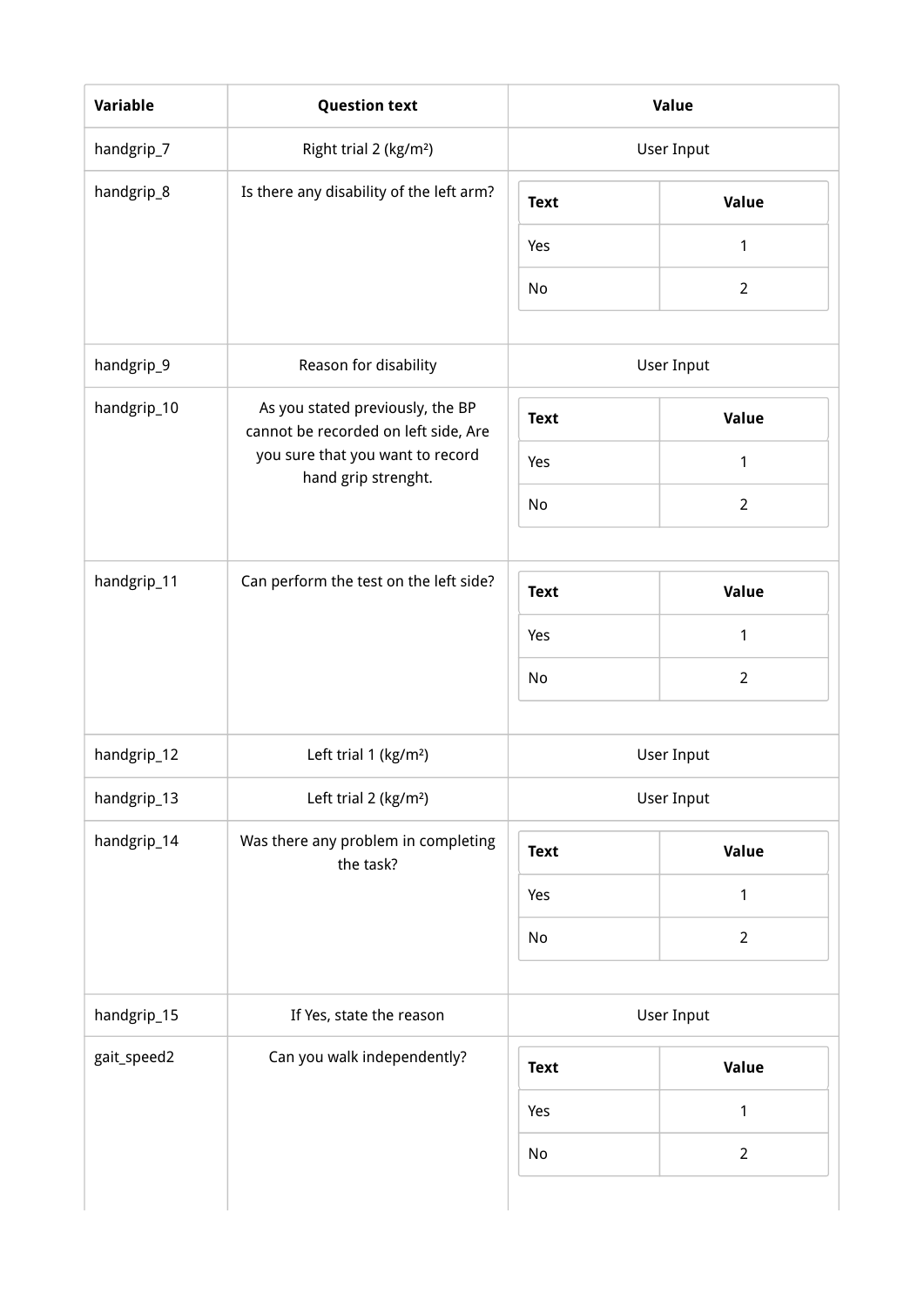| handgrip_7  | Right trial 2 (kg/m <sup>2</sup> )                                       |             | User Input        |
|-------------|--------------------------------------------------------------------------|-------------|-------------------|
| handgrip_8  | Is there any disability of the left arm?                                 | <b>Text</b> | Value             |
|             |                                                                          | Yes         | $\mathbf{1}$      |
|             |                                                                          | No          | $\overline{2}$    |
| handgrip_9  | Reason for disability                                                    |             | <b>User Input</b> |
| handgrip_10 | As you stated previously, the BP<br>cannot be recorded on left side, Are | <b>Text</b> | Value             |
|             | you sure that you want to record<br>hand grip strenght.                  | Yes         | 1                 |
|             |                                                                          | No          | $\overline{2}$    |
|             |                                                                          |             |                   |
| handgrip_11 | Can perform the test on the left side?                                   | <b>Text</b> | Value             |
|             |                                                                          | Yes         | $\mathbf{1}$      |
|             |                                                                          | No          | $\overline{2}$    |
| handgrip_12 | Left trial 1 (kg/m <sup>2</sup> )                                        |             | <b>User Input</b> |
| handgrip_13 | Left trial 2 (kg/m <sup>2</sup> )                                        |             | User Input        |
| handgrip_14 | Was there any problem in completing<br>the task?                         | <b>Text</b> | Value             |
|             |                                                                          | Yes         | $\mathbf{1}$      |
|             |                                                                          | No          | $\overline{2}$    |
| handgrip_15 | If Yes, state the reason                                                 |             | User Input        |
| gait_speed2 | Can you walk independently?                                              | <b>Text</b> | Value             |
|             |                                                                          | Yes         | $\mathbf{1}$      |
|             |                                                                          | No          | $\overline{2}$    |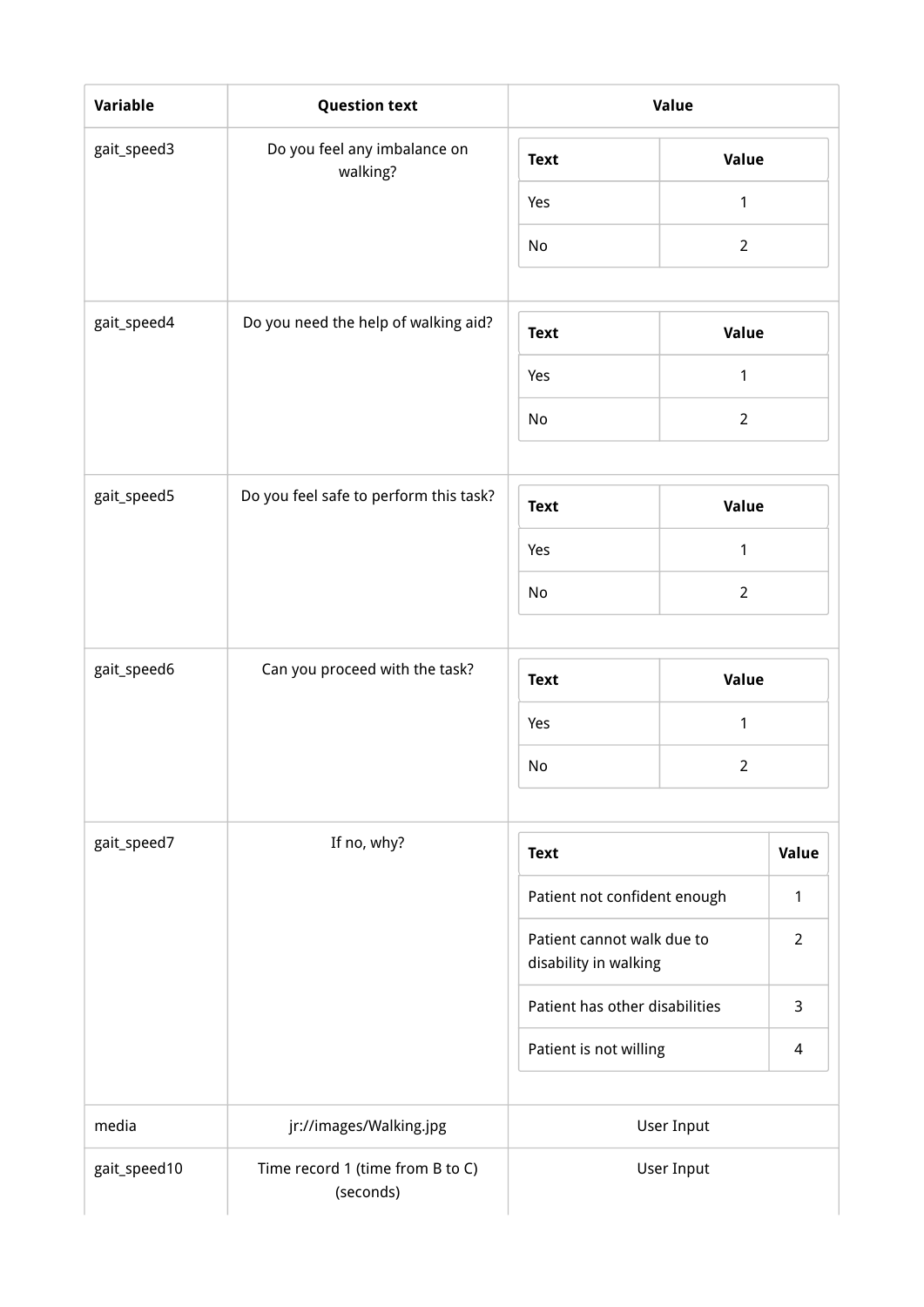| Variable     | <b>Question text</b>                          |                                                     | Value             |                |
|--------------|-----------------------------------------------|-----------------------------------------------------|-------------------|----------------|
| gait_speed3  | Do you feel any imbalance on<br>walking?      | <b>Text</b>                                         | Value             |                |
|              |                                               | Yes                                                 | 1                 |                |
|              |                                               | No                                                  | $\overline{2}$    |                |
|              |                                               |                                                     |                   |                |
| gait_speed4  | Do you need the help of walking aid?          | <b>Text</b>                                         | Value             |                |
|              |                                               | Yes                                                 | 1                 |                |
|              |                                               | No                                                  | $\overline{2}$    |                |
|              |                                               |                                                     |                   |                |
| gait_speed5  | Do you feel safe to perform this task?        | <b>Text</b>                                         | Value             |                |
|              |                                               | Yes                                                 | $\mathbf{1}$      |                |
|              |                                               | No                                                  | $\overline{2}$    |                |
|              |                                               |                                                     |                   |                |
| gait_speed6  | Can you proceed with the task?                | <b>Text</b>                                         | Value             |                |
|              |                                               | Yes                                                 | 1                 |                |
|              |                                               | No                                                  | $\overline{2}$    |                |
| gait_speed7  | If no, why?                                   | <b>Text</b>                                         |                   | Value          |
|              |                                               | Patient not confident enough                        |                   | 1              |
|              |                                               | Patient cannot walk due to<br>disability in walking |                   | $\overline{2}$ |
|              |                                               | Patient has other disabilities                      |                   | 3              |
|              |                                               | Patient is not willing                              |                   | 4              |
| media        | jr://images/Walking.jpg                       |                                                     | <b>User Input</b> |                |
| gait_speed10 | Time record 1 (time from B to C)<br>(seconds) |                                                     | <b>User Input</b> |                |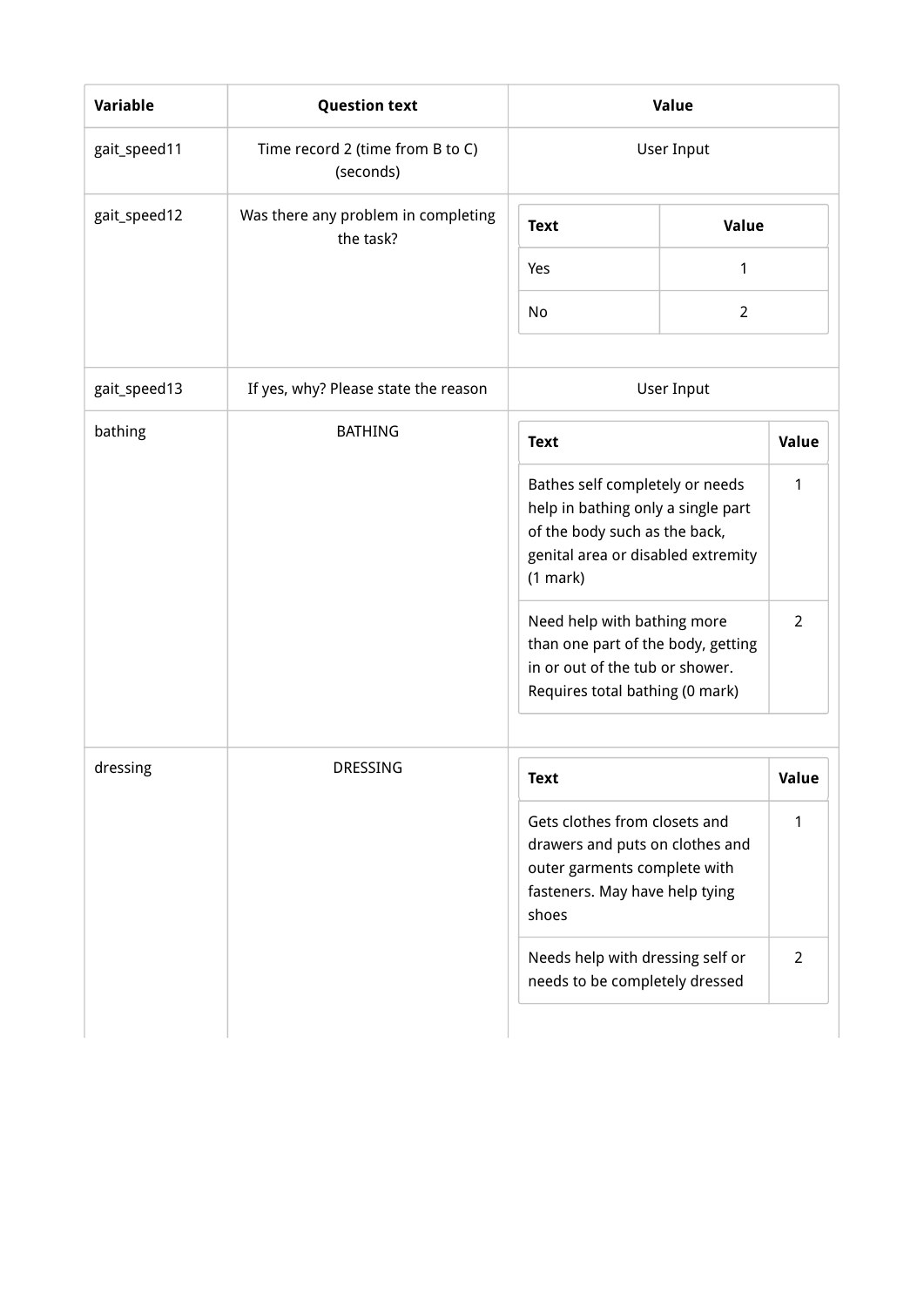| <b>Variable</b> | <b>Question text</b>                             |                                                                                                                                                                                                                               | Value          |                     |
|-----------------|--------------------------------------------------|-------------------------------------------------------------------------------------------------------------------------------------------------------------------------------------------------------------------------------|----------------|---------------------|
| gait_speed11    | Time record 2 (time from B to C)<br>(seconds)    |                                                                                                                                                                                                                               | User Input     |                     |
| gait_speed12    | Was there any problem in completing<br>the task? | <b>Text</b>                                                                                                                                                                                                                   | Value          |                     |
|                 |                                                  | Yes                                                                                                                                                                                                                           | $\mathbf{1}$   |                     |
|                 |                                                  | No                                                                                                                                                                                                                            | $\overline{2}$ |                     |
| gait_speed13    | If yes, why? Please state the reason             |                                                                                                                                                                                                                               | User Input     |                     |
| bathing         | <b>BATHING</b>                                   | <b>Text</b>                                                                                                                                                                                                                   |                | Value               |
|                 |                                                  | Bathes self completely or needs<br>help in bathing only a single part<br>of the body such as the back,<br>genital area or disabled extremity<br>(1 mark)<br>Need help with bathing more<br>than one part of the body, getting |                | 1<br>$\overline{2}$ |
|                 |                                                  | in or out of the tub or shower.<br>Requires total bathing (0 mark)                                                                                                                                                            |                |                     |
| dressing        | <b>DRESSING</b>                                  | <b>Text</b>                                                                                                                                                                                                                   |                | <b>Value</b>        |
|                 |                                                  | Gets clothes from closets and<br>drawers and puts on clothes and<br>outer garments complete with<br>fasteners. May have help tying<br>shoes                                                                                   |                | 1                   |
|                 |                                                  | Needs help with dressing self or<br>needs to be completely dressed                                                                                                                                                            |                | $\overline{2}$      |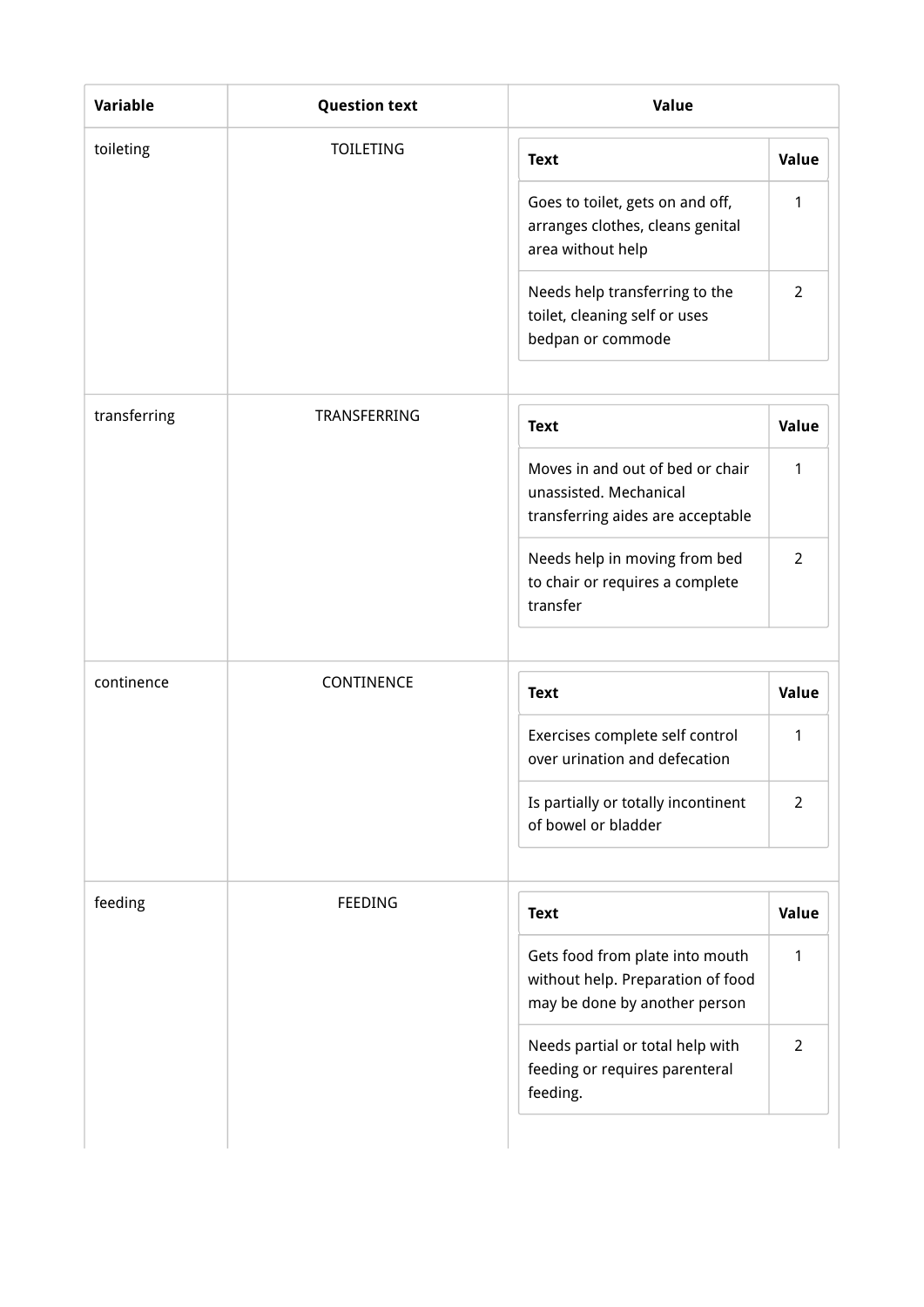| toileting    | <b>TOILETING</b> | <b>Text</b>                                                                                           | Value          |
|--------------|------------------|-------------------------------------------------------------------------------------------------------|----------------|
|              |                  | Goes to toilet, gets on and off,<br>arranges clothes, cleans genital<br>area without help             | $\mathbf{1}$   |
|              |                  | Needs help transferring to the<br>toilet, cleaning self or uses<br>bedpan or commode                  | $\overline{2}$ |
| transferring | TRANSFERRING     | <b>Text</b>                                                                                           | Value          |
|              |                  | Moves in and out of bed or chair<br>unassisted. Mechanical<br>transferring aides are acceptable       | $\mathbf{1}$   |
|              |                  | Needs help in moving from bed<br>to chair or requires a complete<br>transfer                          | $\overline{2}$ |
| continence   | CONTINENCE       | <b>Text</b>                                                                                           | Value          |
|              |                  | Exercises complete self control<br>over urination and defecation                                      | 1              |
|              |                  | Is partially or totally incontinent<br>of bowel or bladder                                            | $\overline{2}$ |
| feeding      | FEEDING          | <b>Text</b>                                                                                           | Value          |
|              |                  | Gets food from plate into mouth<br>without help. Preparation of food<br>may be done by another person | $\mathbf{1}$   |
|              |                  | Needs partial or total help with<br>feeding or requires parenteral<br>feeding.                        | $\overline{2}$ |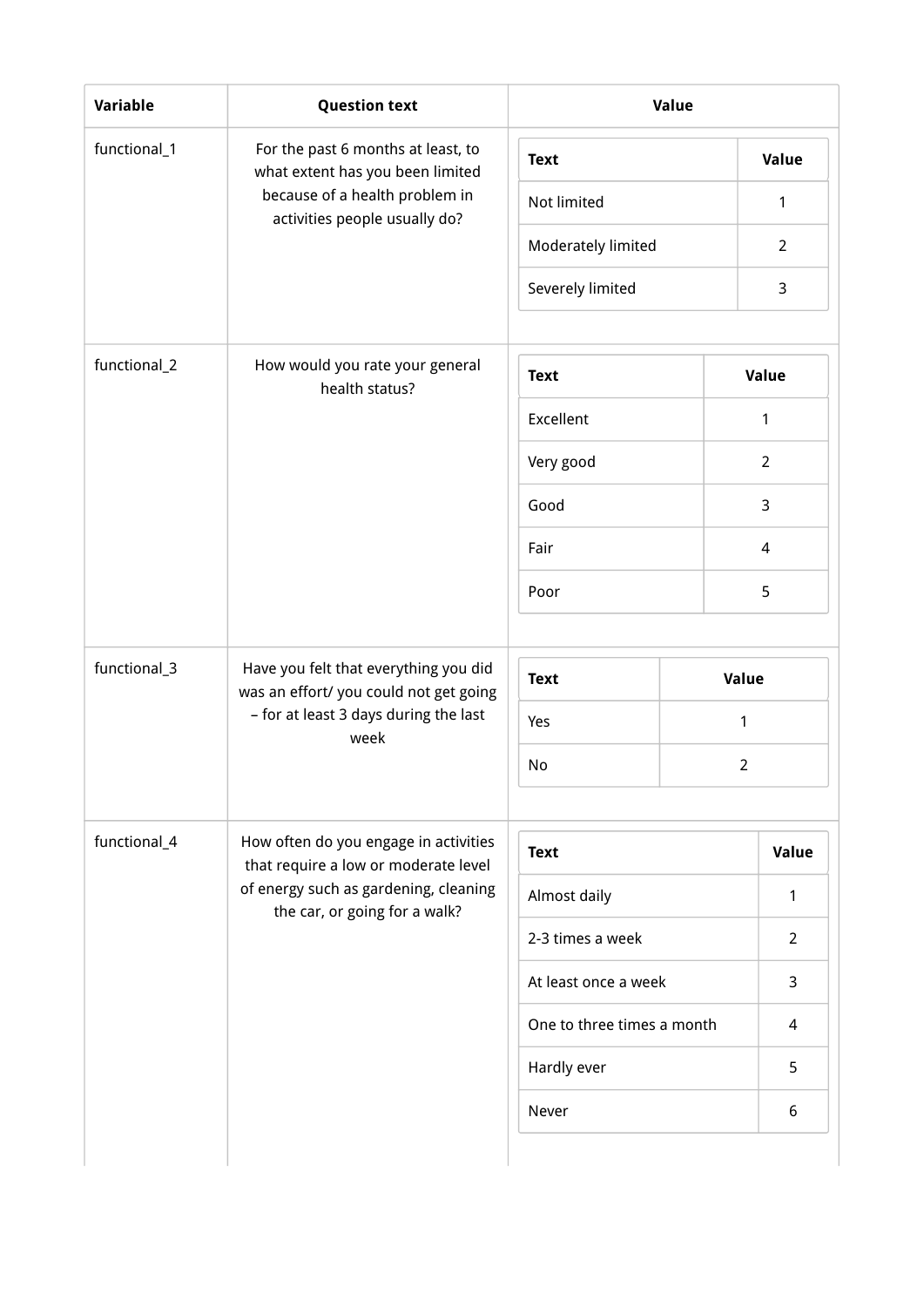| Variable     | <b>Question text</b>                                                           |                            | Value          |                |
|--------------|--------------------------------------------------------------------------------|----------------------------|----------------|----------------|
| functional_1 | For the past 6 months at least, to<br>what extent has you been limited         | <b>Text</b>                |                | Value          |
|              | because of a health problem in<br>activities people usually do?                | Not limited                |                | 1              |
|              |                                                                                | Moderately limited         |                | $\overline{2}$ |
|              |                                                                                | Severely limited           |                | 3              |
| functional_2 | How would you rate your general<br>health status?                              | <b>Text</b>                | Value          |                |
|              |                                                                                | Excellent                  | $\mathbf{1}$   |                |
|              |                                                                                | Very good                  | $\overline{2}$ |                |
|              |                                                                                | Good                       | 3              |                |
|              |                                                                                | Fair                       | $\overline{4}$ |                |
|              |                                                                                | Poor                       | 5              |                |
| functional_3 | Have you felt that everything you did<br>was an effort/you could not get going | <b>Text</b>                | Value          |                |
|              | - for at least 3 days during the last<br>week                                  | Yes                        | 1              |                |
|              |                                                                                | No                         | $\overline{2}$ |                |
| functional_4 | How often do you engage in activities<br>that require a low or moderate level  | <b>Text</b>                |                | Value          |
|              | of energy such as gardening, cleaning<br>the car, or going for a walk?         | Almost daily               |                | 1              |
|              |                                                                                | 2-3 times a week           |                | $\overline{2}$ |
|              |                                                                                | At least once a week       |                | 3              |
|              |                                                                                | One to three times a month |                | 4              |
|              |                                                                                | Hardly ever                |                | 5              |
|              |                                                                                | Never                      |                | 6              |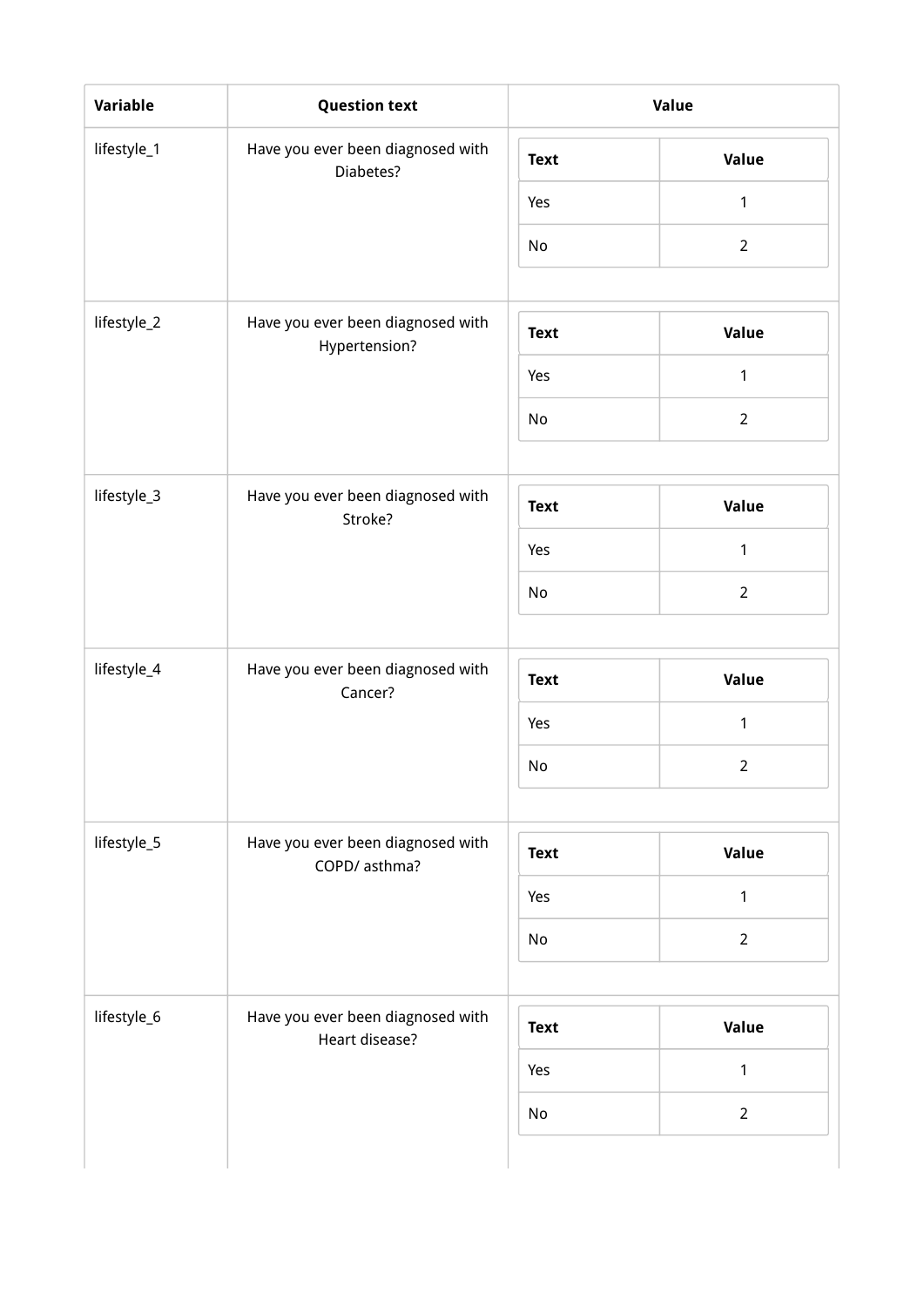| Variable    | <b>Question text</b>                                |             | Value          |
|-------------|-----------------------------------------------------|-------------|----------------|
| lifestyle_1 | Have you ever been diagnosed with<br>Diabetes?      | <b>Text</b> | <b>Value</b>   |
|             |                                                     | Yes         | $\mathbf{1}$   |
|             |                                                     | No          | $\overline{2}$ |
| lifestyle_2 | Have you ever been diagnosed with<br>Hypertension?  | <b>Text</b> | Value          |
|             |                                                     | Yes         | 1              |
|             |                                                     | No          | $\overline{2}$ |
| lifestyle_3 | Have you ever been diagnosed with<br>Stroke?        | <b>Text</b> | Value          |
|             |                                                     | Yes         | $\mathbf{1}$   |
|             |                                                     | No          | $\overline{2}$ |
|             |                                                     |             |                |
| lifestyle_4 | Have you ever been diagnosed with<br>Cancer?        | <b>Text</b> | Value          |
|             |                                                     | Yes         | $\mathbf{1}$   |
|             |                                                     | No          | $\overline{2}$ |
|             |                                                     |             |                |
| lifestyle_5 | Have you ever been diagnosed with<br>COPD/ asthma?  | <b>Text</b> | Value          |
|             |                                                     | Yes         | $\mathbf{1}$   |
|             |                                                     | No          | $\overline{2}$ |
|             |                                                     |             |                |
| lifestyle_6 | Have you ever been diagnosed with<br>Heart disease? | <b>Text</b> | Value          |
|             |                                                     | Yes         | $\mathbf{1}$   |
|             |                                                     | No          | $\overline{2}$ |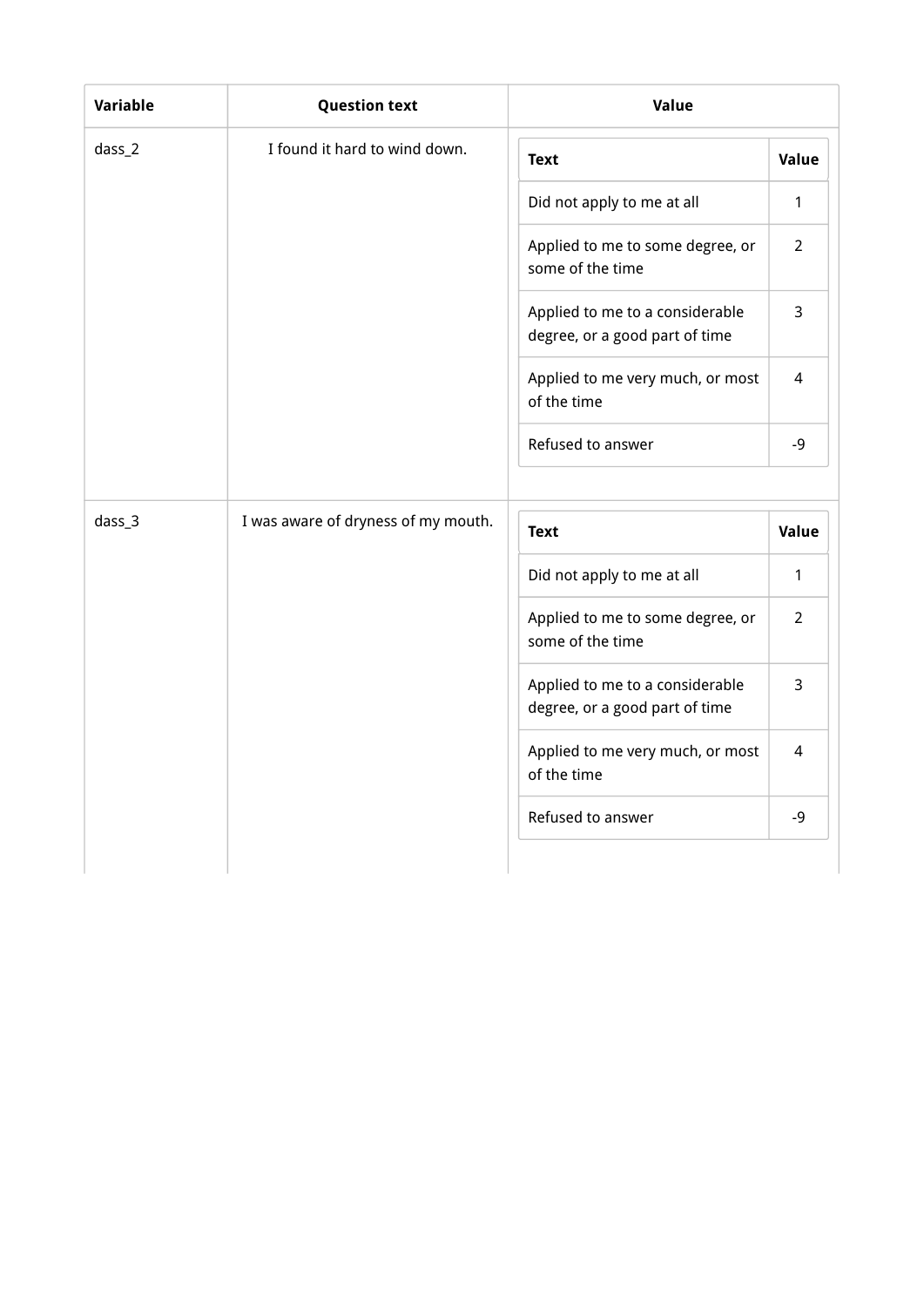| <b>Variable</b>  | <b>Question text</b>                | Value                                                             |                |
|------------------|-------------------------------------|-------------------------------------------------------------------|----------------|
| dass_2           | I found it hard to wind down.       | <b>Text</b>                                                       | Value          |
|                  |                                     | Did not apply to me at all                                        | 1              |
|                  |                                     | Applied to me to some degree, or<br>some of the time              | $\overline{2}$ |
|                  |                                     | Applied to me to a considerable<br>degree, or a good part of time | 3              |
|                  |                                     | Applied to me very much, or most<br>of the time                   | 4              |
|                  |                                     | Refused to answer                                                 | $-9$           |
|                  |                                     |                                                                   |                |
| das <sub>3</sub> | I was aware of dryness of my mouth. | <b>Text</b>                                                       | Value          |
|                  |                                     | Did not apply to me at all                                        | 1              |
|                  |                                     | Applied to me to some degree, or<br>some of the time              | $\overline{2}$ |
|                  |                                     | Applied to me to a considerable<br>degree, or a good part of time | 3              |
|                  |                                     | Applied to me very much, or most<br>of the time                   | 4              |
|                  |                                     | Refused to answer                                                 | $-9$           |
|                  |                                     |                                                                   |                |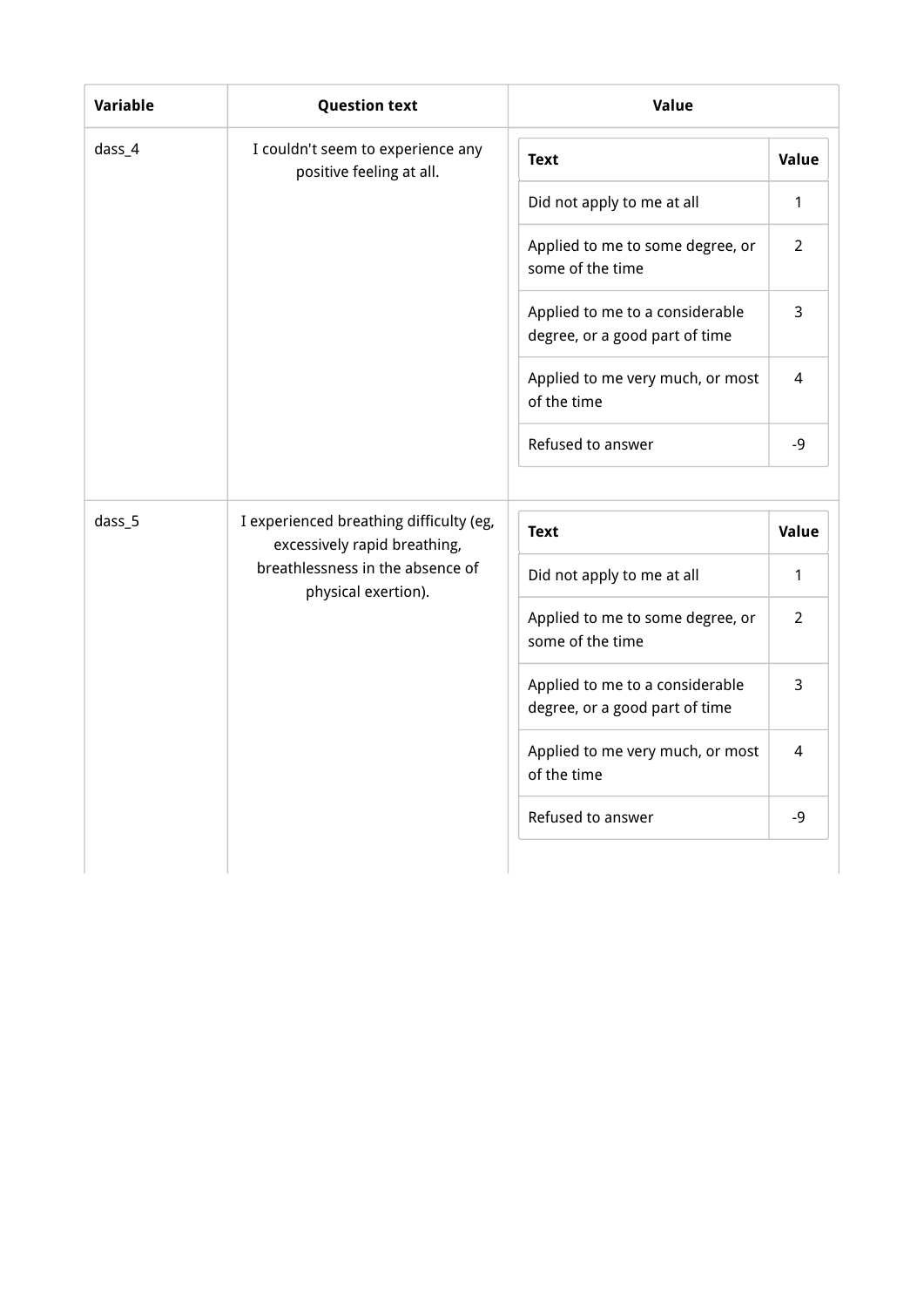| Variable | <b>Question text</b>                                          | Value                                                             |                |
|----------|---------------------------------------------------------------|-------------------------------------------------------------------|----------------|
| dass_4   | I couldn't seem to experience any<br>positive feeling at all. | <b>Text</b>                                                       | Value          |
|          |                                                               | Did not apply to me at all                                        | 1              |
|          |                                                               | Applied to me to some degree, or<br>some of the time              | $\overline{2}$ |
|          |                                                               | Applied to me to a considerable<br>degree, or a good part of time | 3              |
|          |                                                               | Applied to me very much, or most<br>of the time                   | 4              |
|          |                                                               | Refused to answer                                                 | -9             |
|          |                                                               |                                                                   |                |
| dass_5   | I experienced breathing difficulty (eg,                       |                                                                   |                |
|          | excessively rapid breathing,                                  | <b>Text</b>                                                       |                |
|          | breathlessness in the absence of                              | Did not apply to me at all                                        | Value<br>1     |
|          | physical exertion).                                           | Applied to me to some degree, or<br>some of the time              | $\overline{2}$ |
|          |                                                               | Applied to me to a considerable<br>degree, or a good part of time | 3              |
|          |                                                               | Applied to me very much, or most<br>of the time                   | 4              |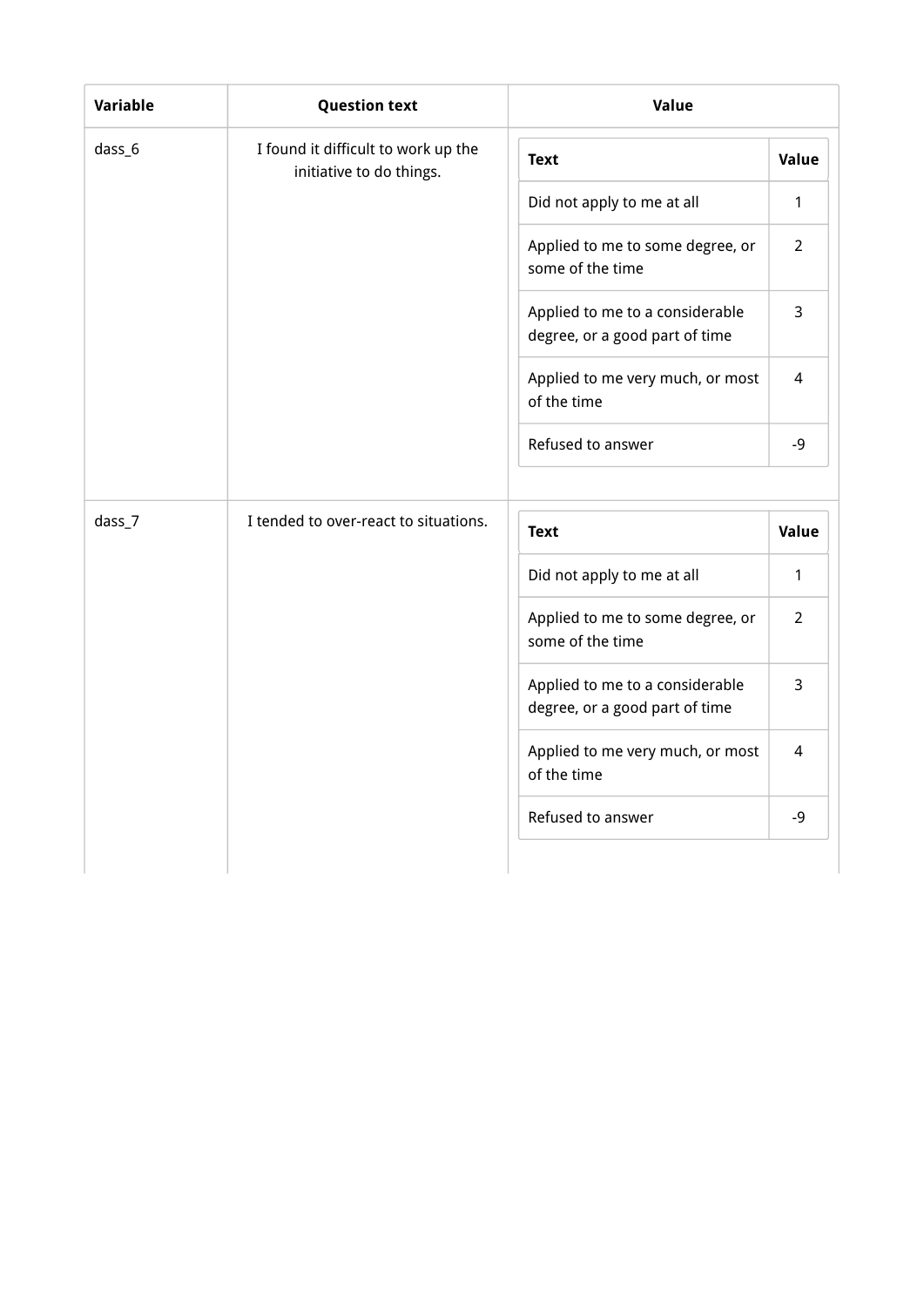| Variable | <b>Question text</b>                                            | Value                                                             |                |
|----------|-----------------------------------------------------------------|-------------------------------------------------------------------|----------------|
| dass_6   | I found it difficult to work up the<br>initiative to do things. | <b>Text</b>                                                       | Value          |
|          |                                                                 | Did not apply to me at all                                        | 1              |
|          |                                                                 | Applied to me to some degree, or<br>some of the time              | $\overline{2}$ |
|          |                                                                 | Applied to me to a considerable<br>degree, or a good part of time | 3              |
|          |                                                                 | Applied to me very much, or most<br>of the time                   | 4              |
|          |                                                                 | Refused to answer                                                 | $-9$           |
| dass_7   | I tended to over-react to situations.                           | <b>Text</b>                                                       | Value          |
|          |                                                                 | Did not apply to me at all                                        | 1              |
|          |                                                                 | Applied to me to some degree, or<br>some of the time              | $\overline{2}$ |
|          |                                                                 | Applied to me to a considerable<br>degree, or a good part of time | 3              |
|          |                                                                 | Applied to me very much, or most<br>of the time                   | 4              |
|          |                                                                 | Refused to answer                                                 | $-9$           |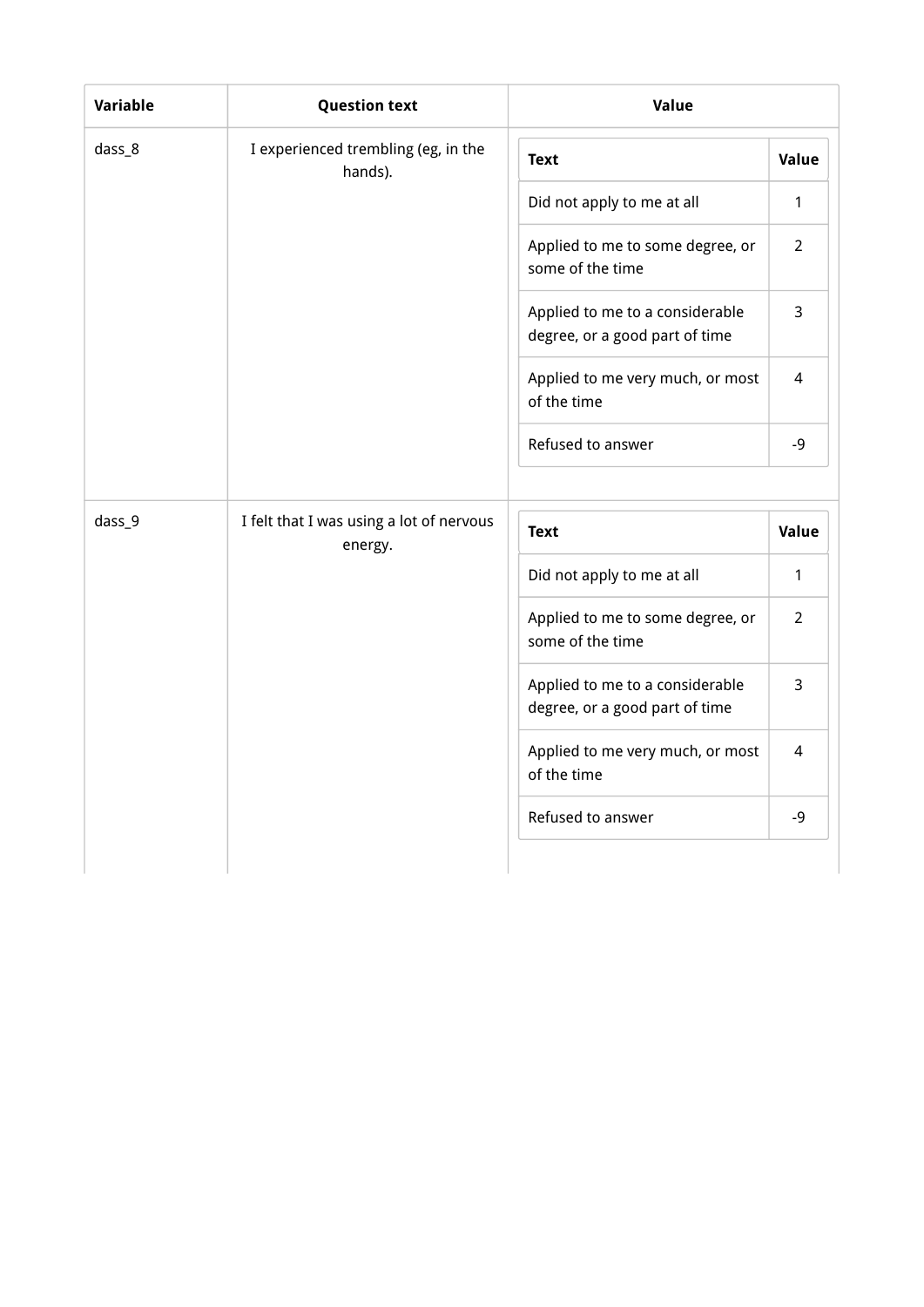| Variable | <b>Question text</b>                                | Value                                                             |                |
|----------|-----------------------------------------------------|-------------------------------------------------------------------|----------------|
| dass_8   | I experienced trembling (eg, in the<br>hands).      | <b>Text</b>                                                       | Value          |
|          |                                                     | Did not apply to me at all                                        | $\mathbf{1}$   |
|          |                                                     | Applied to me to some degree, or<br>some of the time              | $\overline{2}$ |
|          |                                                     | Applied to me to a considerable<br>degree, or a good part of time | 3              |
|          |                                                     | Applied to me very much, or most<br>of the time                   | 4              |
|          |                                                     | Refused to answer                                                 | $-9$           |
|          |                                                     |                                                                   |                |
| dass_9   | I felt that I was using a lot of nervous<br>energy. | <b>Text</b>                                                       | Value          |
|          |                                                     | Did not apply to me at all                                        | $\mathbf{1}$   |
|          |                                                     |                                                                   |                |
|          |                                                     | Applied to me to some degree, or<br>some of the time              | $\overline{2}$ |
|          |                                                     | Applied to me to a considerable<br>degree, or a good part of time | 3              |
|          |                                                     | Applied to me very much, or most<br>of the time                   | 4              |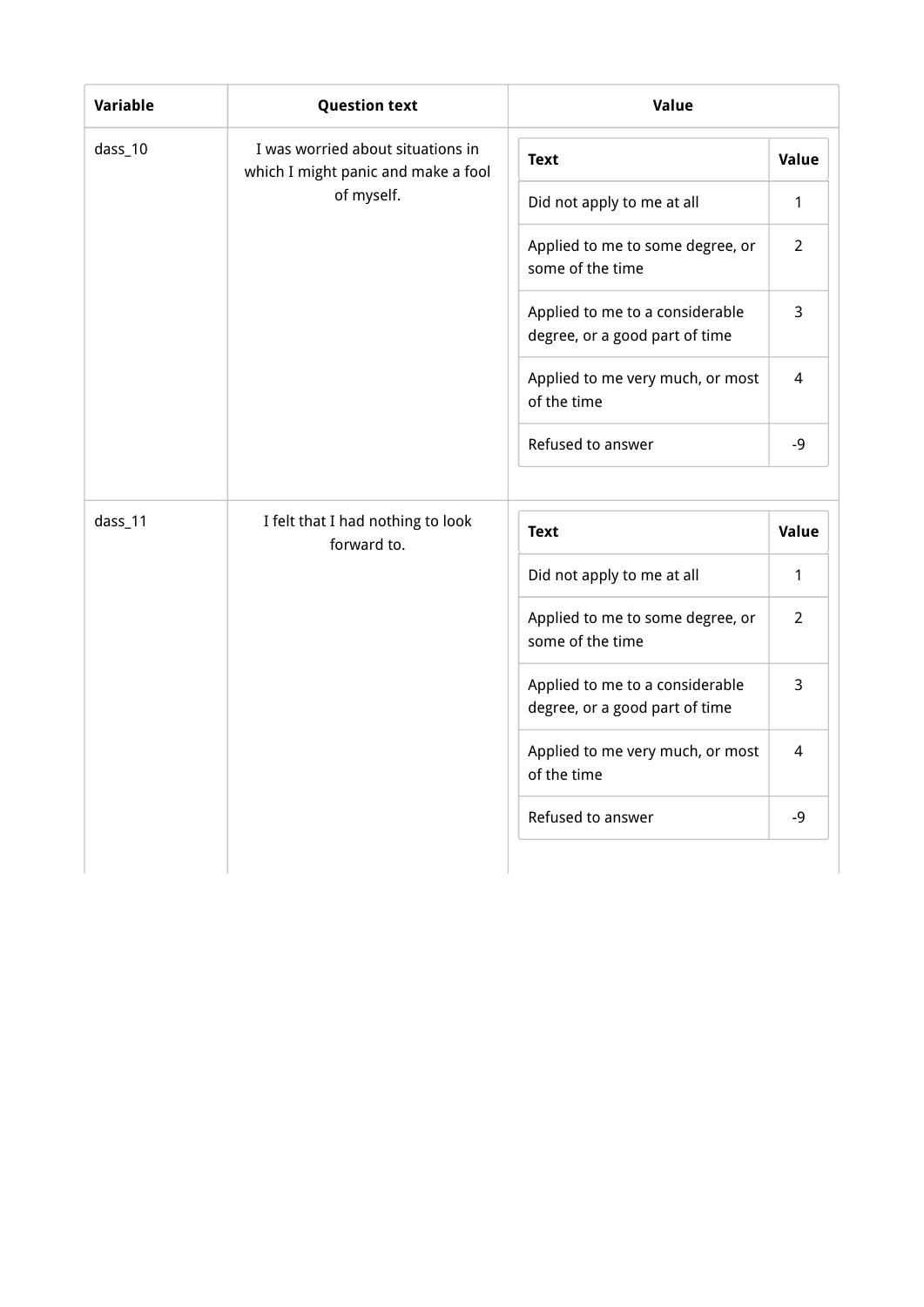| Variable | <b>Question text</b>                                                     | Value                                                             |                |
|----------|--------------------------------------------------------------------------|-------------------------------------------------------------------|----------------|
| dass_10  | I was worried about situations in<br>which I might panic and make a fool | <b>Text</b>                                                       | Value          |
|          | of myself.                                                               | Did not apply to me at all                                        | $\mathbf{1}$   |
|          |                                                                          | Applied to me to some degree, or<br>some of the time              | $\overline{2}$ |
|          |                                                                          | Applied to me to a considerable<br>degree, or a good part of time | 3              |
|          |                                                                          | Applied to me very much, or most<br>of the time                   | 4              |
|          |                                                                          | Refused to answer                                                 | $-9$           |
|          |                                                                          |                                                                   |                |
| dass_11  | I felt that I had nothing to look                                        |                                                                   |                |
|          | forward to.                                                              | <b>Text</b>                                                       |                |
|          |                                                                          | Did not apply to me at all                                        | $\mathbf{1}$   |
|          |                                                                          | Applied to me to some degree, or<br>some of the time              | $\overline{2}$ |
|          |                                                                          | Applied to me to a considerable<br>degree, or a good part of time | 3              |
|          |                                                                          | Applied to me very much, or most<br>of the time                   | Value<br>4     |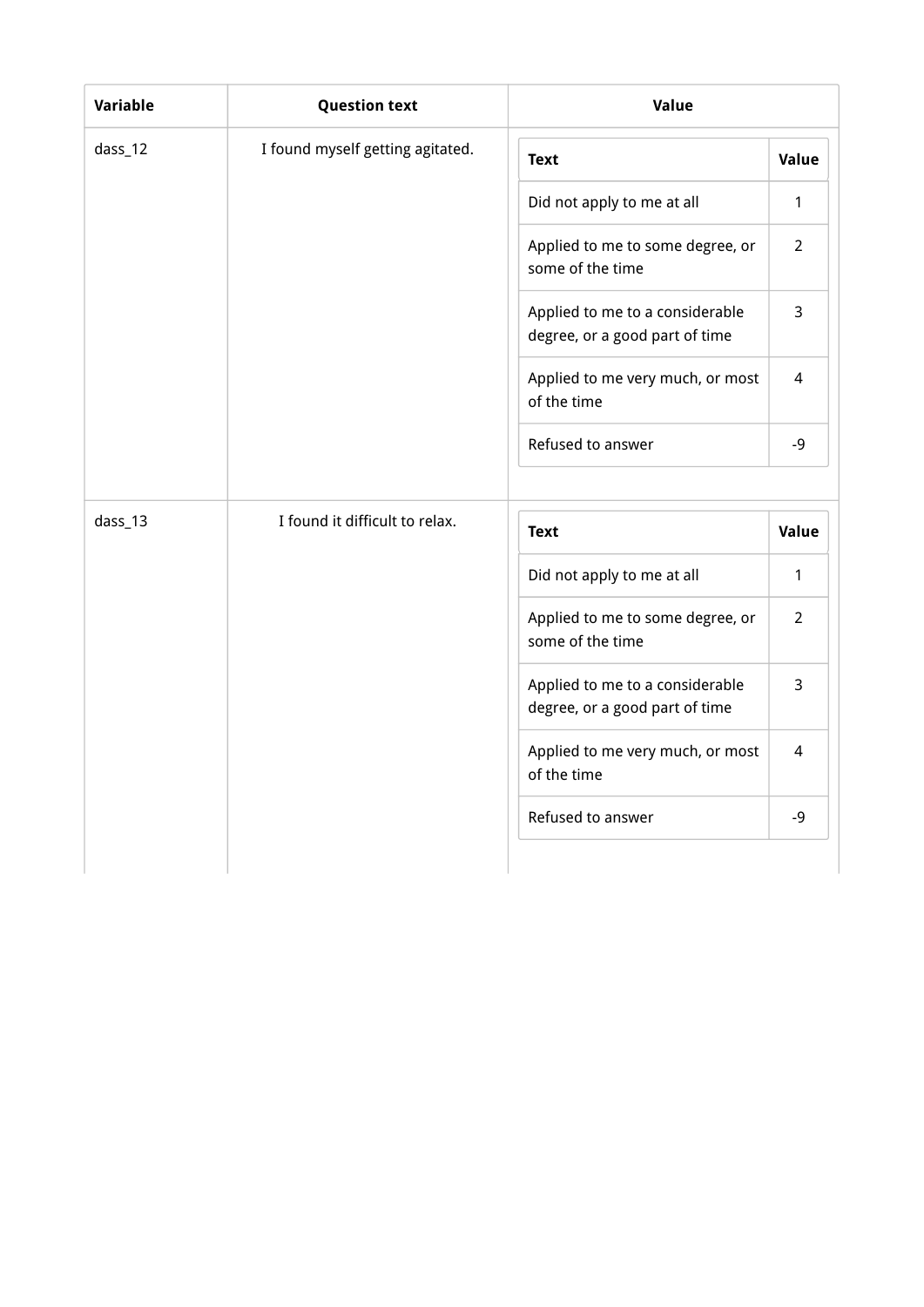| Variable | <b>Question text</b>             | Value                                                             |                          |  |  |  |
|----------|----------------------------------|-------------------------------------------------------------------|--------------------------|--|--|--|
| dass_12  | I found myself getting agitated. | <b>Text</b>                                                       | <b>Value</b>             |  |  |  |
|          |                                  | Did not apply to me at all                                        | 1                        |  |  |  |
|          |                                  | Applied to me to some degree, or<br>some of the time              | $\overline{2}$           |  |  |  |
|          |                                  | Applied to me to a considerable<br>degree, or a good part of time | 3                        |  |  |  |
|          |                                  | Applied to me very much, or most<br>of the time                   | $\overline{\mathcal{L}}$ |  |  |  |
|          |                                  | Refused to answer                                                 | $-9$                     |  |  |  |
| dass_13  | I found it difficult to relax.   | <b>Text</b>                                                       | <b>Value</b>             |  |  |  |
|          |                                  | Did not apply to me at all                                        | 1                        |  |  |  |
|          |                                  | Applied to me to some degree, or<br>some of the time              | $\overline{2}$           |  |  |  |
|          |                                  | Applied to me to a considerable<br>degree, or a good part of time | 3                        |  |  |  |
|          |                                  | Applied to me very much, or most<br>of the time                   | 4                        |  |  |  |
|          |                                  | Refused to answer                                                 | $-9$                     |  |  |  |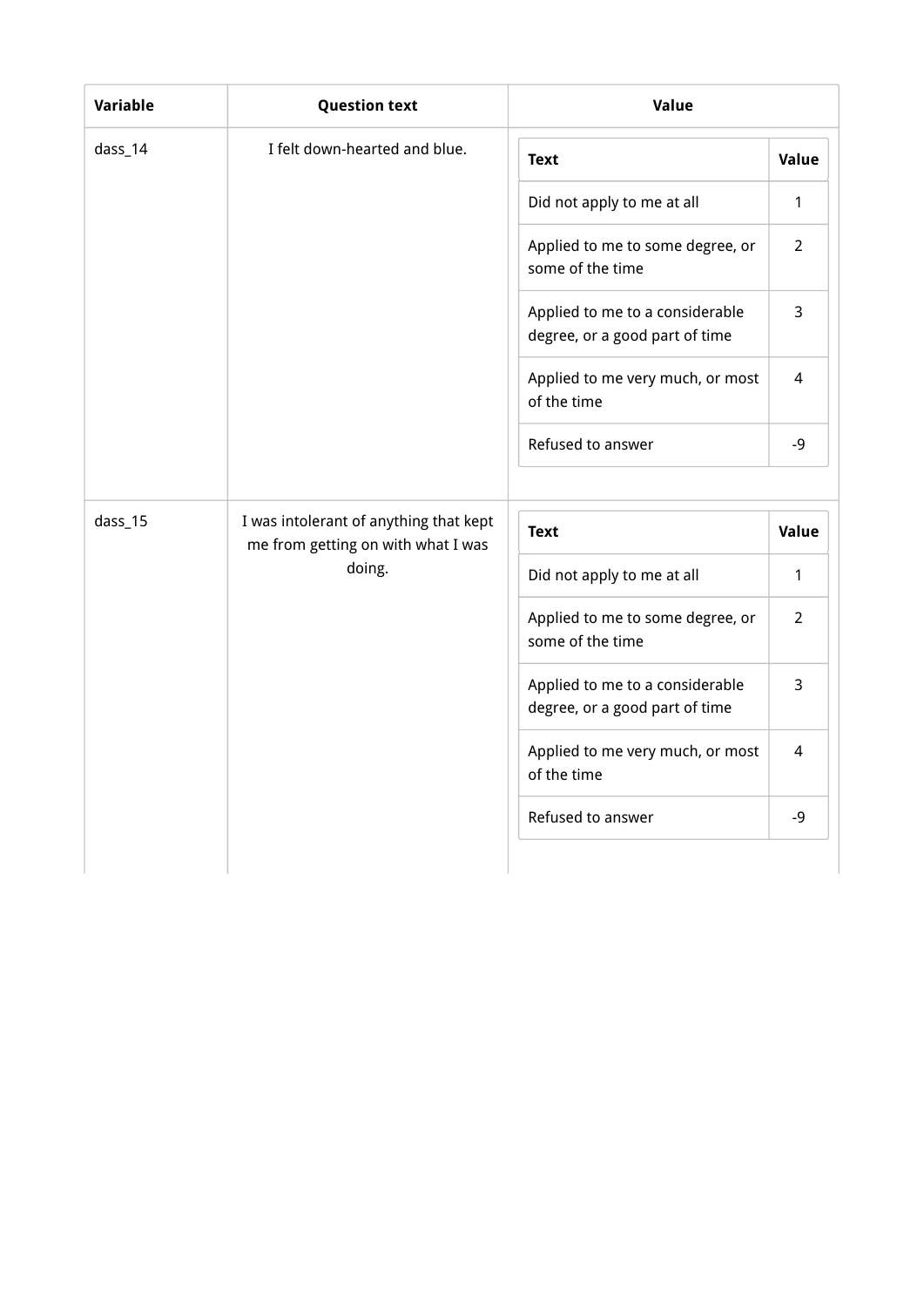| Variable | <b>Question text</b>                                                         | Value                                                             |                |  |  |
|----------|------------------------------------------------------------------------------|-------------------------------------------------------------------|----------------|--|--|
| dass_14  | I felt down-hearted and blue.                                                | <b>Text</b>                                                       | Value          |  |  |
|          |                                                                              | Did not apply to me at all                                        | 1              |  |  |
|          |                                                                              | Applied to me to some degree, or<br>some of the time              | $\overline{2}$ |  |  |
|          |                                                                              | Applied to me to a considerable<br>degree, or a good part of time | 3              |  |  |
|          |                                                                              | Applied to me very much, or most<br>of the time                   | 4              |  |  |
|          |                                                                              | Refused to answer                                                 | $-9$           |  |  |
|          |                                                                              |                                                                   |                |  |  |
| dass_15  | I was intolerant of anything that kept<br>me from getting on with what I was | <b>Text</b>                                                       | Value          |  |  |
|          | doing.                                                                       | Did not apply to me at all                                        | 1              |  |  |
|          |                                                                              |                                                                   |                |  |  |
|          |                                                                              | Applied to me to some degree, or<br>some of the time              | $\overline{2}$ |  |  |
|          |                                                                              | Applied to me to a considerable<br>degree, or a good part of time | 3              |  |  |
|          |                                                                              | Applied to me very much, or most<br>of the time                   | 4              |  |  |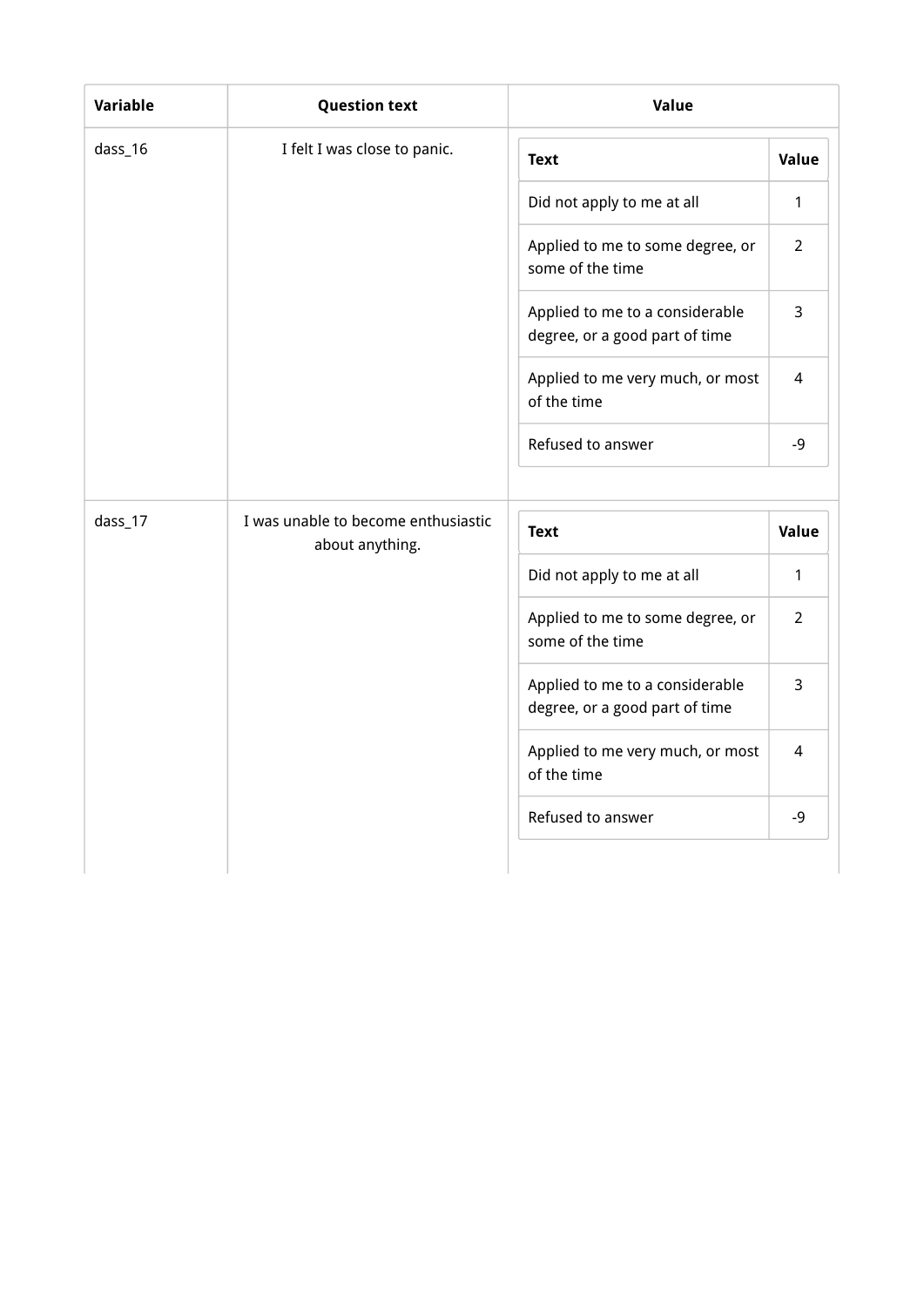| Variable | <b>Question text</b>                | Value<br>Value<br><b>Text</b>                                     |                |
|----------|-------------------------------------|-------------------------------------------------------------------|----------------|
| dass_16  | I felt I was close to panic.        |                                                                   |                |
|          |                                     | Did not apply to me at all                                        | 1              |
|          |                                     | Applied to me to some degree, or<br>some of the time              | $\overline{2}$ |
|          |                                     | Applied to me to a considerable<br>degree, or a good part of time | 3              |
|          |                                     | Applied to me very much, or most<br>of the time                   | 4              |
|          |                                     | Refused to answer                                                 | $-9$           |
|          |                                     |                                                                   |                |
| dass_17  | I was unable to become enthusiastic | <b>Text</b>                                                       | Value          |
|          | about anything.                     | Did not apply to me at all                                        | 1              |
|          |                                     | Applied to me to some degree, or<br>some of the time              | $\overline{2}$ |
|          |                                     | Applied to me to a considerable<br>degree, or a good part of time | 3              |
|          |                                     | Applied to me very much, or most<br>of the time                   | 4              |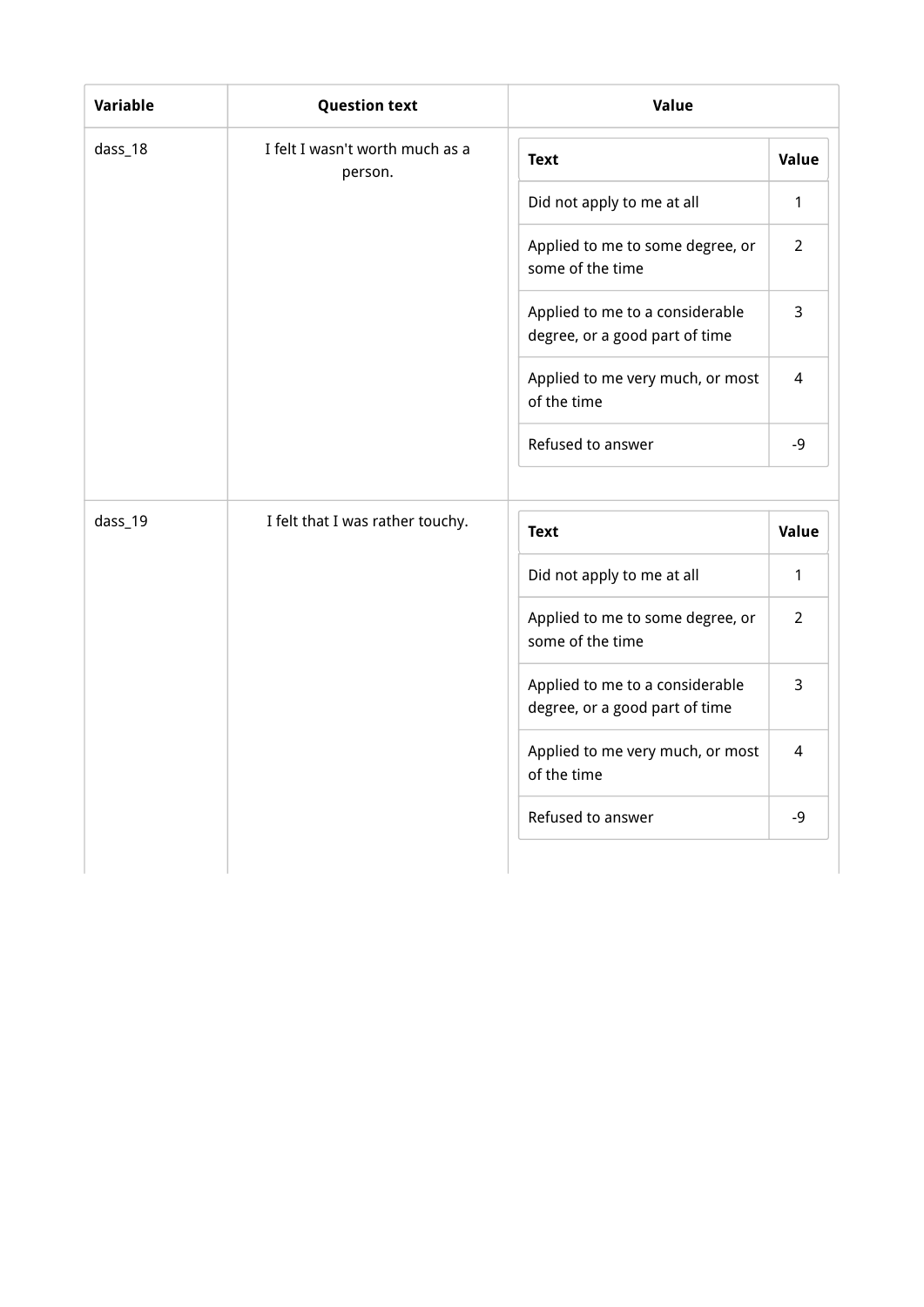| Variable | <b>Question text</b>                       | Value                                                             |                |
|----------|--------------------------------------------|-------------------------------------------------------------------|----------------|
| dass_18  | I felt I wasn't worth much as a<br>person. | <b>Text</b>                                                       | Value          |
|          |                                            | Did not apply to me at all                                        | 1              |
|          |                                            | Applied to me to some degree, or<br>some of the time              | $\overline{2}$ |
|          |                                            | Applied to me to a considerable<br>degree, or a good part of time | 3              |
|          |                                            | Applied to me very much, or most<br>of the time                   | 4              |
|          |                                            | Refused to answer                                                 | $-9$           |
| dass_19  | I felt that I was rather touchy.           | <b>Text</b>                                                       | Value          |
|          |                                            | Did not apply to me at all                                        | 1              |
|          |                                            | Applied to me to some degree, or<br>some of the time              | $\overline{2}$ |
|          |                                            | Applied to me to a considerable<br>degree, or a good part of time | 3              |
|          |                                            | Applied to me very much, or most<br>of the time                   | 4              |
|          |                                            | Refused to answer                                                 | $-9$           |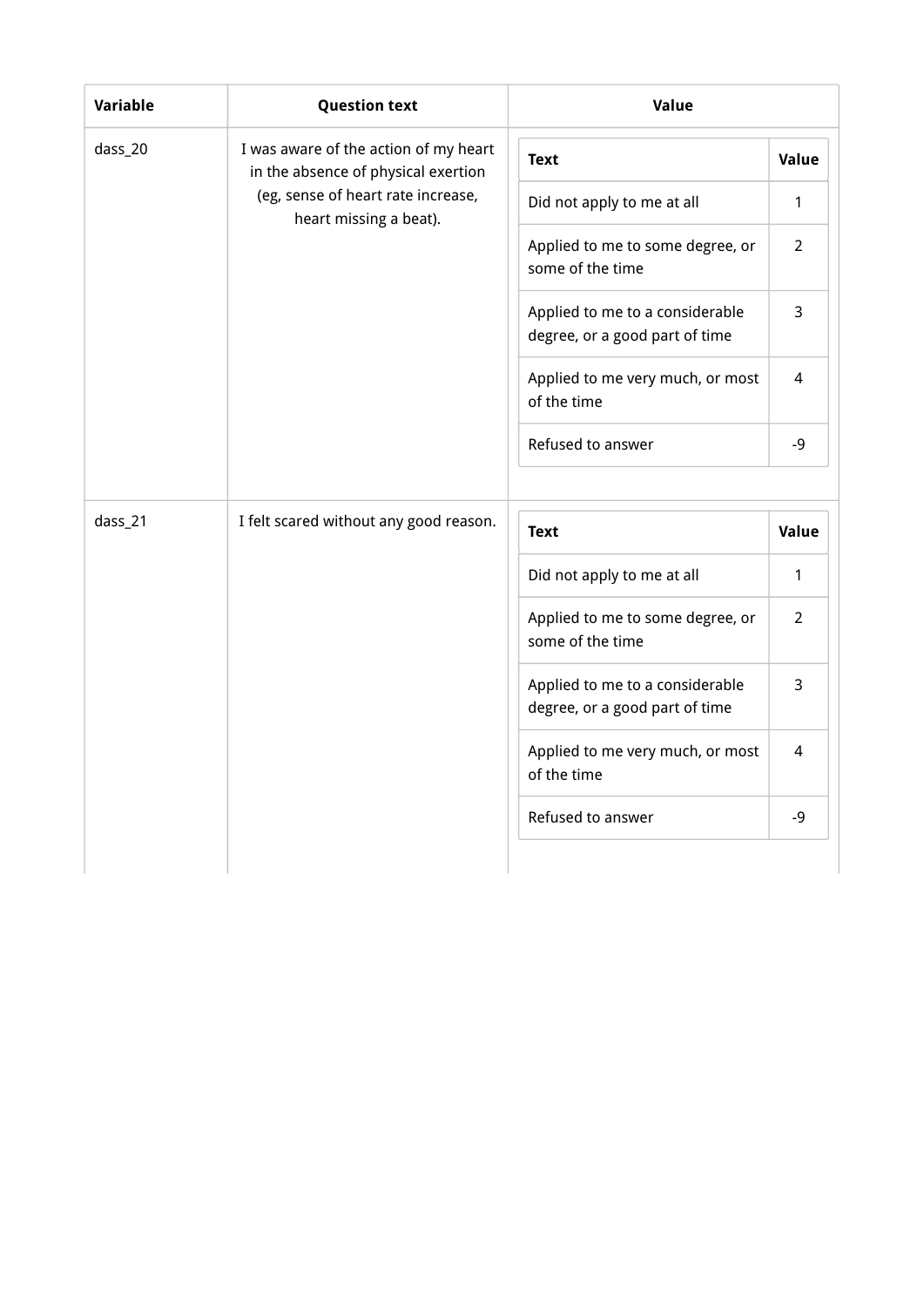| <b>Variable</b> | <b>Question text</b>                                                         | Value                                                             |                |
|-----------------|------------------------------------------------------------------------------|-------------------------------------------------------------------|----------------|
| dass_20         | I was aware of the action of my heart<br>in the absence of physical exertion | <b>Text</b>                                                       | Value          |
|                 | (eg, sense of heart rate increase,<br>heart missing a beat).                 | Did not apply to me at all                                        | 1              |
|                 |                                                                              | Applied to me to some degree, or<br>some of the time              | $\overline{2}$ |
|                 |                                                                              | Applied to me to a considerable<br>degree, or a good part of time | $\overline{3}$ |
|                 |                                                                              | Applied to me very much, or most<br>of the time                   | 4              |
|                 |                                                                              | Refused to answer                                                 | $-9$           |
|                 |                                                                              |                                                                   |                |
| dass_21         | I felt scared without any good reason.                                       | <b>Text</b>                                                       | Value          |
|                 |                                                                              | Did not apply to me at all                                        | 1              |
|                 |                                                                              | Applied to me to some degree, or<br>some of the time              | $\overline{2}$ |
|                 |                                                                              | Applied to me to a considerable<br>degree, or a good part of time | 3              |
|                 |                                                                              | Applied to me very much, or most<br>of the time                   | 4              |
|                 |                                                                              | Refused to answer                                                 | -9             |
|                 |                                                                              |                                                                   |                |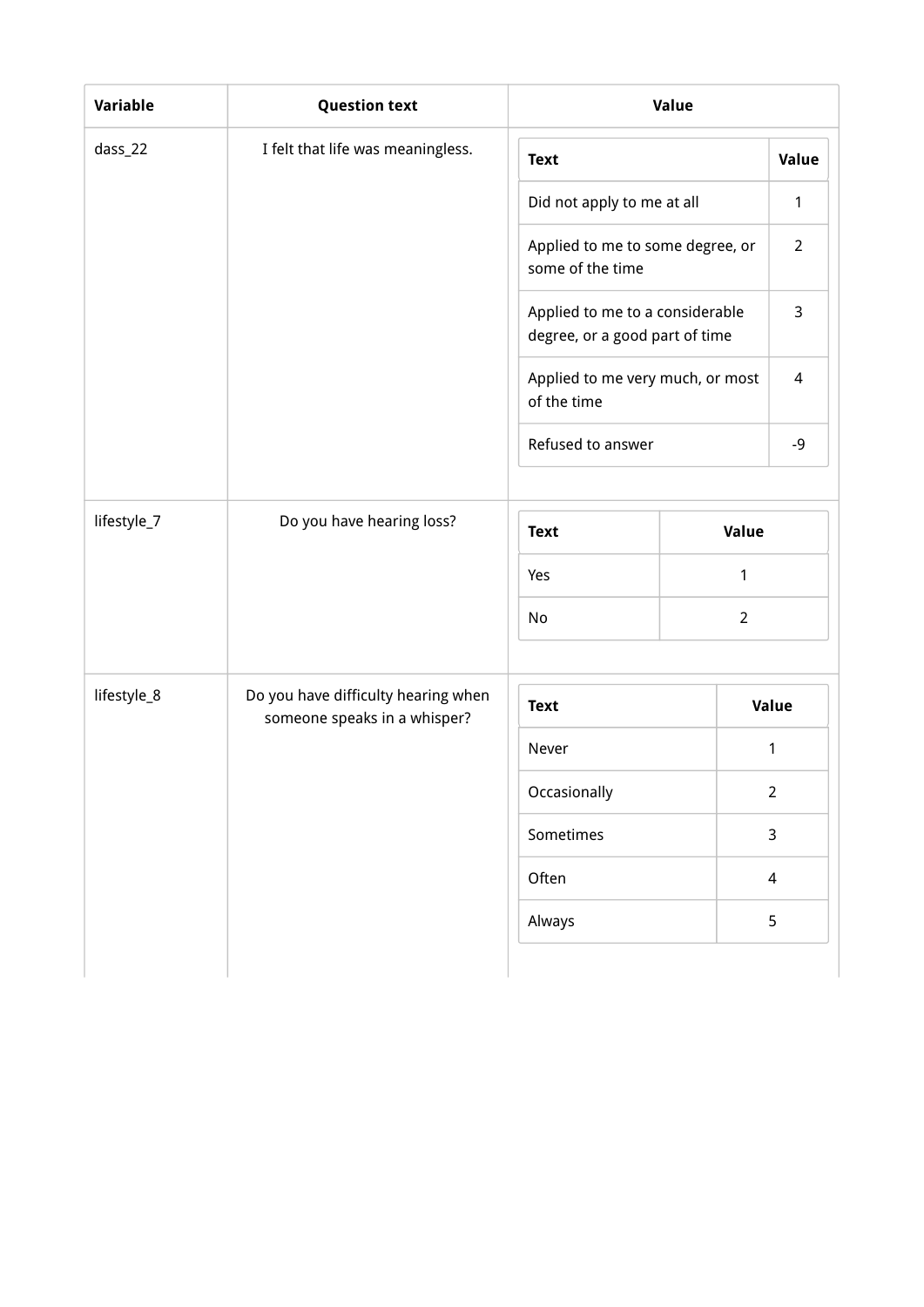| <b>Variable</b> | <b>Question text</b>                                                | Value                                                             |                |                |
|-----------------|---------------------------------------------------------------------|-------------------------------------------------------------------|----------------|----------------|
| dass_22         | I felt that life was meaningless.                                   | <b>Text</b>                                                       |                | Value          |
|                 |                                                                     | Did not apply to me at all                                        |                | 1              |
|                 |                                                                     | Applied to me to some degree, or<br>some of the time              |                | $\overline{2}$ |
|                 |                                                                     | Applied to me to a considerable<br>degree, or a good part of time |                | 3              |
|                 |                                                                     | Applied to me very much, or most<br>of the time                   |                | 4              |
|                 |                                                                     | Refused to answer                                                 |                | $-9$           |
| lifestyle_7     |                                                                     |                                                                   |                |                |
|                 | Do you have hearing loss?                                           | <b>Text</b>                                                       | Value          |                |
|                 |                                                                     | Yes                                                               | 1              |                |
|                 |                                                                     | No                                                                | $\overline{2}$ |                |
|                 |                                                                     |                                                                   |                |                |
| lifestyle_8     | Do you have difficulty hearing when<br>someone speaks in a whisper? | <b>Text</b>                                                       |                | Value          |
|                 |                                                                     | Never                                                             |                | 1              |
|                 |                                                                     | Occasionally                                                      |                | $\overline{2}$ |
|                 |                                                                     | Sometimes                                                         |                | 3              |
|                 |                                                                     | Often                                                             |                | $\overline{4}$ |
|                 |                                                                     | Always                                                            |                | 5              |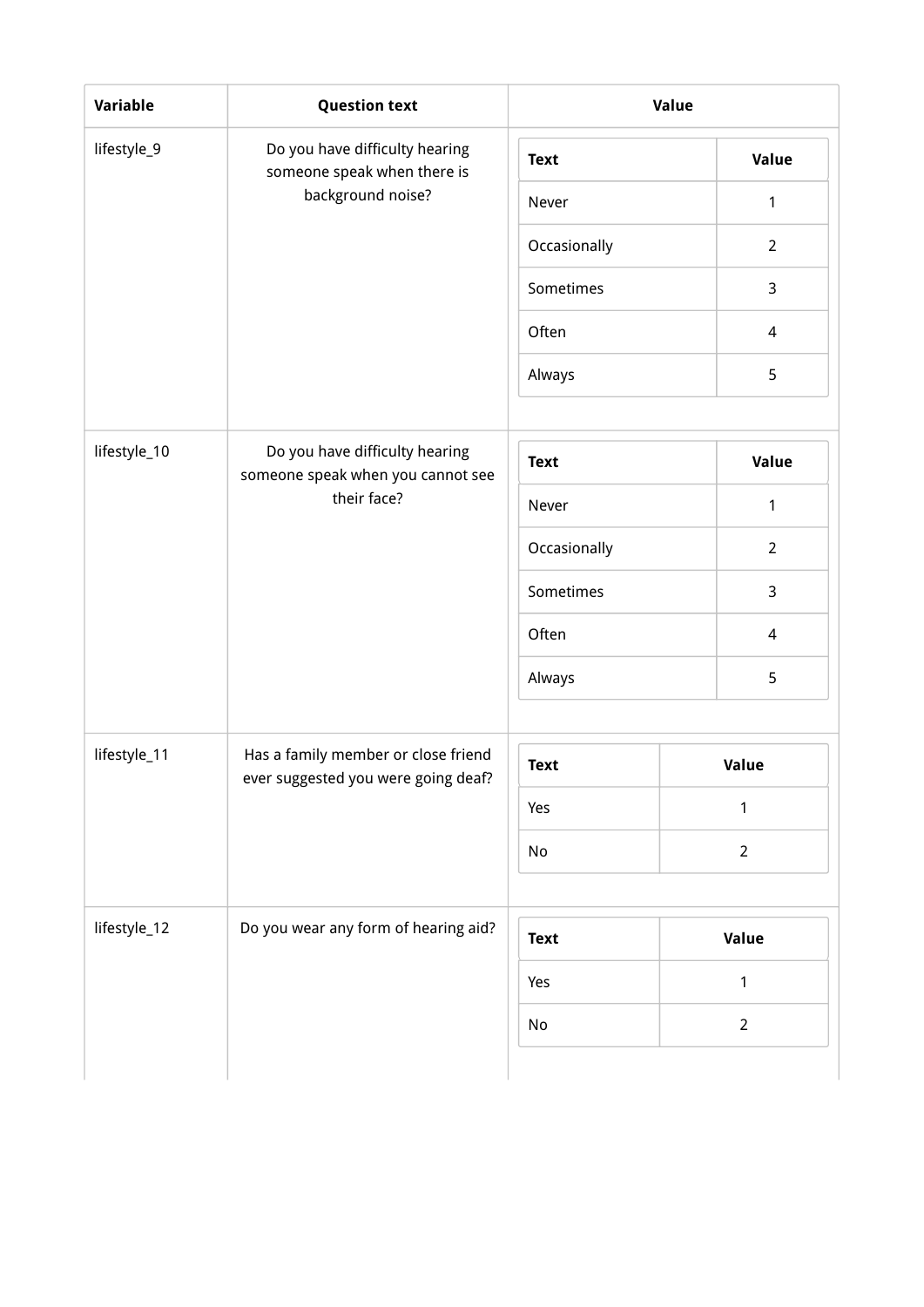| Variable     | <b>Question text</b>                                                       |              | Value          |
|--------------|----------------------------------------------------------------------------|--------------|----------------|
| lifestyle_9  | Do you have difficulty hearing<br>someone speak when there is              | <b>Text</b>  | <b>Value</b>   |
|              | background noise?                                                          | Never        | 1              |
|              |                                                                            | Occasionally | $\overline{2}$ |
|              |                                                                            | Sometimes    | 3              |
|              |                                                                            | Often        | 4              |
|              |                                                                            | Always       | 5              |
| lifestyle_10 | Do you have difficulty hearing                                             | <b>Text</b>  | <b>Value</b>   |
|              | someone speak when you cannot see<br>their face?                           | Never        | 1              |
|              |                                                                            | Occasionally | $\overline{2}$ |
|              |                                                                            | Sometimes    | 3              |
|              |                                                                            | Often        | 4              |
|              |                                                                            | Always       | 5              |
|              |                                                                            |              |                |
| lifestyle_11 | Has a family member or close friend<br>ever suggested you were going deaf? | <b>Text</b>  | Value          |
|              |                                                                            | Yes          | $\mathbf{1}$   |
|              |                                                                            | No           | $\overline{2}$ |
|              |                                                                            |              |                |
| lifestyle_12 | Do you wear any form of hearing aid?                                       | <b>Text</b>  | Value          |
|              |                                                                            | Yes          | 1              |
|              |                                                                            | No           | $\overline{2}$ |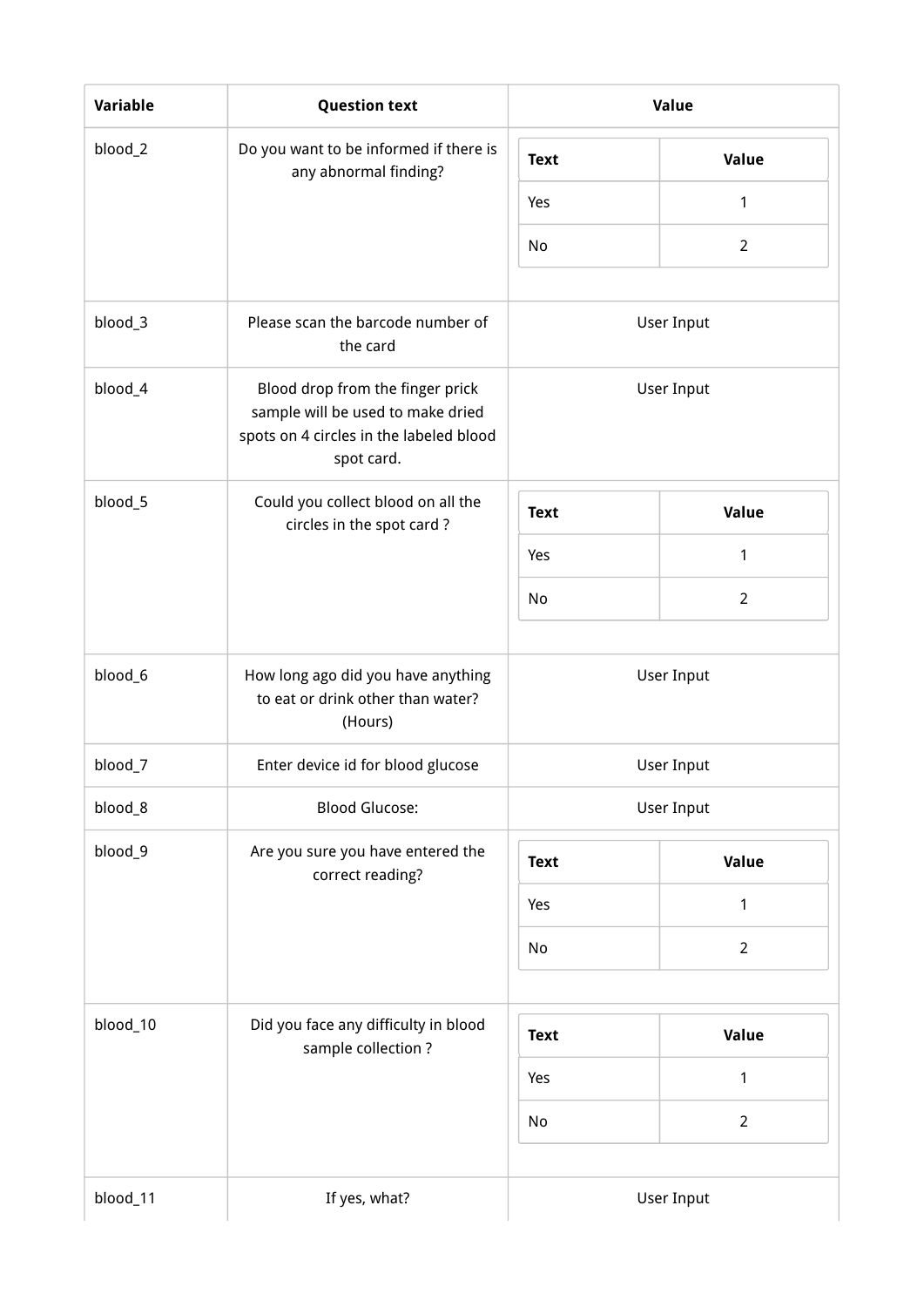| Variable | <b>Question text</b>                                                                                                           | Value       |  |                   |  |
|----------|--------------------------------------------------------------------------------------------------------------------------------|-------------|--|-------------------|--|
| blood_2  | Do you want to be informed if there is<br>any abnormal finding?                                                                | <b>Text</b> |  | Value             |  |
|          |                                                                                                                                | Yes         |  | $\mathbf{1}$      |  |
|          |                                                                                                                                | No          |  | $\overline{2}$    |  |
| blood_3  | Please scan the barcode number of<br>the card                                                                                  |             |  | User Input        |  |
| blood_4  | Blood drop from the finger prick<br>sample will be used to make dried<br>spots on 4 circles in the labeled blood<br>spot card. |             |  | User Input        |  |
| blood_5  | Could you collect blood on all the<br>circles in the spot card?                                                                | <b>Text</b> |  | Value             |  |
|          |                                                                                                                                | Yes         |  | $\mathbf{1}$      |  |
|          |                                                                                                                                | No          |  | $\overline{2}$    |  |
| blood_6  | How long ago did you have anything<br>to eat or drink other than water?<br>(Hours)                                             | User Input  |  |                   |  |
| blood_7  | Enter device id for blood glucose                                                                                              |             |  | <b>User Input</b> |  |
| blood_8  | <b>Blood Glucose:</b>                                                                                                          |             |  | <b>User Input</b> |  |
| blood_9  | Are you sure you have entered the<br>correct reading?                                                                          | <b>Text</b> |  | Value             |  |
|          |                                                                                                                                | Yes         |  | 1                 |  |
|          |                                                                                                                                | No          |  | $\overline{2}$    |  |
| blood_10 | Did you face any difficulty in blood                                                                                           | <b>Text</b> |  | Value             |  |
|          | sample collection?                                                                                                             | Yes         |  | $\mathbf{1}$      |  |
|          |                                                                                                                                | No          |  | $\overline{2}$    |  |
| blood_11 | If yes, what?                                                                                                                  |             |  | User Input        |  |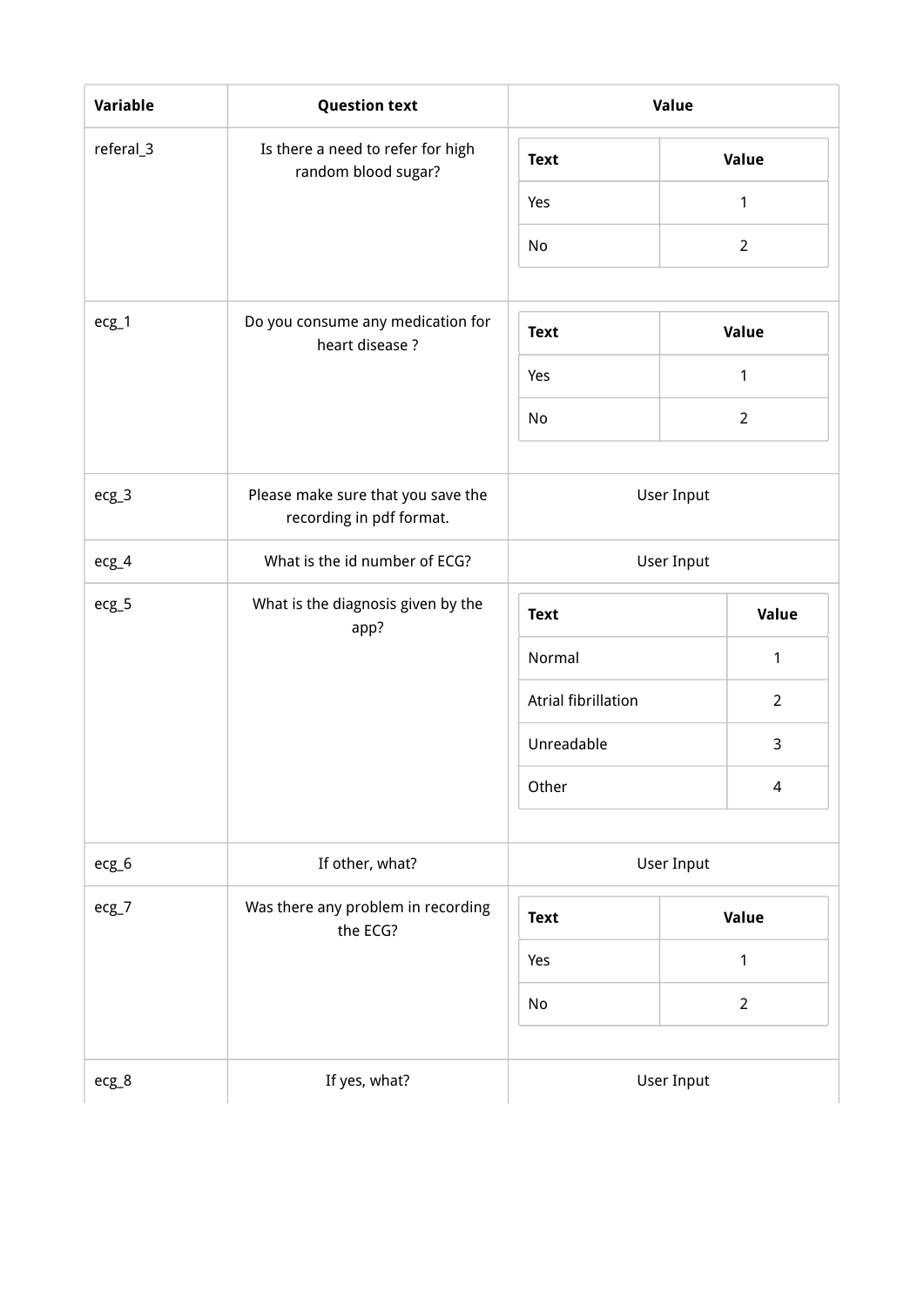| <b>Variable</b> | <b>Question text</b>                                           | Value               |                   |
|-----------------|----------------------------------------------------------------|---------------------|-------------------|
| referal_3       | Is there a need to refer for high<br>random blood sugar?       | <b>Text</b>         | <b>Value</b>      |
|                 |                                                                | Yes                 | 1                 |
|                 |                                                                | No                  | $\overline{2}$    |
|                 |                                                                |                     |                   |
| $ecg_1$         | Do you consume any medication for<br>heart disease?            | <b>Text</b>         | Value             |
|                 |                                                                | Yes                 | 1                 |
|                 |                                                                | No                  | $\overline{2}$    |
|                 |                                                                |                     |                   |
| $ecg_3$         | Please make sure that you save the<br>recording in pdf format. |                     | User Input        |
| ecg_4           | What is the id number of ECG?                                  |                     | <b>User Input</b> |
| $ecg_5$         | What is the diagnosis given by the<br>app?                     | <b>Text</b>         | Value             |
|                 |                                                                | Normal              | 1                 |
|                 |                                                                | Atrial fibrillation | $\overline{2}$    |
|                 |                                                                | Unreadable          | 3                 |
|                 |                                                                | Other               | 4                 |
| ecg_6           | If other, what?                                                |                     | User Input        |
| $ecg-7$         | Was there any problem in recording                             |                     |                   |
|                 | the ECG?                                                       | <b>Text</b>         | Value             |
|                 |                                                                | Yes                 | 1                 |
|                 |                                                                | No                  | $\overline{2}$    |
| ecg_8           | If yes, what?                                                  |                     | <b>User Input</b> |
|                 |                                                                |                     |                   |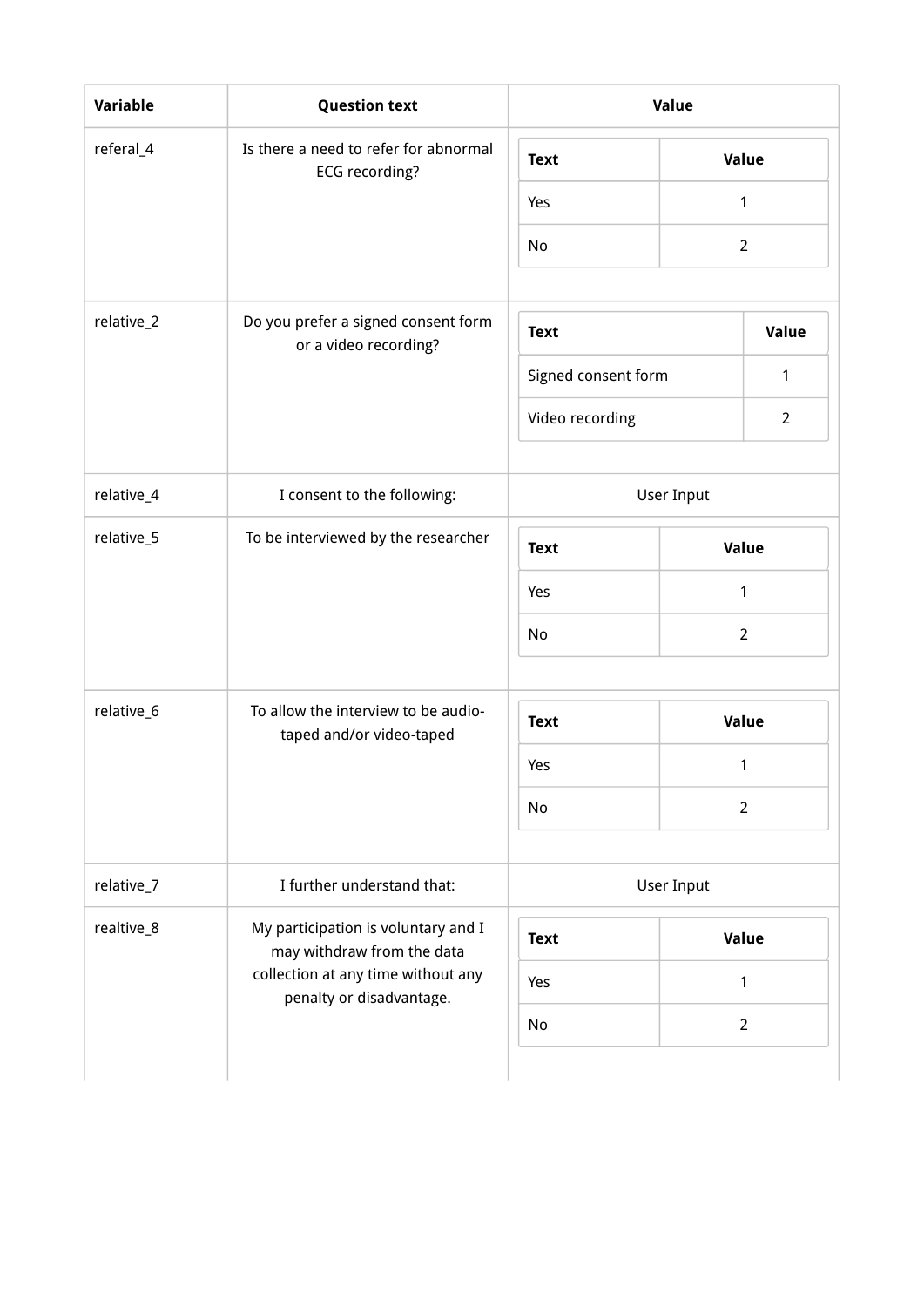| <b>Variable</b> | <b>Question text</b>                                              | Value               |                |
|-----------------|-------------------------------------------------------------------|---------------------|----------------|
| referal_4       | Is there a need to refer for abnormal<br>ECG recording?           | <b>Text</b>         | Value          |
|                 |                                                                   | Yes                 | 1              |
|                 |                                                                   | No                  | $\overline{2}$ |
| relative_2      | Do you prefer a signed consent form<br>or a video recording?      | <b>Text</b>         | Value          |
|                 |                                                                   | Signed consent form | 1              |
|                 |                                                                   | Video recording     | $\overline{2}$ |
| relative_4      | I consent to the following:                                       | User Input          |                |
| relative_5      | To be interviewed by the researcher                               | <b>Text</b>         | Value          |
|                 |                                                                   | Yes                 | 1              |
|                 |                                                                   | No                  | $\overline{2}$ |
| relative_6      | To allow the interview to be audio-                               | <b>Text</b>         | Value          |
|                 | taped and/or video-taped                                          | Yes                 | 1              |
|                 |                                                                   | No                  | $\overline{2}$ |
| relative_7      | I further understand that:                                        | User Input          |                |
| realtive_8      | My participation is voluntary and I<br>may withdraw from the data | <b>Text</b>         | Value          |
|                 | collection at any time without any                                | Yes                 | 1              |
|                 | penalty or disadvantage.                                          | No                  | $\overline{2}$ |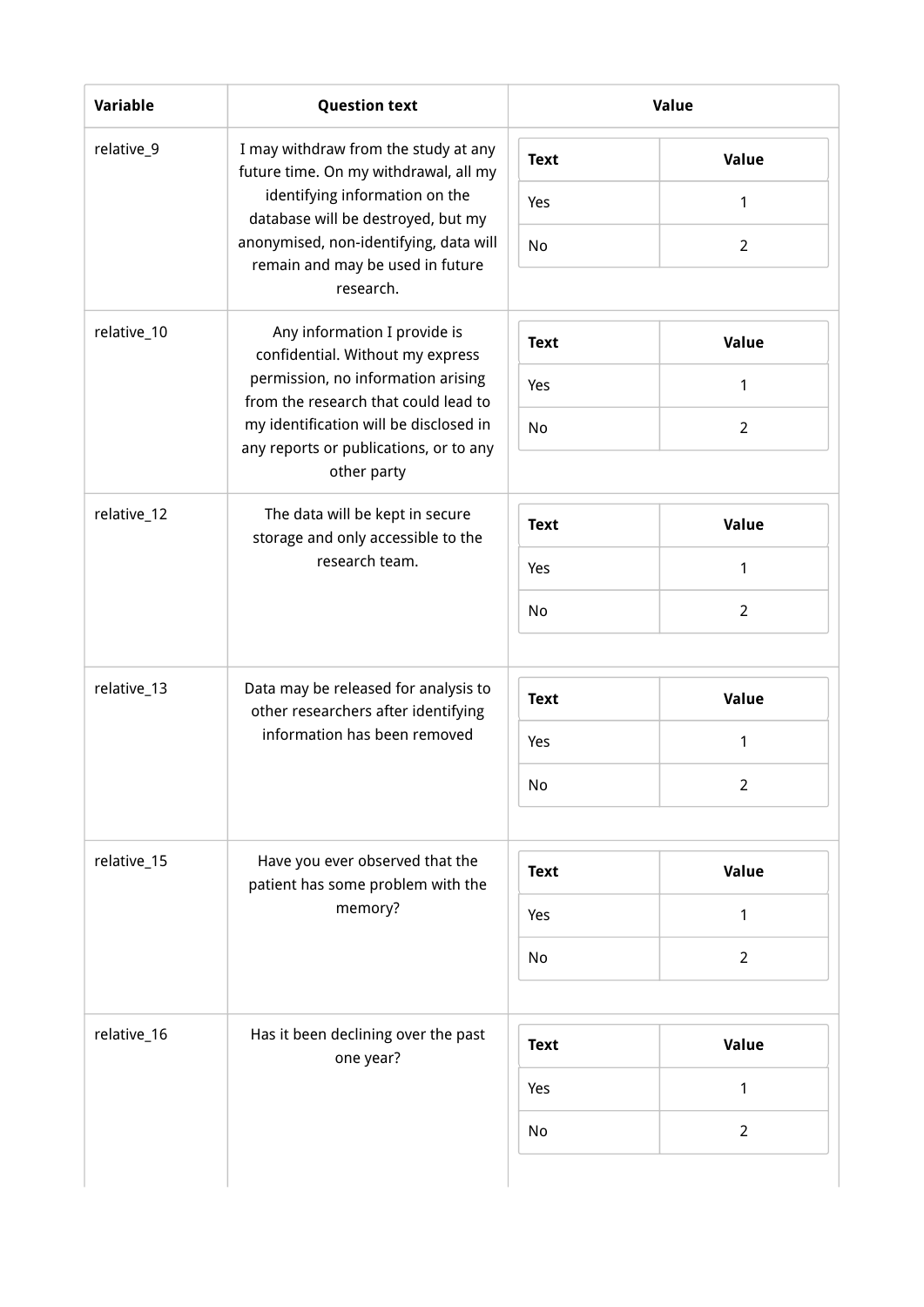| <b>Variable</b> | <b>Question text</b>                                                                                        |             | Value          |
|-----------------|-------------------------------------------------------------------------------------------------------------|-------------|----------------|
| relative_9      | I may withdraw from the study at any<br>future time. On my withdrawal, all my                               | <b>Text</b> | Value          |
|                 | identifying information on the<br>database will be destroyed, but my                                        | Yes         | $\mathbf{1}$   |
|                 | anonymised, non-identifying, data will<br>remain and may be used in future<br>research.                     | <b>No</b>   | $\overline{2}$ |
|                 |                                                                                                             |             |                |
| relative_10     | Any information I provide is<br>confidential. Without my express                                            | <b>Text</b> | Value          |
|                 | permission, no information arising<br>from the research that could lead to                                  | Yes         | 1              |
|                 | my identification will be disclosed in<br>any reports or publications, or to any                            | No          | $\overline{2}$ |
|                 | other party                                                                                                 |             |                |
| relative_12     | The data will be kept in secure<br>storage and only accessible to the<br>research team.                     | <b>Text</b> | Value          |
|                 |                                                                                                             | Yes         | $\mathbf{1}$   |
|                 |                                                                                                             | No          | $\overline{2}$ |
|                 |                                                                                                             |             |                |
| relative_13     | Data may be released for analysis to<br>other researchers after identifying<br>information has been removed | <b>Text</b> | Value          |
|                 |                                                                                                             | Yes         | $\mathbf{1}$   |
|                 |                                                                                                             | No          | 2              |
|                 |                                                                                                             |             |                |
| relative_15     | Have you ever observed that the<br>patient has some problem with the                                        | <b>Text</b> | <b>Value</b>   |
|                 | memory?                                                                                                     | Yes         | 1              |
|                 |                                                                                                             | No          | $\overline{2}$ |
| relative_16     | Has it been declining over the past                                                                         | <b>Text</b> | Value          |
|                 | one year?                                                                                                   | Yes         | 1              |
|                 |                                                                                                             |             |                |
|                 |                                                                                                             | No          | $\overline{2}$ |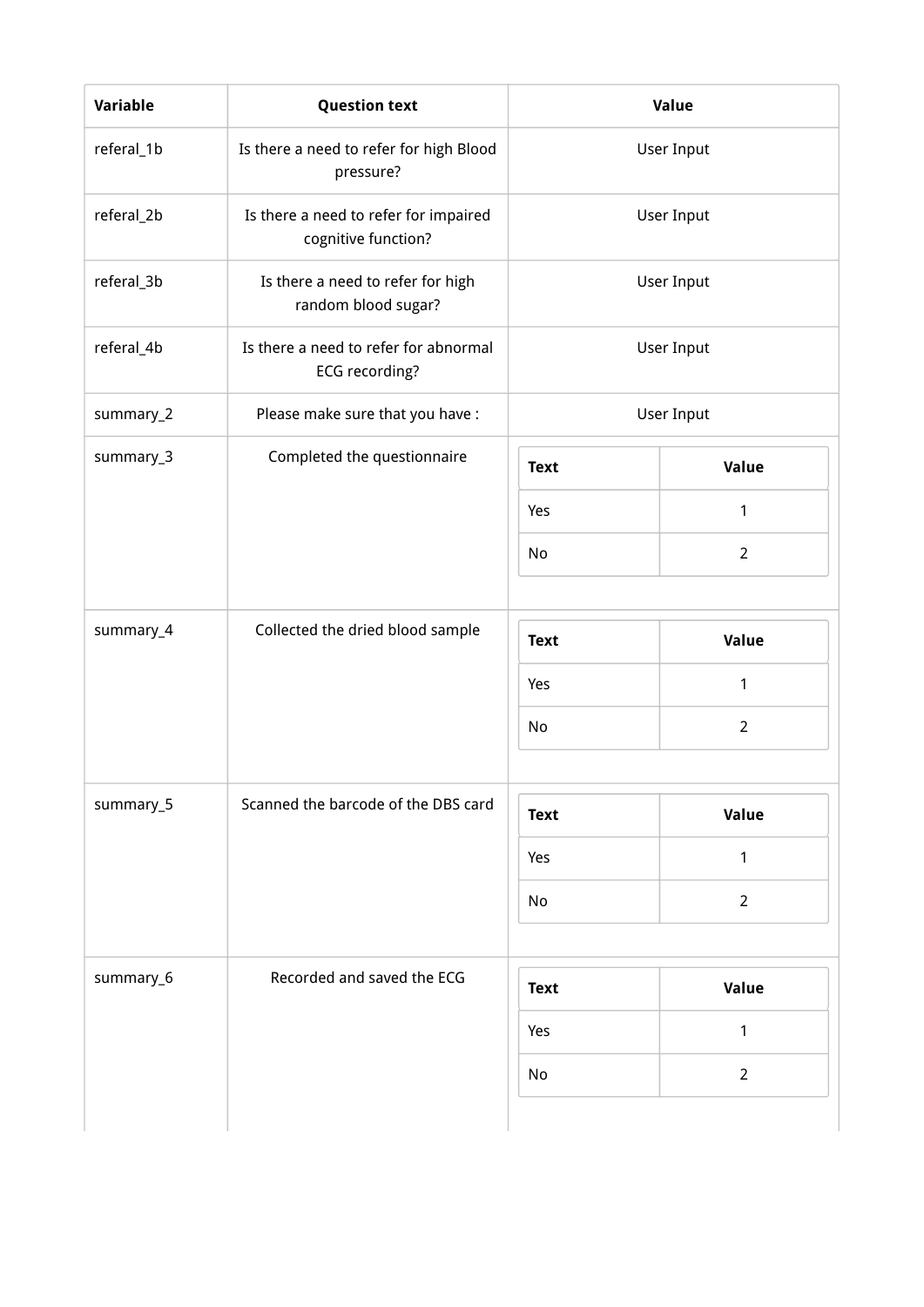| Variable   | <b>Question text</b>                                         | Value       |                |  |
|------------|--------------------------------------------------------------|-------------|----------------|--|
| referal_1b | Is there a need to refer for high Blood<br>pressure?         | User Input  |                |  |
| referal_2b | Is there a need to refer for impaired<br>cognitive function? | User Input  |                |  |
| referal_3b | Is there a need to refer for high<br>random blood sugar?     | User Input  |                |  |
| referal_4b | Is there a need to refer for abnormal<br>ECG recording?      | User Input  |                |  |
| summary_2  | Please make sure that you have :                             |             | User Input     |  |
| summary_3  | Completed the questionnaire                                  | <b>Text</b> | Value          |  |
|            |                                                              | Yes         | 1              |  |
|            |                                                              | No          | $\overline{2}$ |  |
| summary_4  | Collected the dried blood sample                             | <b>Text</b> | Value          |  |
|            |                                                              | Yes         | 1              |  |
|            |                                                              | No          | $\overline{2}$ |  |
|            |                                                              |             |                |  |
| summary_5  | Scanned the barcode of the DBS card                          | <b>Text</b> | Value          |  |
|            |                                                              | Yes         | 1              |  |
|            |                                                              | No          | $\overline{2}$ |  |
| summary_6  | Recorded and saved the ECG                                   | <b>Text</b> | Value          |  |
|            |                                                              | Yes         | $\mathbf{1}$   |  |
|            |                                                              | No          | $\overline{2}$ |  |